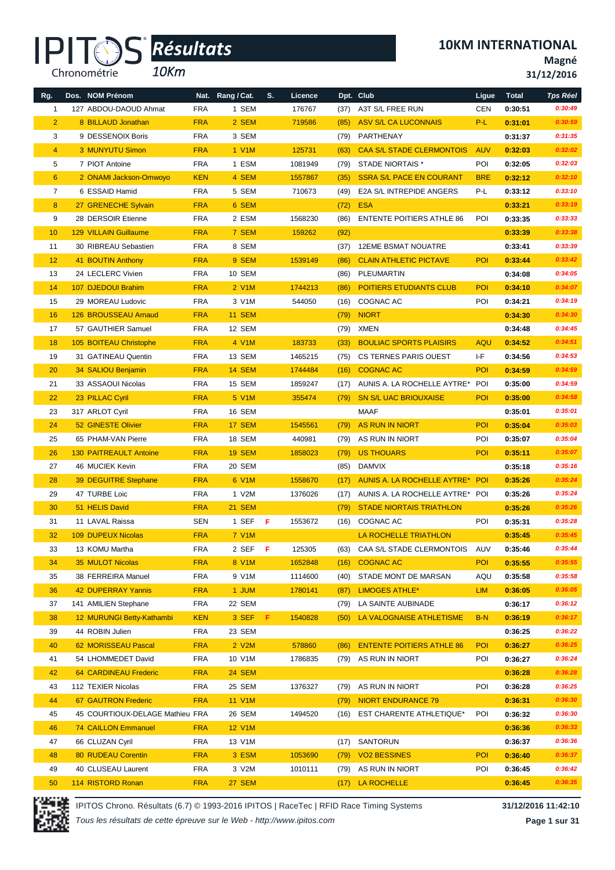*10Km*

**10KM INTERNATIONAL**

**Magné**

**31/12/2016**

| Rg.            | Dos. NOM Prénom                 |            | Nat. Rang / Cat.   | S.  | Licence |      | Dpt. Club                        | Ligue      | <b>Total</b> | <b>Tps Réel</b> |
|----------------|---------------------------------|------------|--------------------|-----|---------|------|----------------------------------|------------|--------------|-----------------|
| 1              | 127 ABDOU-DAOUD Ahmat           | <b>FRA</b> | 1 SEM              |     | 176767  | (37) | A3T S/L FREE RUN                 | <b>CEN</b> | 0:30:51      | 0:30:49         |
| $\overline{2}$ | 8 BILLAUD Jonathan              | <b>FRA</b> | 2 SEM              |     | 719586  | (85) | <b>ASV S/L CA LUCONNAIS</b>      | P-L        | 0:31:01      | 0:30:59         |
| 3              | 9 DESSENOIX Boris               | <b>FRA</b> | 3 SEM              |     |         | (79) | PARTHENAY                        |            | 0:31:37      | 0:31:35         |
| $\overline{4}$ | 3 MUNYUTU Simon                 | <b>FRA</b> | 1 V1M              |     | 125731  | (63) | <b>CAA S/L STADE CLERMONTOIS</b> | <b>AUV</b> | 0:32:03      | 0:32:02         |
| 5              | 7 PIOT Antoine                  | <b>FRA</b> | 1 ESM              |     | 1081949 | (79) | STADE NIORTAIS *                 | POI        | 0:32:05      | 0:32:03         |
| $6\phantom{1}$ | 2 ONAMI Jackson-Omwoyo          | <b>KEN</b> | 4 SEM              |     | 1557867 | (35) | <b>SSRA S/L PACE EN COURANT</b>  | <b>BRE</b> | 0:32:12      | 0:32:10         |
| 7              | 6 ESSAID Hamid                  | <b>FRA</b> | 5 SEM              |     | 710673  | (49) | E2A S/L INTREPIDE ANGERS         | P-L        | 0:33:12      | 0:33:10         |
| 8              | 27 GRENECHE Sylvain             | <b>FRA</b> | 6 SEM              |     |         | (72) | <b>ESA</b>                       |            | 0:33:21      | 0:33:19         |
| 9              | 28 DERSOIR Etienne              | <b>FRA</b> | 2 ESM              |     | 1568230 | (86) | <b>ENTENTE POITIERS ATHLE 86</b> | POI        | 0:33:35      | 0:33:33         |
| 10             | <b>129 VILLAIN Guillaume</b>    | <b>FRA</b> | 7 SEM              |     | 159262  | (92) |                                  |            | 0:33:39      | 0:33:38         |
| 11             | 30 RIBREAU Sebastien            | <b>FRA</b> | 8 SEM              |     |         | (37) | 12EME BSMAT NOUATRE              |            | 0:33:41      | 0:33:39         |
| 12             | 41 BOUTIN Anthony               | <b>FRA</b> | 9 SEM              |     | 1539149 | (86) | <b>CLAIN ATHLETIC PICTAVE</b>    | POI        | 0:33:44      | 0:33:42         |
| 13             | 24 LECLERC Vivien               | <b>FRA</b> | 10 SEM             |     |         | (86) | PLEUMARTIN                       |            | 0:34:08      | 0:34:05         |
| 14             | 107 DJEDOUI Brahim              | <b>FRA</b> | 2 V1M              |     | 1744213 | (86) | <b>POITIERS ETUDIANTS CLUB</b>   | <b>POI</b> | 0:34:10      | 0:34:07         |
| 15             | 29 MOREAU Ludovic               | <b>FRA</b> | 3 V1M              |     | 544050  | (16) | COGNAC AC                        | POI        | 0:34:21      | 0:34:19         |
| 16             | 126 BROUSSEAU Arnaud            | <b>FRA</b> | <b>11 SEM</b>      |     |         | (79) | <b>NIORT</b>                     |            | 0:34:30      | 0:34:30         |
| 17             | 57 GAUTHIER Samuel              | <b>FRA</b> | 12 SEM             |     |         | (79) | XMEN                             |            | 0:34:48      | 0:34:45         |
| 18             | 105 BOITEAU Christophe          | <b>FRA</b> | 4 V1M              |     | 183733  | (33) | <b>BOULIAC SPORTS PLAISIRS</b>   | <b>AQU</b> | 0:34:52      | 0:34:51         |
| 19             | 31 GATINEAU Quentin             | <b>FRA</b> | 13 SEM             |     | 1465215 | (75) | CS TERNES PARIS OUEST            | I-F        | 0:34:56      | 0:34:53         |
| 20             | 34 SALIOU Benjamin              | <b>FRA</b> | <b>14 SEM</b>      |     | 1744484 | (16) | <b>COGNAC AC</b>                 | <b>POI</b> | 0:34:59      | 0:34:59         |
| 21             | 33 ASSAOUI Nicolas              | <b>FRA</b> | 15 SEM             |     | 1859247 | (17) | AUNIS A. LA ROCHELLE AYTRE* POI  |            | 0:35:00      | 0:34:59         |
| 22             | 23 PILLAC Cyril                 | <b>FRA</b> | 5 V <sub>1</sub> M |     | 355474  | (79) | <b>SN S/L UAC BRIOUXAISE</b>     | <b>POI</b> | 0:35:00      | 0:34:58         |
| 23             | 317 ARLOT Cyril                 | <b>FRA</b> | 16 SEM             |     |         |      | MAAF                             |            | 0:35:01      | 0:35:01         |
| 24             | 52 GINESTE Olivier              | <b>FRA</b> | 17 SEM             |     | 1545561 | (79) | <b>AS RUN IN NIORT</b>           | <b>POI</b> | 0:35:04      | 0:35:03         |
| 25             | 65 PHAM-VAN Pierre              | <b>FRA</b> | 18 SEM             |     | 440981  | (79) | AS RUN IN NIORT                  | POI        | 0:35:07      | 0:35:04         |
| 26             | <b>130 PAITREAULT Antoine</b>   | <b>FRA</b> | <b>19 SEM</b>      |     | 1858023 | (79) | <b>US THOUARS</b>                | <b>POI</b> | 0:35:11      | 0:35:07         |
| 27             | 46 MUCIEK Kevin                 | <b>FRA</b> | 20 SEM             |     |         | (85) | <b>DAMVIX</b>                    |            | 0:35:18      | 0:35:16         |
| 28             | 39 DEGUITRE Stephane            | <b>FRA</b> | 6 V1M              |     | 1558670 | (17) | AUNIS A. LA ROCHELLE AYTRE* POI  |            | 0:35:26      | 0:35:24         |
| 29             | 47 TURBE Loic                   | <b>FRA</b> | 1 V2M              |     | 1376026 | (17) | AUNIS A. LA ROCHELLE AYTRE* POI  |            | 0:35:26      | 0:35:24         |
| 30             | 51 HELIS David                  | <b>FRA</b> | <b>21 SEM</b>      |     |         | (79) | <b>STADE NIORTAIS TRIATHLON</b>  |            | 0:35:26      | 0:35:26         |
| 31             | 11 LAVAL Raissa                 | <b>SEN</b> | 1 SEF              | - F | 1553672 |      | (16) COGNAC AC                   | POI        | 0:35:31      | 0:35:28         |
| 32             | <b>109 DUPEUX Nicolas</b>       | <b>FRA</b> | <b>7 V1M</b>       |     |         |      | LA ROCHELLE TRIATHLON            |            | 0:35:45      | 0:35:45         |
| 33             | 13 KOMU Martha                  | <b>FRA</b> | 2 SEFFF            |     | 125305  | (63) | CAA S/L STADE CLERMONTOIS        | AUV        | 0:35:46      | 0:35:44         |
| 34             | 35 MULOT Nicolas                | <b>FRA</b> | 8 V1M              |     | 1652848 | (16) | <b>COGNAC AC</b>                 | POI        | 0:35:55      | 0:35:55         |
| 35             | 38 FERREIRA Manuel              | <b>FRA</b> | 9 V1M              |     | 1114600 | (40) | STADE MONT DE MARSAN             | AQU        | 0:35:58      | 0:35:58         |
| 36             | 42 DUPERRAY Yannis              | <b>FRA</b> | 1 JUM              |     | 1780141 | (87) | <b>LIMOGES ATHLE*</b>            | <b>LIM</b> | 0:36:05      | 0:36:05         |
| 37             | 141 AMILIEN Stephane            | <b>FRA</b> | 22 SEM             |     |         | (79) | LA SAINTE AUBINADE               |            | 0:36:17      | 0:36:12         |
| 38             | 12 MURUNGI Betty-Kathambi       | <b>KEN</b> | 3 SEF              | F.  | 1540828 | (50) | LA VALOGNAISE ATHLETISME         | $B-N$      | 0:36:19      | 0:36:17         |
| 39             | 44 ROBIN Julien                 | <b>FRA</b> | 23 SEM             |     |         |      |                                  |            | 0:36:25      | 0:36:22         |
| 40             | 62 MORISSEAU Pascal             | <b>FRA</b> | 2 V2M              |     | 578860  | (86) | <b>ENTENTE POITIERS ATHLE 86</b> | POI        | 0:36:27      | 0:36:25         |
| 41             | 54 LHOMMEDET David              | <b>FRA</b> | 10 V1M             |     | 1786835 | (79) | AS RUN IN NIORT                  | POI        | 0:36:27      | 0:36:24         |
| 42             | <b>64 CARDINEAU Frederic</b>    | <b>FRA</b> | <b>24 SEM</b>      |     |         |      |                                  |            | 0:36:28      | 0:36:28         |
| 43             | 112 TEXIER Nicolas              | <b>FRA</b> | 25 SEM             |     | 1376327 | (79) | AS RUN IN NIORT                  | POI        | 0:36:28      | 0:36:25         |
| 44             | 67 GAUTRON Frederic             | <b>FRA</b> | <b>11 V1M</b>      |     |         | (79) | <b>NIORT ENDURANCE 79</b>        |            | 0:36:31      | 0:36:30         |
| 45             | 45 COURTIOUX-DELAGE Mathieu FRA |            | 26 SEM             |     | 1494520 | (16) | <b>EST CHARENTE ATHLETIQUE*</b>  | POI        | 0:36:32      | 0:36:30         |
| 46             | <b>74 CAILLON Emmanuel</b>      | <b>FRA</b> | <b>12 V1M</b>      |     |         |      |                                  |            | 0:36:36      | 0:36:33         |
| 47             | 66 CLUZAN Cyril                 | <b>FRA</b> | 13 V1M             |     |         | (17) | SANTORUN                         |            | 0:36:37      | 0:36:36         |
| 48             | <b>80 RUDEAU Corentin</b>       | <b>FRA</b> | 3 ESM              |     | 1053690 | (79) | <b>VO2 BESSINES</b>              | <b>POI</b> | 0:36:40      | 0:36:37         |
| 49             | 40 CLUSEAU Laurent              | <b>FRA</b> | 3 V2M              |     | 1010111 | (79) | AS RUN IN NIORT                  | POI        | 0:36:45      | 0:36:42         |
| 50             | 114 RISTORD Ronan               | <b>FRA</b> | <b>27 SEM</b>      |     |         | (17) | LA ROCHELLE                      |            | 0:36:45      | 0:36:35         |

IPITOS Chrono. Résultats (6.7) © 1993-2016 IPITOS | RaceTec | RFID Race Timing Systems **31/12/2016 11:42:10**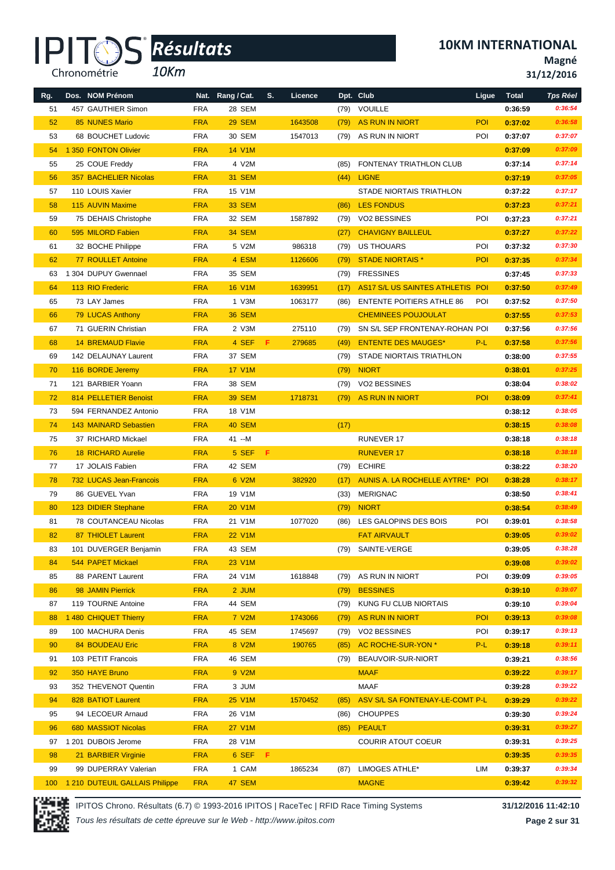*10Km*

**Magné**

**31/12/2016**

| Rg. | Dos. NOM Prénom                |            | Nat. Rang / Cat. | S. | Licence |      | Dpt. Club                        | Ligue      | <b>Total</b> | <b>Tps Réel</b> |
|-----|--------------------------------|------------|------------------|----|---------|------|----------------------------------|------------|--------------|-----------------|
| 51  | 457 GAUTHIER Simon             | <b>FRA</b> | 28 SEM           |    |         | (79) | VOUILLE                          |            | 0:36:59      | 0:36:54         |
| 52  | 85 NUNES Mario                 | <b>FRA</b> | <b>29 SEM</b>    |    | 1643508 | (79) | AS RUN IN NIORT                  | <b>POI</b> | 0:37:02      | 0:36:58         |
| 53  | 68 BOUCHET Ludovic             | <b>FRA</b> | 30 SEM           |    | 1547013 |      | (79) AS RUN IN NIORT             | POI        | 0:37:07      | 0:37:07         |
| 54  | 1 350 FONTON Olivier           | <b>FRA</b> | <b>14 V1M</b>    |    |         |      |                                  |            | 0:37:09      | 0:37:09         |
| 55  | 25 COUE Freddy                 | <b>FRA</b> | 4 V2M            |    |         | (85) | FONTENAY TRIATHLON CLUB          |            | 0:37:14      | 0:37:14         |
| 56  | <b>357 BACHELIER Nicolas</b>   | <b>FRA</b> | <b>31 SEM</b>    |    |         |      | $(44)$ LIGNE                     |            | 0:37:19      | 0:37:05         |
| 57  | 110 LOUIS Xavier               | <b>FRA</b> | 15 V1M           |    |         |      | STADE NIORTAIS TRIATHLON         |            | 0:37:22      | 0:37:17         |
| 58  | 115 AUVIN Maxime               | <b>FRA</b> | <b>33 SEM</b>    |    |         | (86) | <b>LES FONDUS</b>                |            | 0:37:23      | 0:37:21         |
| 59  | 75 DEHAIS Christophe           | <b>FRA</b> | 32 SEM           |    | 1587892 | (79) | <b>VO2 BESSINES</b>              | POI        | 0:37:23      | 0:37:21         |
| 60  | 595 MILORD Fabien              | <b>FRA</b> | <b>34 SEM</b>    |    |         | (27) | <b>CHAVIGNY BAILLEUL</b>         |            | 0:37:27      | 0:37:22         |
| 61  | 32 BOCHE Philippe              | <b>FRA</b> | 5 V2M            |    | 986318  | (79) | US THOUARS                       | POI        | 0:37:32      | 0:37:30         |
| 62  | 77 ROULLET Antoine             | <b>FRA</b> | 4 ESM            |    | 1126606 | (79) | <b>STADE NIORTAIS*</b>           | <b>POI</b> | 0:37:35      | 0:37:34         |
| 63  | 1 304 DUPUY Gwennael           | <b>FRA</b> | 35 SEM           |    |         | (79) | <b>FRESSINES</b>                 |            | 0:37:45      | 0:37:33         |
| 64  | 113 RIO Frederic               | <b>FRA</b> | <b>16 V1M</b>    |    | 1639951 | (17) | AS17 S/L US SAINTES ATHLETIS POI |            | 0:37:50      | 0:37:49         |
| 65  | 73 LAY James                   | <b>FRA</b> | 1 V3M            |    | 1063177 | (86) | <b>ENTENTE POITIERS ATHLE 86</b> | POI        | 0:37:52      | 0:37:50         |
| 66  | 79 LUCAS Anthony               | <b>FRA</b> | <b>36 SEM</b>    |    |         |      | <b>CHEMINEES POUJOULAT</b>       |            | 0:37:55      | 0:37:53         |
| 67  | 71 GUERIN Christian            | <b>FRA</b> | 2 V3M            |    | 275110  | (79) | SN S/L SEP FRONTENAY-ROHAN POI   |            | 0:37:56      | 0:37:56         |
| 68  | <b>14 BREMAUD Flavie</b>       | <b>FRA</b> | 4 SEF            | F. | 279685  | (49) | <b>ENTENTE DES MAUGES*</b>       | $P-L$      | 0:37:58      | 0:37:56         |
| 69  | 142 DELAUNAY Laurent           | <b>FRA</b> | 37 SEM           |    |         | (79) | STADE NIORTAIS TRIATHLON         |            | 0:38:00      | 0:37:55         |
| 70  | 116 BORDE Jeremy               | <b>FRA</b> | <b>17 V1M</b>    |    |         | (79) | <b>NIORT</b>                     |            | 0:38:01      | 0:37:25         |
| 71  | 121 BARBIER Yoann              | <b>FRA</b> | 38 SEM           |    |         | (79) | <b>VO2 BESSINES</b>              |            | 0:38:04      | 0:38:02         |
| 72  | 814 PELLETIER Benoist          | <b>FRA</b> | <b>39 SEM</b>    |    | 1718731 | (79) | AS RUN IN NIORT                  | <b>POI</b> | 0:38:09      | 0:37:41         |
| 73  | 594 FERNANDEZ Antonio          | <b>FRA</b> | 18 V1M           |    |         |      |                                  |            | 0:38:12      | 0:38:05         |
| 74  | <b>143 MAINARD Sebastien</b>   | <b>FRA</b> | <b>40 SEM</b>    |    |         | (17) |                                  |            | 0:38:15      | 0:38:08         |
| 75  | 37 RICHARD Mickael             | <b>FRA</b> | 41 --M           |    |         |      | <b>RUNEVER 17</b>                |            | 0:38:18      | 0:38:18         |
| 76  | <b>18 RICHARD Aurelie</b>      | <b>FRA</b> | 5 SEF F          |    |         |      | <b>RUNEVER 17</b>                |            | 0:38:18      | 0:38:18         |
| 77  | 17 JOLAIS Fabien               | <b>FRA</b> | 42 SEM           |    |         |      | (79) ECHIRE                      |            | 0:38:22      | 0:38:20         |
| 78  | 732 LUCAS Jean-Francois        | <b>FRA</b> | 6 V2M            |    | 382920  | (17) | AUNIS A. LA ROCHELLE AYTRE* POI  |            | 0:38:28      | 0:38:17         |
| 79  | 86 GUEVEL Yvan                 | <b>FRA</b> | 19 V1M           |    |         | (33) | <b>MERIGNAC</b>                  |            | 0:38:50      | 0:38:41         |
| 80  | 123 DIDIER Stephane            | <b>FRA</b> | <b>20 V1M</b>    |    |         | (79) | <b>NIORT</b>                     |            | 0:38:54      | 0:38:49         |
| 81  | 78 COUTANCEAU Nicolas          | <b>FRA</b> | 21 V1M           |    | 1077020 | (86) | LES GALOPINS DES BOIS            | POI        | 0:39:01      | 0:38:58         |
| 82  | 87 THIOLET Laurent             | <b>FRA</b> | <b>22 V1M</b>    |    |         |      | <b>FAT AIRVAULT</b>              |            | 0:39:05      | 0:39:02         |
| 83  | 101 DUVERGER Benjamin          | <b>FRA</b> | 43 SEM           |    |         | (79) | SAINTE-VERGE                     |            | 0:39:05      | 0:38:28         |
| 84  | 544 PAPET Mickael              | <b>FRA</b> | 23 V1M           |    |         |      |                                  |            | 0:39:08      | 0:39:02         |
| 85  | 88 PARENT Laurent              | <b>FRA</b> | 24 V1M           |    | 1618848 |      | (79) AS RUN IN NIORT             | POI        | 0:39:09      | 0:39:05         |
| 86  | 98 JAMIN Pierrick              | <b>FRA</b> | 2 JUM            |    |         | (79) | <b>BESSINES</b>                  |            | 0:39:10      | 0:39:07         |
| 87  | 119 TOURNE Antoine             | <b>FRA</b> | 44 SEM           |    |         | (79) | KUNG FU CLUB NIORTAIS            |            | 0:39:10      | 0:39:04         |
| 88  | 1 480 CHIQUET Thierry          | <b>FRA</b> | 7 V2M            |    | 1743066 | (79) | AS RUN IN NIORT                  | POI        | 0:39:13      | 0:39:08         |
| 89  | 100 MACHURA Denis              | <b>FRA</b> | 45 SEM           |    | 1745697 | (79) | VO2 BESSINES                     | POI        | 0:39:17      | 0:39:13         |
| 90  | <b>84 BOUDEAU Eric</b>         | <b>FRA</b> | 8 V2M            |    | 190765  | (85) | AC ROCHE-SUR-YON *               | P-L        | 0:39:18      | 0:39:11         |
| 91  | 103 PETIT Francois             | <b>FRA</b> | 46 SEM           |    |         | (79) | BEAUVOIR-SUR-NIORT               |            | 0:39:21      | 0:38:56         |
| 92  | 350 HAYE Bruno                 | <b>FRA</b> | 9 V2M            |    |         |      | <b>MAAF</b>                      |            | 0:39:22      | 0:39:17         |
| 93  | 352 THEVENOT Quentin           | <b>FRA</b> | 3 JUM            |    |         |      | MAAF                             |            | 0:39:28      | 0:39:22         |
| 94  | 828 BATIOT Laurent             | <b>FRA</b> | 25 V1M           |    | 1570452 | (85) | ASV S/L SA FONTENAY-LE-COMT P-L  |            | 0:39:29      | 0:39:22         |
| 95  | 94 LECOEUR Arnaud              | <b>FRA</b> | 26 V1M           |    |         | (86) | <b>CHOUPPES</b>                  |            | 0:39:30      | 0:39:24         |
| 96  | 680 MASSIOT Nicolas            | <b>FRA</b> | <b>27 V1M</b>    |    |         | (85) | <b>PEAULT</b>                    |            | 0:39:31      | 0:39:27         |
| 97  | 1 201 DUBOIS Jerome            | <b>FRA</b> | 28 V1M           |    |         |      | <b>COURIR ATOUT COEUR</b>        |            | 0:39:31      | 0:39:25         |
| 98  | 21 BARBIER Virginie            | <b>FRA</b> | 6 SEF F          |    |         |      |                                  |            | 0:39:35      | 0:39:35         |
| 99  | 99 DUPERRAY Valerian           | <b>FRA</b> | 1 CAM            |    | 1865234 | (87) | LIMOGES ATHLE*                   | LIM        | 0:39:37      | 0:39:34         |
| 100 | 1 210 DUTEUIL GALLAIS Philippe | <b>FRA</b> | 47 SEM           |    |         |      | <b>MAGNE</b>                     |            | 0:39:42      | 0:39:32         |

IPITOS Chrono. Résultats (6.7) © 1993-2016 IPITOS | RaceTec | RFID Race Timing Systems **31/12/2016 11:42:10**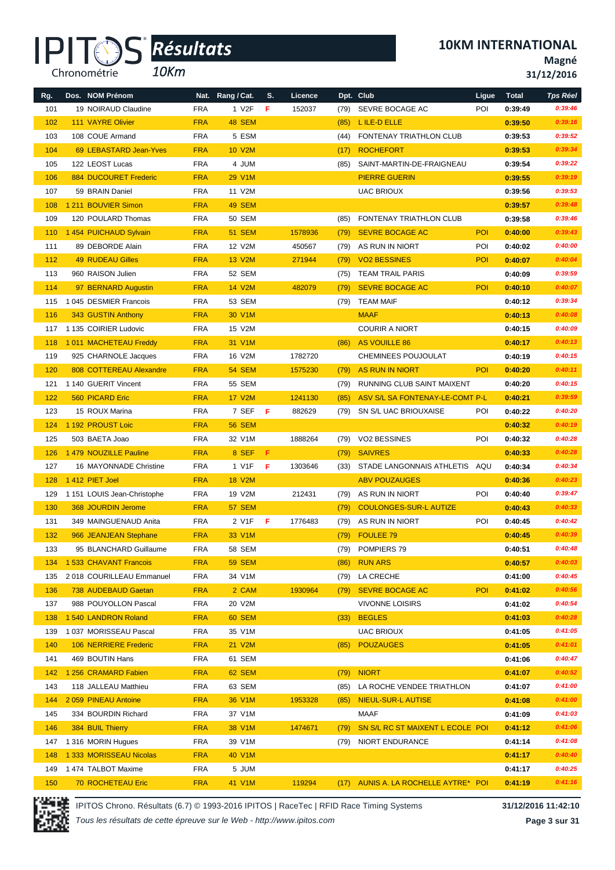*10Km*

**10KM INTERNATIONAL**

**Magné**

**31/12/2016**

| Rg.        | Dos. NOM Prénom              |            | Nat. Rang / Cat.    | S. | Licence |      | Dpt. Club                            | Ligue      | <b>Total</b> | <b>Tps Réel</b> |
|------------|------------------------------|------------|---------------------|----|---------|------|--------------------------------------|------------|--------------|-----------------|
| 101        | 19 NOIRAUD Claudine          | <b>FRA</b> | 1 V2F               | F. | 152037  | (79) | SEVRE BOCAGE AC                      | POI        | 0:39:49      | 0:39:46         |
| 102        | <b>111 VAYRE Olivier</b>     | <b>FRA</b> | <b>48 SEM</b>       |    |         | (85) | L ILE-D ELLE                         |            | 0:39:50      | 0:39:16         |
| 103        | 108 COUE Armand              | <b>FRA</b> | 5 ESM               |    |         | (44) | FONTENAY TRIATHLON CLUB              |            | 0:39:53      | 0:39:52         |
| 104        | 69 LEBASTARD Jean-Yves       | <b>FRA</b> | <b>10 V2M</b>       |    |         | (17) | <b>ROCHEFORT</b>                     |            | 0:39:53      | 0:39:34         |
| 105        | 122 LEOST Lucas              | <b>FRA</b> | 4 JUM               |    |         | (85) | SAINT-MARTIN-DE-FRAIGNEAU            |            | 0:39:54      | 0:39:22         |
| 106        | <b>884 DUCOURET Frederic</b> | <b>FRA</b> | 29 V1M              |    |         |      | <b>PIERRE GUERIN</b>                 |            | 0:39:55      | 0:39:19         |
| 107        | 59 BRAIN Daniel              | <b>FRA</b> | 11 V2M              |    |         |      | <b>UAC BRIOUX</b>                    |            | 0:39:56      | 0:39:53         |
| 108        | 1 211 BOUVIER Simon          | <b>FRA</b> | 49 SEM              |    |         |      |                                      |            | 0:39:57      | 0:39:48         |
| 109        | 120 POULARD Thomas           | <b>FRA</b> | 50 SEM              |    |         | (85) | <b>FONTENAY TRIATHLON CLUB</b>       |            | 0:39:58      | 0:39:46         |
| 110        | 1 454 PUICHAUD Sylvain       | <b>FRA</b> | <b>51 SEM</b>       |    | 1578936 | (79) | <b>SEVRE BOCAGE AC</b>               | <b>POI</b> | 0:40:00      | 0:39:43         |
| 111        | 89 DEBORDE Alain             | <b>FRA</b> | 12 V2M              |    | 450567  | (79) | AS RUN IN NIORT                      | POI        | 0:40:02      | 0:40:00         |
| 112        | <b>49 RUDEAU Gilles</b>      | <b>FRA</b> | 13 V2M              |    | 271944  | (79) | <b>VO2 BESSINES</b>                  | POI        | 0:40:07      | 0:40:04         |
| 113        | 960 RAISON Julien            | <b>FRA</b> | 52 SEM              |    |         | (75) | <b>TEAM TRAIL PARIS</b>              |            | 0:40:09      | 0:39:59         |
| 114        | 97 BERNARD Augustin          | <b>FRA</b> | <b>14 V2M</b>       |    | 482079  | (79) | <b>SEVRE BOCAGE AC</b>               | POI        | 0:40:10      | 0:40:07         |
| 115        | 1 045 DESMIER Francois       | <b>FRA</b> | 53 SEM              |    |         | (79) | <b>TEAM MAIF</b>                     |            | 0:40:12      | 0:39:34         |
| 116        | 343 GUSTIN Anthony           | <b>FRA</b> | 30 V <sub>1</sub> M |    |         |      | <b>MAAF</b>                          |            | 0:40:13      | 0:40:08         |
| 117        | 1 135 COIRIER Ludovic        | <b>FRA</b> | 15 V2M              |    |         |      | <b>COURIR A NIORT</b>                |            | 0:40:15      | 0:40:09         |
| 118        | 1011 MACHETEAU Freddy        | <b>FRA</b> | 31 V1M              |    |         | (86) | AS VOUILLE 86                        |            | 0:40:17      | 0:40:13         |
| 119        | 925 CHARNOLE Jacques         | <b>FRA</b> | 16 V2M              |    | 1782720 |      | <b>CHEMINEES POUJOULAT</b>           |            | 0:40:19      | 0:40:15         |
| 120        | 808 COTTEREAU Alexandre      | <b>FRA</b> | <b>54 SEM</b>       |    | 1575230 | (79) | AS RUN IN NIORT                      | POI        | 0:40:20      | 0:40:11         |
| 121        | 1 140 GUERIT Vincent         | <b>FRA</b> | 55 SEM              |    |         | (79) | RUNNING CLUB SAINT MAIXENT           |            | 0:40:20      | 0:40:15         |
| 122        | 560 PICARD Eric              | <b>FRA</b> | <b>17 V2M</b>       |    | 1241130 | (85) | ASV S/L SA FONTENAY-LE-COMT P-L      |            | 0:40:21      | 0:39:59         |
| 123        | 15 ROUX Marina               | <b>FRA</b> | 7 SEFFF             |    | 882629  | (79) | SN S/L UAC BRIOUXAISE                | POI        | 0:40:22      | 0:40:20         |
| 124        | 1 192 PROUST Loic            | <b>FRA</b> | <b>56 SEM</b>       |    |         |      |                                      |            | 0:40:32      | 0:40:19         |
| 125        | 503 BAETA Joao               | <b>FRA</b> | 32 V1M              |    | 1888264 | (79) | VO2 BESSINES                         | POI        | 0:40:32      | 0:40:28         |
| 126        | 1479 NOUZILLE Pauline        | <b>FRA</b> | 8 SEF               | F. |         | (79) | <b>SAIVRES</b>                       |            | 0:40:33      | 0:40:28         |
| 127        | 16 MAYONNADE Christine       | <b>FRA</b> | 1 V1F               | F. | 1303646 | (33) | STADE LANGONNAIS ATHLETIS AQU        |            | 0:40:34      | 0:40:34         |
| 128        | 1412 PIET Joel               | <b>FRA</b> | <b>18 V2M</b>       |    |         |      | <b>ABV POUZAUGES</b>                 |            | 0:40:36      | 0:40:23         |
| 129        | 1 151 LOUIS Jean-Christophe  | <b>FRA</b> | 19 V2M              |    | 212431  | (79) | AS RUN IN NIORT                      | POI        | 0:40:40      | 0:39:47         |
| 130        | 368 JOURDIN Jerome           | <b>FRA</b> | <b>57 SEM</b>       |    |         |      | <b>COULONGES-SUR-L AUTIZE</b>        |            | 0:40:43      | 0:40:33         |
|            |                              | <b>FRA</b> |                     |    | 1776483 | (79) |                                      | POI        |              | 0:40:42         |
| 131<br>132 | 349 MAINGUENAUD Anita        |            | 2 V1F               | F  |         | (79) | AS RUN IN NIORT<br><b>FOULEE 79</b>  |            | 0:40:45      | 0:40:39         |
|            | 966 JEANJEAN Stephane        | <b>FRA</b> | 33 V1M              |    |         | (79) |                                      |            | 0:40:45      | 0:40:48         |
| 133        | 95 BLANCHARD Guillaume       | <b>FRA</b> | 58 SEM              |    |         | (79) | POMPIERS 79                          |            | 0:40:51      |                 |
| 134        | 1 533 CHAVANT Francois       | <b>FRA</b> | <b>59 SEM</b>       |    |         | (86) | <b>RUN ARS</b>                       |            | 0:40:57      | 0:40:03         |
| 135        | 2018 COURILLEAU Emmanuel     | <b>FRA</b> | 34 V1M              |    |         | (79) | LA CRECHE                            |            | 0:41:00      | 0:40:45         |
| 136        | 738 AUDEBAUD Gaetan          | <b>FRA</b> | 2 CAM               |    | 1930964 | (79) | SEVRE BOCAGE AC                      | POI        | 0:41:02      | 0:40:56         |
| 137        | 988 POUYOLLON Pascal         | <b>FRA</b> | 20 V2M              |    |         |      | <b>VIVONNE LOISIRS</b>               |            | 0:41:02      | 0:40:54         |
| 138        | 1 540 LANDRON Roland         | <b>FRA</b> | 60 SEM              |    |         | (33) | <b>BEGLES</b>                        |            | 0:41:03      | 0:40:28         |
| 139        | 1037 MORISSEAU Pascal        | <b>FRA</b> | 35 V1M              |    |         |      | <b>UAC BRIOUX</b>                    |            | 0:41:05      | 0:41:05         |
| 140        | 106 NERRIERE Frederic        | <b>FRA</b> | 21 V2M              |    |         | (85) | <b>POUZAUGES</b>                     |            | 0:41:05      | 0:41:01         |
| 141        | 469 BOUTIN Hans              | <b>FRA</b> | 61 SEM              |    |         |      |                                      |            | 0:41:06      | 0:40:47         |
| 142        | 1 256 CRAMARD Fabien         | <b>FRA</b> | 62 SEM              |    |         | (79) | <b>NIORT</b>                         |            | 0:41:07      | 0:40:52         |
| 143        | 118 JALLEAU Matthieu         | <b>FRA</b> | 63 SEM              |    |         | (85) | LA ROCHE VENDEE TRIATHLON            |            | 0:41:07      | 0:41:00         |
| 144        | 2059 PINEAU Antoine          | <b>FRA</b> | 36 V1M              |    | 1953328 | (85) | <b>NIEUL-SUR-L AUTISE</b>            |            | 0:41:08      | 0:41:00         |
| 145        | 334 BOURDIN Richard          | <b>FRA</b> | 37 V1M              |    |         |      | MAAF                                 |            | 0:41:09      | 0:41:03         |
| 146        | 384 BUIL Thierry             | <b>FRA</b> | 38 V1M              |    | 1474671 | (79) | SN S/L RC ST MAIXENT L ECOLE POI     |            | 0:41:12      | 0:41:06         |
| 147        | 1 316 MORIN Hugues           | <b>FRA</b> | 39 V1M              |    |         | (79) | NIORT ENDURANCE                      |            | 0:41:14      | 0:41:08         |
| 148        | 1 333 MORISSEAU Nicolas      | <b>FRA</b> | 40 V1M              |    |         |      |                                      |            | 0:41:17      | 0:40:40         |
| 149        | 1474 TALBOT Maxime           | <b>FRA</b> | 5 JUM               |    |         |      |                                      |            | 0:41:17      | 0:40:25         |
| 150        | 70 ROCHETEAU Eric            | <b>FRA</b> | 41 V1M              |    | 119294  |      | (17) AUNIS A. LA ROCHELLE AYTRE* POI |            | 0:41:19      | 0:41:16         |



IPITOS Chrono. Résultats (6.7) © 1993-2016 IPITOS | RaceTec | RFID Race Timing Systems **31/12/2016 11:42:10**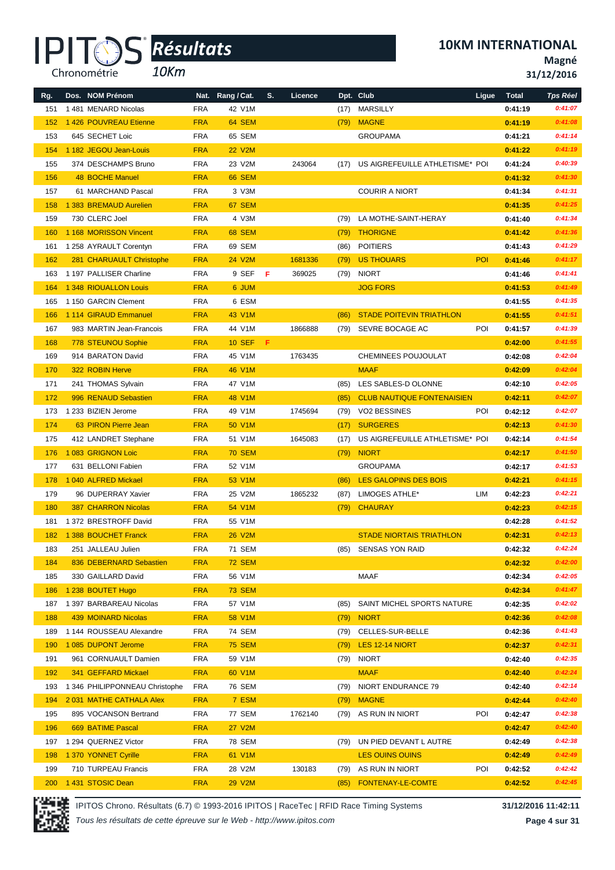*10Km*

**Magné**

**31/12/2016**

| Rg. | Dos. NOM Prénom                |            | Nat. Rang / Cat. | S. | Licence |      | Dpt. Club                         | Ligue      | <b>Total</b> | <b>Tps Réel</b> |
|-----|--------------------------------|------------|------------------|----|---------|------|-----------------------------------|------------|--------------|-----------------|
| 151 | 1481 MENARD Nicolas            | <b>FRA</b> | 42 V1M           |    |         | (17) | MARSILLY                          |            | 0:41:19      | 0:41:07         |
| 152 | 1 426 POUVREAU Etienne         | <b>FRA</b> | 64 SEM           |    |         | (79) | <b>MAGNE</b>                      |            | 0:41:19      | 0:41:08         |
| 153 | 645 SECHET Loic                | <b>FRA</b> | 65 SEM           |    |         |      | <b>GROUPAMA</b>                   |            | 0:41:21      | 0:41:14         |
| 154 | 1 182 JEGOU Jean-Louis         | <b>FRA</b> | <b>22 V2M</b>    |    |         |      |                                   |            | 0:41:22      | 0:41:19         |
| 155 | 374 DESCHAMPS Bruno            | <b>FRA</b> | 23 V2M           |    | 243064  | (17) | US AIGREFEUILLE ATHLETISME* POI   |            | 0:41:24      | 0:40:39         |
| 156 | <b>48 BOCHE Manuel</b>         | <b>FRA</b> | <b>66 SEM</b>    |    |         |      |                                   |            | 0:41:32      | 0:41:30         |
| 157 | 61 MARCHAND Pascal             | <b>FRA</b> | 3 V3M            |    |         |      | <b>COURIR A NIORT</b>             |            | 0:41:34      | 0:41:31         |
| 158 | 1 383 BREMAUD Aurelien         | <b>FRA</b> | 67 SEM           |    |         |      |                                   |            | 0:41:35      | 0:41:25         |
| 159 | 730 CLERC Joel                 | <b>FRA</b> | 4 V3M            |    |         | (79) | LA MOTHE-SAINT-HERAY              |            | 0:41:40      | 0:41:34         |
| 160 | 1 168 MORISSON Vincent         | <b>FRA</b> | <b>68 SEM</b>    |    |         | (79) | <b>THORIGNE</b>                   |            | 0:41:42      | 0:41:36         |
| 161 | 1 258 AYRAULT Corentyn         | <b>FRA</b> | 69 SEM           |    |         | (86) | <b>POITIERS</b>                   |            | 0:41:43      | 0:41:29         |
| 162 | 281 CHARUAULT Christophe       | <b>FRA</b> | 24 V2M           |    | 1681336 | (79) | <b>US THOUARS</b>                 | <b>POI</b> | 0:41:46      | 0:41:17         |
| 163 | 1 197 PALLISER Charline        | <b>FRA</b> | 9 SEF            | Æ  | 369025  | (79) | <b>NIORT</b>                      |            | 0:41:46      | 0:41:41         |
| 164 | 1 348 RIOUALLON Louis          | <b>FRA</b> | 6 JUM            |    |         |      | <b>JOG FORS</b>                   |            | 0:41:53      | 0:41:49         |
| 165 | 1150 GARCIN Clement            | <b>FRA</b> | 6 ESM            |    |         |      |                                   |            | 0:41:55      | 0:41:35         |
| 166 | 1 114 GIRAUD Emmanuel          | <b>FRA</b> | 43 V1M           |    |         | (86) | <b>STADE POITEVIN TRIATHLON</b>   |            | 0:41:55      | 0:41:51         |
| 167 | 983 MARTIN Jean-Francois       | <b>FRA</b> | 44 V1M           |    | 1866888 | (79) | SEVRE BOCAGE AC                   | POI        | 0:41:57      | 0:41:39         |
| 168 | 778 STEUNOU Sophie             | <b>FRA</b> | <b>10 SEF</b>    | -F |         |      |                                   |            | 0:42:00      | 0:41:55         |
| 169 | 914 BARATON David              | <b>FRA</b> | 45 V1M           |    | 1763435 |      | CHEMINEES POUJOULAT               |            | 0:42:08      | 0:42:04         |
| 170 | 322 ROBIN Herve                | <b>FRA</b> | 46 V1M           |    |         |      | <b>MAAF</b>                       |            | 0:42:09      | 0:42:04         |
| 171 | 241 THOMAS Sylvain             | <b>FRA</b> | 47 V1M           |    |         | (85) | LES SABLES-D OLONNE               |            | 0:42:10      | 0:42:05         |
| 172 | 996 RENAUD Sebastien           | <b>FRA</b> | 48 V1M           |    |         | (85) | <b>CLUB NAUTIQUE FONTENAISIEN</b> |            | 0:42:11      | 0:42:07         |
|     | 1 233 BIZIEN Jerome            |            |                  |    | 1745694 |      |                                   | POI        |              | 0:42:07         |
| 173 |                                | <b>FRA</b> | 49 V1M           |    |         | (79) | VO2 BESSINES                      |            | 0:42:12      |                 |
| 174 | 63 PIRON Pierre Jean           | <b>FRA</b> | 50 V1M           |    |         | (17) | <b>SURGERES</b>                   |            | 0:42:13      | 0:41:30         |
| 175 | 412 LANDRET Stephane           | <b>FRA</b> | 51 V1M           |    | 1645083 | (17) | US AIGREFEUILLE ATHLETISME* POI   |            | 0:42:14      | 0:41:54         |
| 176 | 1083 GRIGNON Loic              | <b>FRA</b> | <b>70 SEM</b>    |    |         | (79) | <b>NIORT</b>                      |            | 0:42:17      | 0:41:50         |
| 177 | 631 BELLONI Fabien             | <b>FRA</b> | 52 V1M           |    |         |      | <b>GROUPAMA</b>                   |            | 0:42:17      | 0:41:53         |
| 178 | 1 040 ALFRED Mickael           | <b>FRA</b> | 53 V1M           |    |         | (86) | <b>LES GALOPINS DES BOIS</b>      |            | 0:42:21      | 0:41:15         |
| 179 | 96 DUPERRAY Xavier             | <b>FRA</b> | 25 V2M           |    | 1865232 | (87) | LIMOGES ATHLE*                    | LIM        | 0:42:23      | 0:42:21         |
| 180 | <b>387 CHARRON Nicolas</b>     | <b>FRA</b> | 54 V1M           |    |         | (79) | <b>CHAURAY</b>                    |            | 0:42:23      | 0:42:15         |
| 181 | 1 372 BRESTROFF David          | <b>FRA</b> | 55 V1M           |    |         |      |                                   |            | 0:42:28      | 0:41:52         |
| 182 | 1 388 BOUCHET Franck           | <b>FRA</b> | <b>26 V2M</b>    |    |         |      | <b>STADE NIORTAIS TRIATHLON</b>   |            | 0:42:31      | 0:42:13         |
| 183 | 251 JALLEAU Julien             | <b>FRA</b> | 71 SEM           |    |         |      | (85) SENSAS YON RAID              |            | 0:42:32      | 0:42:24         |
| 184 | 836 DEBERNARD Sebastien        | <b>FRA</b> | <b>72 SEM</b>    |    |         |      |                                   |            | 0:42:32      | 0:42:00         |
| 185 | 330 GAILLARD David             | <b>FRA</b> | 56 V1M           |    |         |      | MAAF                              |            | 0:42:34      | 0:42:05         |
| 186 | 1 238 BOUTET Hugo              | <b>FRA</b> | <b>73 SEM</b>    |    |         |      |                                   |            | 0:42:34      | 0:41:47         |
| 187 | 1 397 BARBAREAU Nicolas        | <b>FRA</b> | 57 V1M           |    |         | (85) | SAINT MICHEL SPORTS NATURE        |            | 0:42:35      | 0:42:02         |
| 188 | <b>439 MOINARD Nicolas</b>     | <b>FRA</b> | 58 V1M           |    |         | (79) | <b>NIORT</b>                      |            | 0:42:36      | 0:42:08         |
| 189 | 1 144 ROUSSEAU Alexandre       | <b>FRA</b> | 74 SEM           |    |         | (79) | CELLES-SUR-BELLE                  |            | 0:42:36      | 0:41:43         |
| 190 | 1 085 DUPONT Jerome            | <b>FRA</b> | <b>75 SEM</b>    |    |         | (79) | LES 12-14 NIORT                   |            | 0:42:37      | 0:42:31         |
| 191 | 961 CORNUAULT Damien           | <b>FRA</b> | 59 V1M           |    |         | (79) | <b>NIORT</b>                      |            | 0:42:40      | 0:42:35         |
| 192 | 341 GEFFARD Mickael            | <b>FRA</b> | 60 V1M           |    |         |      | <b>MAAF</b>                       |            | 0:42:40      | 0:42:24         |
| 193 | 1 346 PHILIPPONNEAU Christophe | <b>FRA</b> | 76 SEM           |    |         | (79) | NIORT ENDURANCE 79                |            | 0:42:40      | 0:42:14         |
| 194 | 2031 MATHE CATHALA Alex        | <b>FRA</b> | 7 ESM            |    |         | (79) | <b>MAGNE</b>                      |            | 0:42:44      | 0:42:40         |
| 195 | 895 VOCANSON Bertrand          | <b>FRA</b> | 77 SEM           |    | 1762140 | (79) | AS RUN IN NIORT                   | POI        | 0:42:47      | 0:42:38         |
| 196 | 669 BATIME Pascal              | <b>FRA</b> | <b>27 V2M</b>    |    |         |      |                                   |            | 0:42:47      | 0:42:40         |
| 197 | 1 294 QUERNEZ Victor           | <b>FRA</b> | 78 SEM           |    |         | (79) | UN PIED DEVANT L AUTRE            |            | 0:42:49      | 0:42:38         |
| 198 | 1 370 YONNET Cyrille           | <b>FRA</b> | 61 V1M           |    |         |      | <b>LES OUINS OUINS</b>            |            | 0:42:49      | 0:42:49         |
| 199 | 710 TURPEAU Francis            | <b>FRA</b> | 28 V2M           |    | 130183  |      | (79) AS RUN IN NIORT              | POI        | 0:42:52      | 0:42:42         |
| 200 | 1431 STOSIC Dean               | <b>FRA</b> | <b>29 V2M</b>    |    |         | (85) | FONTENAY-LE-COMTE                 |            | 0:42:52      | 0:42:45         |



IPITOS Chrono. Résultats (6.7) © 1993-2016 IPITOS | RaceTec | RFID Race Timing Systems **31/12/2016 11:42:11**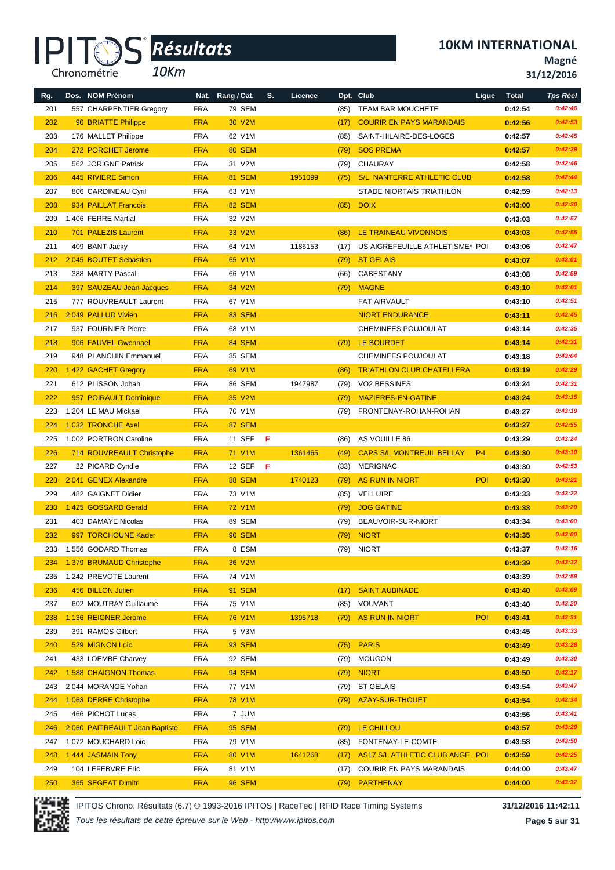*10Km*

**Magné**

**31/12/2016**

| Rg. | Dos. NOM Prénom                |            | Nat. Rang / Cat. | S.  | Licence |      | Dpt. Club                         | Ligue      | <b>Total</b> | <b>Tps Réel</b> |
|-----|--------------------------------|------------|------------------|-----|---------|------|-----------------------------------|------------|--------------|-----------------|
| 201 | 557 CHARPENTIER Gregory        | <b>FRA</b> | <b>79 SEM</b>    |     |         | (85) | <b>TEAM BAR MOUCHETE</b>          |            | 0:42:54      | 0:42:46         |
| 202 | 90 BRIATTE Philippe            | <b>FRA</b> | 30 V2M           |     |         | (17) | <b>COURIR EN PAYS MARANDAIS</b>   |            | 0:42:56      | 0:42:53         |
| 203 | 176 MALLET Philippe            | <b>FRA</b> | 62 V1M           |     |         | (85) | SAINT-HILAIRE-DES-LOGES           |            | 0:42:57      | 0:42:45         |
| 204 | 272 PORCHET Jerome             | <b>FRA</b> | <b>80 SEM</b>    |     |         | (79) | <b>SOS PREMA</b>                  |            | 0:42:57      | 0:42:29         |
| 205 | 562 JORIGNE Patrick            | <b>FRA</b> | 31 V2M           |     |         | (79) | CHAURAY                           |            | 0:42:58      | 0:42:46         |
| 206 | 445 RIVIERE Simon              | <b>FRA</b> | <b>81 SEM</b>    |     | 1951099 | (75) | <b>S/L NANTERRE ATHLETIC CLUB</b> |            | 0:42:58      | 0:42:44         |
| 207 | 806 CARDINEAU Cyril            | <b>FRA</b> | 63 V1M           |     |         |      | STADE NIORTAIS TRIATHLON          |            | 0:42:59      | 0:42:13         |
| 208 | 934 PAILLAT Francois           | <b>FRA</b> | <b>82 SEM</b>    |     |         | (85) | <b>DOIX</b>                       |            | 0:43:00      | 0:42:30         |
| 209 | 1406 FERRE Martial             | <b>FRA</b> | 32 V2M           |     |         |      |                                   |            | 0:43:03      | 0:42:57         |
| 210 | 701 PALEZIS Laurent            | <b>FRA</b> | 33 V2M           |     |         | (86) | LE TRAINEAU VIVONNOIS             |            | 0:43:03      | 0:42:55         |
| 211 | 409 BANT Jacky                 | <b>FRA</b> | 64 V1M           |     | 1186153 | (17) | US AIGREFEUILLE ATHLETISME* POI   |            | 0:43:06      | 0:42:47         |
| 212 | 2045 BOUTET Sebastien          | <b>FRA</b> | 65 V1M           |     |         | (79) | <b>ST GELAIS</b>                  |            | 0:43:07      | 0:43:01         |
| 213 | 388 MARTY Pascal               | <b>FRA</b> | 66 V1M           |     |         | (66) | CABESTANY                         |            | 0:43:08      | 0:42:59         |
| 214 | 397 SAUZEAU Jean-Jacques       | <b>FRA</b> | 34 V2M           |     |         |      | (79) MAGNE                        |            | 0:43:10      | 0:43:01         |
| 215 | 777 ROUVREAULT Laurent         | <b>FRA</b> | 67 V1M           |     |         |      | FAT AIRVAULT                      |            | 0:43:10      | 0:42:51         |
| 216 | 2049 PALLUD Vivien             | <b>FRA</b> | <b>83 SEM</b>    |     |         |      | <b>NIORT ENDURANCE</b>            |            | 0:43:11      | 0:42:45         |
| 217 | 937 FOURNIER Pierre            | <b>FRA</b> | 68 V1M           |     |         |      | CHEMINEES POUJOULAT               |            | 0:43:14      | 0:42:35         |
| 218 | 906 FAUVEL Gwennael            | <b>FRA</b> | <b>84 SEM</b>    |     |         |      | (79) LE BOURDET                   |            | 0:43:14      | 0:42:31         |
| 219 | 948 PLANCHIN Emmanuel          | <b>FRA</b> | 85 SEM           |     |         |      | <b>CHEMINEES POUJOULAT</b>        |            | 0:43:18      | 0:43:04         |
| 220 | 1422 GACHET Gregory            | <b>FRA</b> | 69 V1M           |     |         | (86) | <b>TRIATHLON CLUB CHATELLERA</b>  |            | 0:43:19      | 0:42:29         |
| 221 | 612 PLISSON Johan              | <b>FRA</b> | 86 SEM           |     | 1947987 | (79) | <b>VO2 BESSINES</b>               |            | 0:43:24      | 0:42:31         |
| 222 | 957 POIRAULT Dominique         | <b>FRA</b> | 35 V2M           |     |         | (79) | MAZIERES-EN-GATINE                |            | 0:43:24      | 0:43:15         |
| 223 | 1 204 LE MAU Mickael           | <b>FRA</b> | 70 V1M           |     |         |      | (79) FRONTENAY-ROHAN-ROHAN        |            | 0:43:27      | 0:43:19         |
| 224 | 1032 TRONCHE Axel              | <b>FRA</b> | <b>87 SEM</b>    |     |         |      |                                   |            | 0:43:27      | 0:42:55         |
| 225 | 1 002 PORTRON Caroline         | <b>FRA</b> | 11 SEF           | - F |         | (86) | AS VOUILLE 86                     |            | 0:43:29      | 0:43:24         |
| 226 | 714 ROUVREAULT Christophe      | <b>FRA</b> | 71 V1M           |     | 1361465 | (49) | <b>CAPS S/L MONTREUIL BELLAY</b>  | $P-L$      | 0:43:30      | 0:43:10         |
| 227 | 22 PICARD Cyndie               | <b>FRA</b> | 12 SEF           | - F |         | (33) | <b>MERIGNAC</b>                   |            | 0:43:30      | 0:42:53         |
| 228 | 2041 GENEX Alexandre           | <b>FRA</b> | <b>88 SEM</b>    |     | 1740123 | (79) | AS RUN IN NIORT                   | <b>POI</b> | 0:43:30      | 0:43:21         |
| 229 | 482 GAIGNET Didier             | <b>FRA</b> | 73 V1M           |     |         | (85) | <b>VELLUIRE</b>                   |            | 0:43:33      | 0:43:22         |
| 230 | 1425 GOSSARD Gerald            | <b>FRA</b> | <b>72 V1M</b>    |     |         | (79) | <b>JOG GATINE</b>                 |            | 0:43:33      | 0:43:20         |
| 231 | 403 DAMAYE Nicolas             | <b>FRA</b> | 89 SEM           |     |         | (79) | BEAUVOIR-SUR-NIORT                |            | 0:43:34      | 0:43:00         |
| 232 | 997 TORCHOUNE Kader            | <b>FRA</b> | <b>90 SEM</b>    |     |         |      | (79) NIORT                        |            | 0:43:35      | 0:43:00         |
| 233 | 1 556 GODARD Thomas            | FRA        | 8 ESM            |     |         |      | (79) NIORT                        |            | 0:43:37      | 0:43:16         |
| 234 | 1 379 BRUMAUD Christophe       | <b>FRA</b> | 36 V2M           |     |         |      |                                   |            | 0:43:39      | 0:43:32         |
| 235 | 1 242 PREVOTE Laurent          | <b>FRA</b> | 74 V1M           |     |         |      |                                   |            | 0:43:39      | 0:42:59         |
| 236 | 456 BILLON Julien              | <b>FRA</b> | <b>91 SEM</b>    |     |         | (17) | <b>SAINT AUBINADE</b>             |            | 0:43:40      | 0:43:09         |
| 237 | 602 MOUTRAY Guillaume          | <b>FRA</b> | 75 V1M           |     |         | (85) | VOUVANT                           |            | 0:43:40      | 0:43:20         |
| 238 | 1 136 REIGNER Jerome           | <b>FRA</b> | <b>76 V1M</b>    |     | 1395718 | (79) | AS RUN IN NIORT                   | <b>POI</b> | 0:43:41      | 0:43:31         |
| 239 | 391 RAMOS Gilbert              | <b>FRA</b> | 5 V3M            |     |         |      |                                   |            | 0:43:45      | 0:43:33         |
| 240 | 529 MIGNON Loic                | <b>FRA</b> | <b>93 SEM</b>    |     |         | (75) | <b>PARIS</b>                      |            | 0:43:49      | 0:43:28         |
| 241 | 433 LOEMBE Charvey             | <b>FRA</b> | 92 SEM           |     |         | (79) | <b>MOUGON</b>                     |            | 0:43:49      | 0:43:30         |
| 242 | 1 588 CHAIGNON Thomas          | <b>FRA</b> | <b>94 SEM</b>    |     |         | (79) | <b>NIORT</b>                      |            | 0:43:50      | 0:43:17         |
| 243 | 2044 MORANGE Yohan             | <b>FRA</b> | 77 V1M           |     |         | (79) | <b>ST GELAIS</b>                  |            | 0:43:54      | 0:43:47         |
| 244 | 1 063 DERRE Christophe         | <b>FRA</b> | <b>78 V1M</b>    |     |         | (79) | AZAY-SUR-THOUET                   |            | 0:43:54      | 0:42:34         |
| 245 | 466 PICHOT Lucas               | <b>FRA</b> | 7 JUM            |     |         |      |                                   |            | 0:43:56      | 0:43:41         |
| 246 | 2 060 PAITREAULT Jean Baptiste | <b>FRA</b> | <b>95 SEM</b>    |     |         | (79) | LE CHILLOU                        |            | 0:43:57      | 0:43:29         |
| 247 | 1 072 MOUCHARD Loic            | <b>FRA</b> | 79 V1M           |     |         | (85) | FONTENAY-LE-COMTE                 |            | 0:43:58      | 0:43:50         |
| 248 | 1 444 JASMAIN Tony             | <b>FRA</b> | 80 V1M           |     | 1641268 | (17) | AS17 S/L ATHLETIC CLUB ANGE POI   |            | 0:43:59      | 0:42:25         |
| 249 | 104 LEFEBVRE Eric              | <b>FRA</b> | 81 V1M           |     |         | (17) | <b>COURIR EN PAYS MARANDAIS</b>   |            | 0:44:00      | 0:43:47         |
| 250 | 365 SEGEAT Dimitri             | <b>FRA</b> | <b>96 SEM</b>    |     |         |      | (79) PARTHENAY                    |            | 0:44:00      | 0:43:32         |

IPITOS Chrono. Résultats (6.7) © 1993-2016 IPITOS | RaceTec | RFID Race Timing Systems **31/12/2016 11:42:11**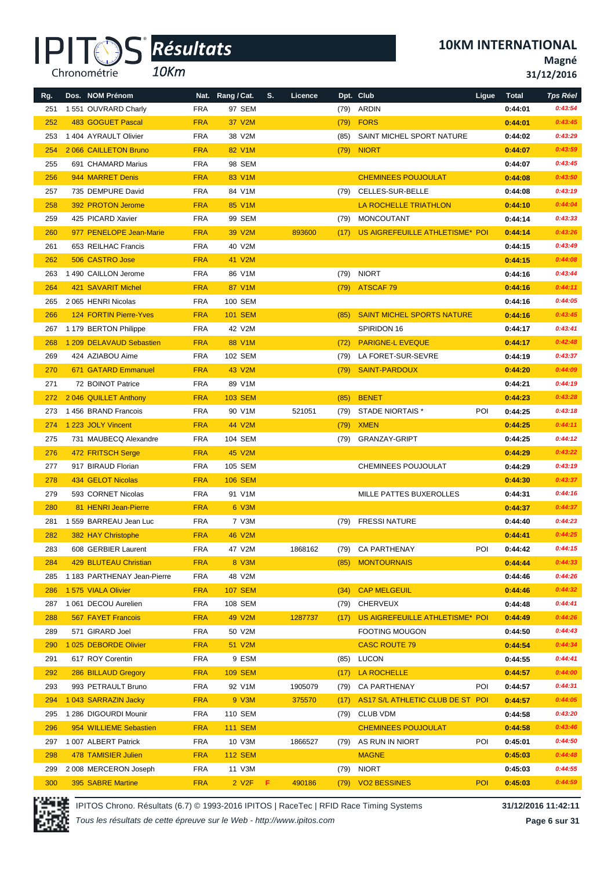*10Km*

**10KM INTERNATIONAL**

**Magné**

**31/12/2016**

| Rg. | Dos. NOM Prénom               |            | Nat. Rang / Cat.           | S. | Licence |      | Dpt. Club                         | Ligue | <b>Total</b> | <b>Tps Réel</b> |
|-----|-------------------------------|------------|----------------------------|----|---------|------|-----------------------------------|-------|--------------|-----------------|
| 251 | 1 551 OUVRARD Charly          | <b>FRA</b> | 97 SEM                     |    |         | (79) | ARDIN                             |       | 0:44:01      | 0:43:54         |
| 252 | 483 GOGUET Pascal             | <b>FRA</b> | 37 V2M                     |    |         | (79) | <b>FORS</b>                       |       | 0:44:01      | 0:43:45         |
| 253 | 1 404 AYRAULT Olivier         | <b>FRA</b> | 38 V2M                     |    |         | (85) | SAINT MICHEL SPORT NATURE         |       | 0:44:02      | 0:43:29         |
| 254 | 2 066 CAILLETON Bruno         | <b>FRA</b> | 82 V1M                     |    |         | (79) | <b>NIORT</b>                      |       | 0:44:07      | 0:43:59         |
| 255 | 691 CHAMARD Marius            | <b>FRA</b> | 98 SEM                     |    |         |      |                                   |       | 0:44:07      | 0:43:45         |
| 256 | 944 MARRET Denis              | <b>FRA</b> | 83 V1M                     |    |         |      | <b>CHEMINEES POUJOULAT</b>        |       | 0:44:08      | 0:43:50         |
| 257 | 735 DEMPURE David             | <b>FRA</b> | 84 V1M                     |    |         | (79) | CELLES-SUR-BELLE                  |       | 0:44:08      | 0:43:19         |
| 258 | 392 PROTON Jerome             | <b>FRA</b> | 85 V1M                     |    |         |      | <b>LA ROCHELLE TRIATHLON</b>      |       | 0:44:10      | 0:44:04         |
| 259 | 425 PICARD Xavier             | <b>FRA</b> | 99 SEM                     |    |         | (79) | MONCOUTANT                        |       | 0:44:14      | 0:43:33         |
| 260 | 977 PENELOPE Jean-Marie       | <b>FRA</b> | 39 V2M                     |    | 893600  | (17) | US AIGREFEUILLE ATHLETISME* POI   |       | 0:44:14      | 0:43:26         |
| 261 | 653 REILHAC Francis           | <b>FRA</b> | 40 V2M                     |    |         |      |                                   |       | 0:44:15      | 0:43:49         |
| 262 | 506 CASTRO Jose               | <b>FRA</b> | 41 V2M                     |    |         |      |                                   |       | 0:44:15      | 0:44:08         |
| 263 | 1 490 CAILLON Jerome          | <b>FRA</b> | 86 V1M                     |    |         | (79) | <b>NIORT</b>                      |       | 0:44:16      | 0:43:44         |
| 264 | 421 SAVARIT Michel            | <b>FRA</b> | 87 V1M                     |    |         | (79) | <b>ATSCAF79</b>                   |       | 0:44:16      | 0:44:11         |
| 265 | 2 065 HENRI Nicolas           | <b>FRA</b> | 100 SEM                    |    |         |      |                                   |       | 0:44:16      | 0:44:05         |
| 266 | <b>124 FORTIN Pierre-Yves</b> | <b>FRA</b> | <b>101 SEM</b>             |    |         | (85) | <b>SAINT MICHEL SPORTS NATURE</b> |       | 0:44:16      | 0:43:45         |
| 267 | 1 179 BERTON Philippe         | <b>FRA</b> | 42 V2M                     |    |         |      | SPIRIDON 16                       |       | 0:44:17      | 0:43:41         |
| 268 | 1 209 DELAVAUD Sebastien      | <b>FRA</b> | 88 V1M                     |    |         | (72) | <b>PARIGNE-L EVEQUE</b>           |       | 0:44:17      | 0:42:48         |
| 269 | 424 AZIABOU Aime              | <b>FRA</b> | 102 SEM                    |    |         | (79) | LA FORET-SUR-SEVRE                |       | 0:44:19      | 0:43:37         |
| 270 | 671 GATARD Emmanuel           | <b>FRA</b> | 43 V2M                     |    |         | (79) | <b>SAINT-PARDOUX</b>              |       | 0:44:20      | 0:44:09         |
| 271 | 72 BOINOT Patrice             | <b>FRA</b> | 89 V1M                     |    |         |      |                                   |       | 0:44:21      | 0:44:19         |
| 272 | 2046 QUILLET Anthony          | <b>FRA</b> | <b>103 SEM</b>             |    |         | (85) | <b>BENET</b>                      |       | 0:44:23      | 0:43:28         |
| 273 | 1 456 BRAND Francois          | <b>FRA</b> | 90 V1M                     |    | 521051  | (79) | STADE NIORTAIS *                  | POI   | 0:44:25      | 0:43:18         |
| 274 | 1 223 JOLY Vincent            | <b>FRA</b> | 44 V2M                     |    |         | (79) | <b>XMEN</b>                       |       | 0:44:25      | 0:44:11         |
| 275 | 731 MAUBECQ Alexandre         | <b>FRA</b> | 104 SEM                    |    |         | (79) | <b>GRANZAY-GRIPT</b>              |       | 0:44:25      | 0:44:12         |
| 276 | 472 FRITSCH Serge             | <b>FRA</b> | 45 V2M                     |    |         |      |                                   |       | 0:44:29      | 0:43:22         |
| 277 | 917 BIRAUD Florian            | <b>FRA</b> | 105 SEM                    |    |         |      | <b>CHEMINEES POUJOULAT</b>        |       | 0:44:29      | 0:43:19         |
| 278 | 434 GELOT Nicolas             | <b>FRA</b> | <b>106 SEM</b>             |    |         |      |                                   |       | 0:44:30      | 0:43:37         |
| 279 | 593 CORNET Nicolas            | <b>FRA</b> | 91 V1M                     |    |         |      | MILLE PATTES BUXEROLLES           |       | 0:44:31      | 0:44:16         |
| 280 | 81 HENRI Jean-Pierre          | <b>FRA</b> | 6 V3M                      |    |         |      |                                   |       | 0:44:37      | 0:44:37         |
| 281 | 1 559 BARREAU Jean Luc        | <b>FRA</b> | 7 V3M                      |    |         | (79) | <b>FRESSI NATURE</b>              |       | 0:44:40      | 0:44:23         |
| 282 | 382 HAY Christophe            | <b>FRA</b> | <b>46 V2M</b>              |    |         |      |                                   |       | 0:44:41      | 0:44:25         |
| 283 | 608 GERBIER Laurent           | <b>FRA</b> | 47 V2M                     |    | 1868162 |      | (79) CA PARTHENAY                 | POI   | 0:44:42      | 0:44:15         |
| 284 | 429 BLUTEAU Christian         | <b>FRA</b> | 8 V3M                      |    |         | (85) | <b>MONTOURNAIS</b>                |       | 0:44:44      | 0:44:33         |
| 285 | 1 183 PARTHENAY Jean-Pierre   | <b>FRA</b> | 48 V2M                     |    |         |      |                                   |       | 0:44:46      | 0:44:26         |
| 286 | 1 575 VIALA Olivier           | <b>FRA</b> | <b>107 SEM</b>             |    |         | (34) | <b>CAP MELGEUIL</b>               |       | 0:44:46      | 0:44:32         |
| 287 | 1 061 DECOU Aurelien          | <b>FRA</b> | 108 SEM                    |    |         | (79) | <b>CHERVEUX</b>                   |       | 0:44:48      | 0:44:41         |
| 288 | 567 FAYET Francois            | <b>FRA</b> | 49 V2M                     |    | 1287737 | (17) | US AIGREFEUILLE ATHLETISME* POI   |       | 0:44:49      | 0:44:26         |
| 289 | 571 GIRARD Joel               | <b>FRA</b> | 50 V2M                     |    |         |      | <b>FOOTING MOUGON</b>             |       | 0:44:50      | 0:44:43         |
| 290 | 1025 DEBORDE Olivier          | <b>FRA</b> | 51 V2M                     |    |         |      | <b>CASC ROUTE 79</b>              |       | 0:44:54      | 0:44:34         |
| 291 | 617 ROY Corentin              | FRA        | 9 ESM                      |    |         | (85) | LUCON                             |       | 0:44:55      | 0:44:41         |
| 292 | 286 BILLAUD Gregory           | <b>FRA</b> | <b>109 SEM</b>             |    |         | (17) | LA ROCHELLE                       |       | 0:44:57      | 0:44:00         |
| 293 | 993 PETRAULT Bruno            | <b>FRA</b> | 92 V1M                     |    | 1905079 |      | (79) CA PARTHENAY                 | POI   | 0:44:57      | 0:44:31         |
| 294 | 1043 SARRAZIN Jacky           | <b>FRA</b> | 9 V3M                      |    | 375570  | (17) | AS17 S/L ATHLETIC CLUB DE ST POI  |       | 0:44:57      | 0:44:05         |
| 295 | 1 286 DIGOURDI Mounir         | <b>FRA</b> | 110 SEM                    |    |         | (79) | <b>CLUB VDM</b>                   |       | 0:44:58      | 0:43:20         |
| 296 | 954 WILLIEME Sebastien        | <b>FRA</b> | <b>111 SEM</b>             |    |         |      | <b>CHEMINEES POUJOULAT</b>        |       | 0:44:58      | 0:43:46         |
| 297 | 1 007 ALBERT Patrick          | FRA        | 10 V3M                     |    | 1866527 | (79) | AS RUN IN NIORT                   | POI   | 0:45:01      | 0:44:50         |
| 298 | 478 TAMISIER Julien           | <b>FRA</b> | <b>112 SEM</b>             |    |         |      | <b>MAGNE</b>                      |       | 0:45:03      | 0:44:48         |
| 299 | 2008 MERCERON Joseph          | <b>FRA</b> | 11 V3M                     |    |         | (79) | <b>NIORT</b>                      |       | 0:45:03      | 0:44:55         |
| 300 | 395 SABRE Martine             | <b>FRA</b> | $2$ V <sub>2</sub> $F$ $F$ |    | 490186  | (79) | <b>VO2 BESSINES</b>               | POI   | 0:45:03      | 0:44:59         |



IPITOS Chrono. Résultats (6.7) © 1993-2016 IPITOS | RaceTec | RFID Race Timing Systems **31/12/2016 11:42:11**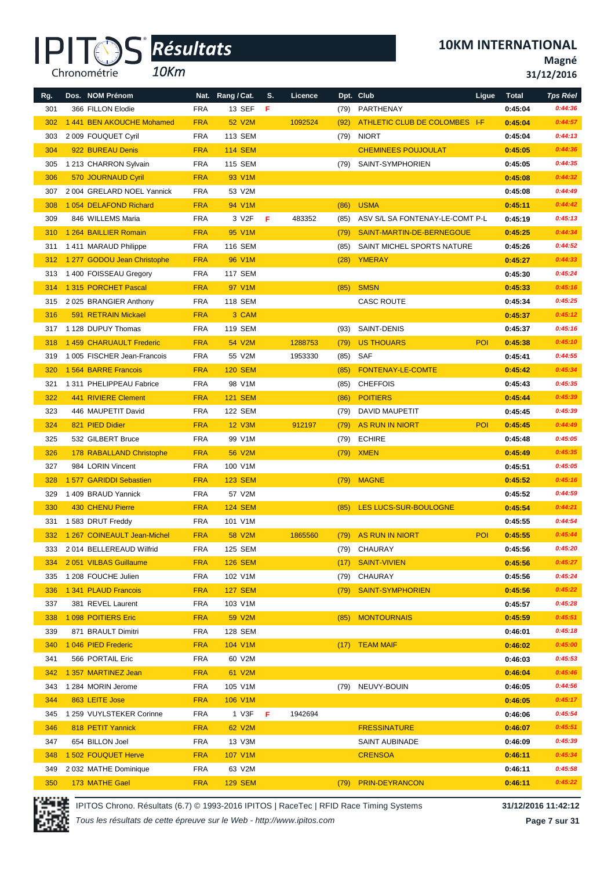*10Km*

**10KM INTERNATIONAL**

**Magné**

**31/12/2016**

| Rg. | Dos. NOM Prénom              |            | Nat. Rang / Cat. | S. | Licence |      | Dpt. Club                       | Ligue      | <b>Total</b> | <b>Tps Réel</b> |
|-----|------------------------------|------------|------------------|----|---------|------|---------------------------------|------------|--------------|-----------------|
| 301 | 366 FILLON Elodie            | <b>FRA</b> | 13 SEF           | F  |         | (79) | PARTHENAY                       |            | 0:45:04      | 0:44:36         |
| 302 | 1441 BEN AKOUCHE Mohamed     | <b>FRA</b> | 52 V2M           |    | 1092524 | (92) | ATHLETIC CLUB DE COLOMBES I-F   |            | 0:45:04      | 0:44:57         |
| 303 | 2 009 FOUQUET Cyril          | <b>FRA</b> | 113 SEM          |    |         |      | (79) NIORT                      |            | 0:45:04      | 0:44:13         |
| 304 | 922 BUREAU Denis             | <b>FRA</b> | <b>114 SEM</b>   |    |         |      | <b>CHEMINEES POUJOULAT</b>      |            | 0:45:05      | 0:44:36         |
| 305 | 1 213 CHARRON Sylvain        | <b>FRA</b> | <b>115 SEM</b>   |    |         | (79) | SAINT-SYMPHORIEN                |            | 0:45:05      | 0:44:35         |
| 306 | 570 JOURNAUD Cyril           | <b>FRA</b> | 93 V1M           |    |         |      |                                 |            | 0:45:08      | 0:44:32         |
| 307 | 2 004 GRELARD NOEL Yannick   | <b>FRA</b> | 53 V2M           |    |         |      |                                 |            | 0:45:08      | 0:44:49         |
| 308 | 1 054 DELAFOND Richard       | <b>FRA</b> | 94 V1M           |    |         | (86) | <b>USMA</b>                     |            | 0:45:11      | 0:44:42         |
| 309 | 846 WILLEMS Maria            | <b>FRA</b> | 3 V2F            | F  | 483352  | (85) | ASV S/L SA FONTENAY-LE-COMT P-L |            | 0:45:19      | 0:45:13         |
| 310 | 1 264 BAILLIER Romain        | <b>FRA</b> | 95 V1M           |    |         | (79) | SAINT-MARTIN-DE-BERNEGOUE       |            | 0:45:25      | 0:44:34         |
| 311 | 1411 MARAUD Philippe         | <b>FRA</b> | 116 SEM          |    |         | (85) | SAINT MICHEL SPORTS NATURE      |            | 0:45:26      | 0:44:52         |
| 312 | 1 277 GODOU Jean Christophe  | <b>FRA</b> | 96 V1M           |    |         | (28) | <b>YMERAY</b>                   |            | 0:45:27      | 0:44:33         |
| 313 | 1400 FOISSEAU Gregory        | <b>FRA</b> | <b>117 SEM</b>   |    |         |      |                                 |            | 0:45:30      | 0:45:24         |
| 314 | 1315 PORCHET Pascal          | <b>FRA</b> | 97 V1M           |    |         | (85) | <b>SMSN</b>                     |            | 0:45:33      | 0:45:16         |
| 315 | 2025 BRANGIER Anthony        | <b>FRA</b> | 118 SEM          |    |         |      | <b>CASC ROUTE</b>               |            | 0:45:34      | 0:45:25         |
| 316 | 591 RETRAIN Mickael          | <b>FRA</b> | 3 CAM            |    |         |      |                                 |            | 0:45:37      | 0:45:12         |
| 317 | 1 128 DUPUY Thomas           | <b>FRA</b> | 119 SEM          |    |         | (93) | SAINT-DENIS                     |            | 0:45:37      | 0:45:16         |
| 318 | 1459 CHARUAULT Frederic      | <b>FRA</b> | 54 V2M           |    | 1288753 | (79) | <b>US THOUARS</b>               | POI        | 0:45:38      | 0:45:10         |
| 319 | 1 005 FISCHER Jean-Francois  | <b>FRA</b> | 55 V2M           |    | 1953330 | (85) | SAF                             |            | 0:45:41      | 0:44:55         |
| 320 | 1564 BARRE Francois          | <b>FRA</b> | <b>120 SEM</b>   |    |         | (85) | FONTENAY-LE-COMTE               |            | 0:45:42      | 0:45:34         |
| 321 | 1 311 PHELIPPEAU Fabrice     | <b>FRA</b> | 98 V1M           |    |         | (85) | <b>CHEFFOIS</b>                 |            | 0:45:43      | 0:45:35         |
| 322 | 441 RIVIERE Clement          | <b>FRA</b> | <b>121 SEM</b>   |    |         | (86) | <b>POITIERS</b>                 |            | 0:45:44      | 0:45:39         |
| 323 | 446 MAUPETIT David           | <b>FRA</b> | 122 SEM          |    |         | (79) | DAVID MAUPETIT                  |            | 0:45:45      | 0:45:39         |
| 324 | 821 PIED Didier              | <b>FRA</b> | <b>12 V3M</b>    |    | 912197  | (79) | AS RUN IN NIORT                 | <b>POI</b> | 0:45:45      | 0:44:49         |
| 325 | 532 GILBERT Bruce            | <b>FRA</b> | 99 V1M           |    |         | (79) | <b>ECHIRE</b>                   |            | 0:45:48      | 0:45:05         |
| 326 | 178 RABALLAND Christophe     | <b>FRA</b> | 56 V2M           |    |         | (79) | <b>XMEN</b>                     |            | 0:45:49      | 0:45:35         |
| 327 | 984 LORIN Vincent            | <b>FRA</b> | 100 V1M          |    |         |      |                                 |            | 0:45:51      | 0:45:05         |
| 328 | 1 577 GARIDDI Sebastien      | <b>FRA</b> | <b>123 SEM</b>   |    |         |      | (79) MAGNE                      |            | 0:45:52      | 0:45:16         |
| 329 | 1 409 BRAUD Yannick          | <b>FRA</b> | 57 V2M           |    |         |      |                                 |            | 0:45:52      | 0:44:59         |
| 330 | 430 CHENU Pierre             | <b>FRA</b> | <b>124 SEM</b>   |    |         | (85) | LES LUCS-SUR-BOULOGNE           |            | 0:45:54      | 0:44:21         |
| 331 | 1583 DRUT Freddy             | <b>FRA</b> | 101 V1M          |    |         |      |                                 |            | 0:45:55      | 0:44:54         |
| 332 | 1 267 COINEAULT Jean-Michel  | <b>FRA</b> | 58 V2M           |    | 1865560 |      | (79) AS RUN IN NIORT            | POI        | 0:45:55      | 0:45:44         |
|     | 333 2 014 BELLEREAUD Wilfrid | <b>FRA</b> | 125 SEM          |    |         |      | (79) CHAURAY                    |            | 0:45:56      | 0:45:20         |
| 334 | 2051 VILBAS Guillaume        | <b>FRA</b> | <b>126 SEM</b>   |    |         | (17) | <b>SAINT-VIVIEN</b>             |            | 0:45:56      | 0:45:27         |
| 335 | 1 208 FOUCHE Julien          | <b>FRA</b> | 102 V1M          |    |         | (79) | CHAURAY                         |            | 0:45:56      | 0:45:24         |
| 336 | 1 341 PLAUD Francois         | <b>FRA</b> | <b>127 SEM</b>   |    |         | (79) | <b>SAINT-SYMPHORIEN</b>         |            | 0:45:56      | 0:45:22         |
| 337 | 381 REVEL Laurent            | <b>FRA</b> | 103 V1M          |    |         |      |                                 |            | 0:45:57      | 0:45:28         |
| 338 | 1 098 POITIERS Eric          | <b>FRA</b> | 59 V2M           |    |         | (85) | <b>MONTOURNAIS</b>              |            | 0:45:59      | 0:45:51         |
| 339 | 871 BRAULT Dimitri           | <b>FRA</b> | 128 SEM          |    |         |      |                                 |            | 0:46:01      | 0:45:18         |
| 340 | 1 046 PIED Frederic          | <b>FRA</b> | 104 V1M          |    |         |      | (17) TEAM MAIF                  |            | 0:46:02      | 0:45:00         |
| 341 | 566 PORTAIL Eric             | <b>FRA</b> | 60 V2M           |    |         |      |                                 |            | 0:46:03      | 0:45:53         |
| 342 | 1 357 MARTINEZ Jean          | <b>FRA</b> | 61 V2M           |    |         |      |                                 |            | 0:46:04      | 0:45:46         |
| 343 | 1 284 MORIN Jerome           | <b>FRA</b> | 105 V1M          |    |         |      | (79) NEUVY-BOUIN                |            | 0:46:05      | 0:44:56         |
| 344 | 863 LEITE Jose               | <b>FRA</b> | 106 V1M          |    |         |      |                                 |            | 0:46:05      | 0:45:17         |
| 345 | 1 259 VUYLSTEKER Corinne     | <b>FRA</b> | 1 V3F            | F  | 1942694 |      |                                 |            | 0:46:06      | 0:45:54         |
| 346 | 818 PETIT Yannick            | <b>FRA</b> | 62 V2M           |    |         |      | <b>FRESSINATURE</b>             |            | 0:46:07      | 0:45:51         |
| 347 | 654 BILLON Joel              | <b>FRA</b> | 13 V3M           |    |         |      | SAINT AUBINADE                  |            | 0:46:09      | 0:45:39         |
| 348 | 1 502 FOUQUET Herve          | <b>FRA</b> | 107 V1M          |    |         |      | <b>CRENSOA</b>                  |            | 0:46:11      | 0:45:34         |
| 349 | 2032 MATHE Dominique         | <b>FRA</b> | 63 V2M           |    |         |      |                                 |            | 0:46:11      | 0:45:58         |
| 350 | 173 MATHE Gael               | <b>FRA</b> | <b>129 SEM</b>   |    |         |      | (79) PRIN-DEYRANCON             |            | 0:46:11      | 0:45:22         |



IPITOS Chrono. Résultats (6.7) © 1993-2016 IPITOS | RaceTec | RFID Race Timing Systems **31/12/2016 11:42:12**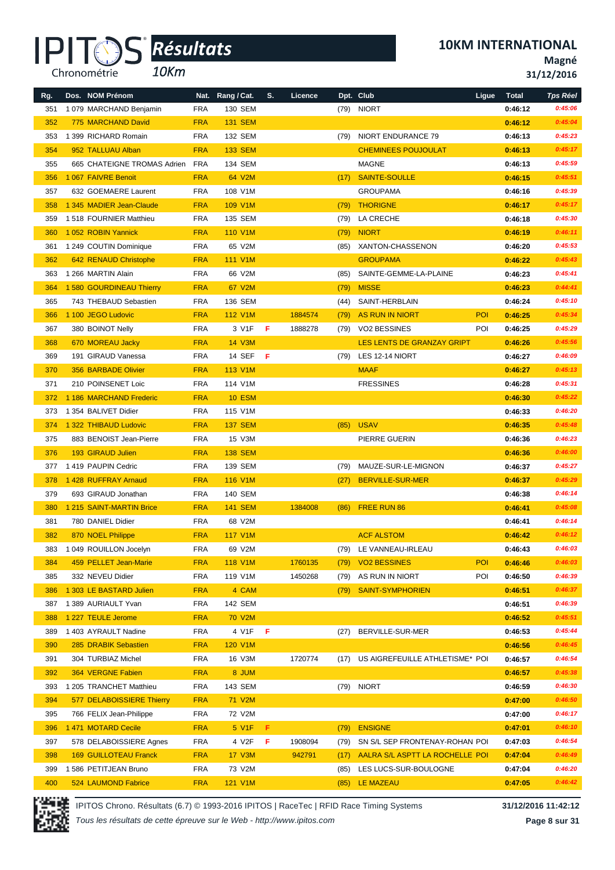*10Km*

**10KM INTERNATIONAL**

**Magné**

**31/12/2016**

| Rg. | Dos. NOM Prénom              |            | Nat. Rang / Cat. | S. | Licence |      | Dpt. Club                       | Ligue      | <b>Total</b> | <b>Tps Réel</b> |
|-----|------------------------------|------------|------------------|----|---------|------|---------------------------------|------------|--------------|-----------------|
| 351 | 1079 MARCHAND Benjamin       | <b>FRA</b> | 130 SEM          |    |         |      | (79) NIORT                      |            | 0:46:12      | 0:45:06         |
| 352 | 775 MARCHAND David           | <b>FRA</b> | <b>131 SEM</b>   |    |         |      |                                 |            | 0:46:12      | 0:45:04         |
| 353 | 1 399 RICHARD Romain         | <b>FRA</b> | 132 SEM          |    |         | (79) | NIORT ENDURANCE 79              |            | 0:46:13      | 0:45:23         |
| 354 | 952 TALLUAU Alban            | <b>FRA</b> | <b>133 SEM</b>   |    |         |      | <b>CHEMINEES POUJOULAT</b>      |            | 0:46:13      | 0:45:17         |
| 355 | 665 CHATEIGNE TROMAS Adrien  | FRA        | 134 SEM          |    |         |      | <b>MAGNE</b>                    |            | 0:46:13      | 0:45:59         |
| 356 | 1 067 FAIVRE Benoit          | <b>FRA</b> | 64 V2M           |    |         | (17) | <b>SAINTE-SOULLE</b>            |            | 0:46:15      | 0:45:51         |
| 357 | 632 GOEMAERE Laurent         | <b>FRA</b> | 108 V1M          |    |         |      | <b>GROUPAMA</b>                 |            | 0:46:16      | 0:45:39         |
| 358 | 1 345 MADIER Jean-Claude     | <b>FRA</b> | 109 V1M          |    |         | (79) | <b>THORIGNE</b>                 |            | 0:46:17      | 0:45:17         |
| 359 | 1518 FOURNIER Matthieu       | <b>FRA</b> | 135 SEM          |    |         | (79) | LA CRECHE                       |            | 0:46:18      | 0:45:30         |
| 360 | 1052 ROBIN Yannick           | <b>FRA</b> | 110 V1M          |    |         | (79) | <b>NIORT</b>                    |            | 0:46:19      | 0:46:11         |
| 361 | 1 249 COUTIN Dominique       | <b>FRA</b> | 65 V2M           |    |         | (85) | XANTON-CHASSENON                |            | 0:46:20      | 0:45:53         |
| 362 | 642 RENAUD Christophe        | <b>FRA</b> | 111 V1M          |    |         |      | <b>GROUPAMA</b>                 |            | 0:46:22      | 0:45:43         |
| 363 | 1 266 MARTIN Alain           | <b>FRA</b> | 66 V2M           |    |         | (85) | SAINTE-GEMME-LA-PLAINE          |            | 0:46:23      | 0:45:41         |
| 364 | 1 580 GOURDINEAU Thierry     | <b>FRA</b> | 67 V2M           |    |         | (79) | <b>MISSE</b>                    |            | 0:46:23      | 0:44:41         |
| 365 | 743 THEBAUD Sebastien        | <b>FRA</b> | 136 SEM          |    |         | (44) | SAINT-HERBLAIN                  |            | 0:46:24      | 0:45:10         |
| 366 | 1 100 JEGO Ludovic           | <b>FRA</b> | <b>112 V1M</b>   |    | 1884574 | (79) | <b>AS RUN IN NIORT</b>          | <b>POI</b> | 0:46:25      | 0:45:34         |
| 367 | 380 BOINOT Nelly             | <b>FRA</b> | 3 V1F            | -F | 1888278 | (79) | <b>VO2 BESSINES</b>             | POI        | 0:46:25      | 0:45:29         |
| 368 | 670 MOREAU Jacky             | <b>FRA</b> | 14 V3M           |    |         |      | LES LENTS DE GRANZAY GRIPT      |            | 0:46:26      | 0:45:56         |
| 369 | 191 GIRAUD Vanessa           | <b>FRA</b> | 14 SEF           | -F |         | (79) | LES 12-14 NIORT                 |            | 0:46:27      | 0:46:09         |
| 370 | 356 BARBADE Olivier          | <b>FRA</b> | 113 V1M          |    |         |      | <b>MAAF</b>                     |            | 0:46:27      | 0:45:13         |
| 371 | 210 POINSENET Loic           | <b>FRA</b> | 114 V1M          |    |         |      | <b>FRESSINES</b>                |            | 0:46:28      | 0:45:31         |
| 372 | 1 186 MARCHAND Frederic      | <b>FRA</b> | <b>10 ESM</b>    |    |         |      |                                 |            | 0:46:30      | 0:45:22         |
| 373 | 1 354 BALIVET Didier         | <b>FRA</b> | 115 V1M          |    |         |      |                                 |            | 0:46:33      | 0:46:20         |
| 374 | 1 322 THIBAUD Ludovic        | <b>FRA</b> | <b>137 SEM</b>   |    |         | (85) | <b>USAV</b>                     |            | 0:46:35      | 0:45:48         |
| 375 | 883 BENOIST Jean-Pierre      | <b>FRA</b> | 15 V3M           |    |         |      | PIERRE GUERIN                   |            | 0:46:36      | 0:46:23         |
| 376 | 193 GIRAUD Julien            | <b>FRA</b> | <b>138 SEM</b>   |    |         |      |                                 |            | 0:46:36      | 0:46:00         |
| 377 | 1419 PAUPIN Cedric           | <b>FRA</b> | 139 SEM          |    |         | (79) | MAUZE-SUR-LE-MIGNON             |            | 0:46:37      | 0:45:27         |
| 378 | 1428 RUFFRAY Arnaud          | <b>FRA</b> | 116 V1M          |    |         | (27) | BERVILLE-SUR-MER                |            | 0:46:37      | 0:45:29         |
| 379 | 693 GIRAUD Jonathan          | <b>FRA</b> | <b>140 SEM</b>   |    |         |      |                                 |            | 0:46:38      | 0:46:14         |
| 380 | 1 215 SAINT-MARTIN Brice     | <b>FRA</b> | <b>141 SEM</b>   |    | 1384008 | (86) | FREE RUN 86                     |            | 0:46:41      | 0:45:08         |
| 381 | 780 DANIEL Didier            | <b>FRA</b> | 68 V2M           |    |         |      |                                 |            | 0:46:41      | 0:46:14         |
| 382 | 870 NOEL Philippe            | <b>FRA</b> | <b>117 V1M</b>   |    |         |      | <b>ACF ALSTOM</b>               |            | 0:46:42      | 0:46:12         |
| 383 | 1 049 ROUILLON Jocelyn       | FRA        | 69 V2M           |    |         |      | (79) LE VANNEAU-IRLEAU          |            | 0:46:43      | 0:46:03         |
| 384 | 459 PELLET Jean-Marie        | <b>FRA</b> | 118 V1M          |    | 1760135 | (79) | <b>VO2 BESSINES</b>             | POI        | 0:46:46      | 0:46:03         |
| 385 | 332 NEVEU Didier             | <b>FRA</b> | 119 V1M          |    | 1450268 | (79) | AS RUN IN NIORT                 | POI        | 0:46:50      | 0:46:39         |
| 386 | 1 303 LE BASTARD Julien      | <b>FRA</b> | 4 CAM            |    |         | (79) | <b>SAINT-SYMPHORIEN</b>         |            | 0:46:51      | 0:46:37         |
| 387 | 1 389 AURIAULT Yvan          | <b>FRA</b> | 142 SEM          |    |         |      |                                 |            | 0:46:51      | 0:46:39         |
| 388 | 1 227 TEULE Jerome           | <b>FRA</b> | <b>70 V2M</b>    |    |         |      |                                 |            | 0:46:52      | 0:45:51         |
| 389 | 1 403 AYRAULT Nadine         | <b>FRA</b> | 4 V1F            | -F |         | (27) | BERVILLE-SUR-MER                |            | 0:46:53      | 0:45:44         |
| 390 | 285 DRABIK Sebastien         | <b>FRA</b> | 120 V1M          |    |         |      |                                 |            | 0:46:56      | 0:46:45         |
| 391 | 304 TURBIAZ Michel           | <b>FRA</b> | 16 V3M           |    | 1720774 | (17) | US AIGREFEUILLE ATHLETISME* POI |            | 0:46:57      | 0:46:54         |
| 392 | 364 VERGNE Fabien            | <b>FRA</b> | 8 JUM            |    |         |      |                                 |            | 0:46:57      | 0:45:38         |
| 393 | 1 205 TRANCHET Matthieu      | FRA        | 143 SEM          |    |         |      | (79) NIORT                      |            | 0:46:59      | 0:46:30         |
| 394 | 577 DELABOISSIERE Thierry    | <b>FRA</b> | <b>71 V2M</b>    |    |         |      |                                 |            | 0:47:00      | 0:46:50         |
| 395 | 766 FELIX Jean-Philippe      | <b>FRA</b> | 72 V2M           |    |         |      |                                 |            | 0:47:00      | 0:46:17         |
| 396 | 1471 MOTARD Cecile           | <b>FRA</b> | 5 V1F            | F  |         | (79) | <b>ENSIGNE</b>                  |            | 0:47:01      | 0:46:10         |
| 397 | 578 DELABOISSIERE Agnes      | <b>FRA</b> | 4 V2F            | F  | 1908094 | (79) | SN S/L SEP FRONTENAY-ROHAN POI  |            | 0:47:03      | 0:46:54         |
| 398 | <b>169 GUILLOTEAU Franck</b> | <b>FRA</b> | <b>17 V3M</b>    |    | 942791  | (17) | AALRA S/L ASPTT LA ROCHELLE POI |            | 0:47:04      | 0:46:49         |
| 399 | 1 586 PETITJEAN Bruno        | <b>FRA</b> | 73 V2M           |    |         | (85) | LES LUCS-SUR-BOULOGNE           |            | 0:47:04      | 0:46:20         |
| 400 | 524 LAUMOND Fabrice          | <b>FRA</b> | 121 V1M          |    |         | (85) | LE MAZEAU                       |            | 0:47:05      | 0:46:42         |

IPITOS Chrono. Résultats (6.7) © 1993-2016 IPITOS | RaceTec | RFID Race Timing Systems **31/12/2016 11:42:12** *Tous les résultats de cette épreuve sur le Web - http://www.ipitos.com*

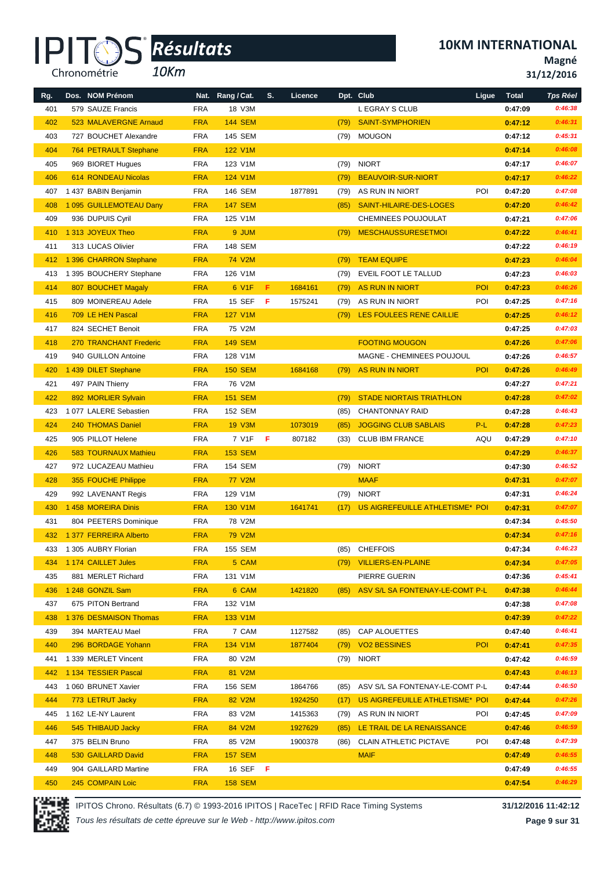*10Km*

**10KM INTERNATIONAL**

**Magné**

**31/12/2016**

| Rg.        | Dos. NOM Prénom               | Nat.       | Rang / Cat.     | S. | Licence |      | Dpt. Club                       | Ligue      | <b>Total</b> | <b>Tps Réel</b>    |
|------------|-------------------------------|------------|-----------------|----|---------|------|---------------------------------|------------|--------------|--------------------|
| 401        | 579 SAUZE Francis             | <b>FRA</b> | 18 V3M          |    |         |      | L EGRAY S CLUB                  |            | 0:47:09      | 0:46:38            |
| 402        | 523 MALAVERGNE Arnaud         | <b>FRA</b> | <b>144 SEM</b>  |    |         | (79) | <b>SAINT-SYMPHORIEN</b>         |            | 0:47:12      | 0:46:31            |
| 403        | 727 BOUCHET Alexandre         | <b>FRA</b> | 145 SEM         |    |         | (79) | <b>MOUGON</b>                   |            | 0:47:12      | 0:45:31            |
| 404        | 764 PETRAULT Stephane         | <b>FRA</b> | <b>122 V1M</b>  |    |         |      |                                 |            | 0:47:14      | 0:46:08            |
| 405        | 969 BIORET Hugues             | <b>FRA</b> | 123 V1M         |    |         | (79) | <b>NIORT</b>                    |            | 0:47:17      | 0:46:07            |
| 406        | 614 RONDEAU Nicolas           | <b>FRA</b> | 124 V1M         |    |         | (79) | <b>BEAUVOIR-SUR-NIORT</b>       |            | 0:47:17      | 0:46:22            |
| 407        | 1 437 BABIN Benjamin          | <b>FRA</b> | 146 SEM         |    | 1877891 | (79) | AS RUN IN NIORT                 | POI        | 0:47:20      | 0:47:08            |
| 408        | 1 095 GUILLEMOTEAU Dany       | <b>FRA</b> | <b>147 SEM</b>  |    |         | (85) | SAINT-HILAIRE-DES-LOGES         |            | 0:47:20      | 0:46:42            |
| 409        | 936 DUPUIS Cyril              | <b>FRA</b> | 125 V1M         |    |         |      | CHEMINEES POUJOULAT             |            | 0:47:21      | 0:47:06            |
| 410        | 1 313 JOYEUX Theo             | <b>FRA</b> | 9 JUM           |    |         | (79) | <b>MESCHAUSSURESETMOI</b>       |            | 0:47:22      | 0:46:41            |
| 411        | 313 LUCAS Olivier             | <b>FRA</b> | 148 SEM         |    |         |      |                                 |            | 0:47:22      | 0:46:19            |
| 412        | 1 396 CHARRON Stephane        | <b>FRA</b> | <b>74 V2M</b>   |    |         | (79) | <b>TEAM EQUIPE</b>              |            | 0:47:23      | 0:46:04            |
| 413        | 1 395 BOUCHERY Stephane       | <b>FRA</b> | 126 V1M         |    |         | (79) | EVEIL FOOT LE TALLUD            |            | 0:47:23      | 0:46:03            |
| 414        | 807 BOUCHET Magaly            | <b>FRA</b> | 6 V1F           | F  | 1684161 | (79) | <b>AS RUN IN NIORT</b>          | POI        | 0:47:23      | 0:46:26            |
| 415        | 809 MOINEREAU Adele           | <b>FRA</b> | 15 SEF          | F  | 1575241 | (79) | AS RUN IN NIORT                 | <b>POI</b> | 0:47:25      | 0:47:16            |
| 416        | 709 LE HEN Pascal             | <b>FRA</b> | 127 V1M         |    |         | (79) | LES FOULEES RENE CAILLIE        |            | 0:47:25      | 0:46:12            |
| 417        | 824 SECHET Benoit             | <b>FRA</b> | 75 V2M          |    |         |      |                                 |            | 0:47:25      | 0:47:03            |
| 418        | <b>270 TRANCHANT Frederic</b> | <b>FRA</b> | <b>149 SEM</b>  |    |         |      | <b>FOOTING MOUGON</b>           |            | 0:47:26      | 0:47:06            |
| 419        | 940 GUILLON Antoine           | <b>FRA</b> | 128 V1M         |    |         |      | MAGNE - CHEMINEES POUJOUL       |            | 0:47:26      | 0:46:57            |
| 420        | 1 439 DILET Stephane          | <b>FRA</b> | <b>150 SEM</b>  |    | 1684168 | (79) | <b>AS RUN IN NIORT</b>          | <b>POI</b> | 0:47:26      | 0:46:49            |
| 421        | 497 PAIN Thierry              | <b>FRA</b> | 76 V2M          |    |         |      |                                 |            | 0:47:27      | 0:47:21            |
| 422        | 892 MORLIER Sylvain           | <b>FRA</b> | <b>151 SEM</b>  |    |         | (79) | <b>STADE NIORTAIS TRIATHLON</b> |            | 0:47:28      | 0:47:02            |
| 423        | 1 077 LALERE Sebastien        | <b>FRA</b> | <b>152 SEM</b>  |    |         | (85) | <b>CHANTONNAY RAID</b>          |            | 0:47:28      | 0:46:43            |
| 424        | 240 THOMAS Daniel             | <b>FRA</b> | <b>19 V3M</b>   |    | 1073019 | (85) | <b>JOGGING CLUB SABLAIS</b>     | P-L        | 0:47:28      | 0:47:23            |
| 425        | 905 PILLOT Helene             | <b>FRA</b> | 7 V1F           | F  | 807182  | (33) | <b>CLUB IBM FRANCE</b>          | AQU        | 0:47:29      | 0:47:10            |
| 426        | 583 TOURNAUX Mathieu          | <b>FRA</b> | <b>153 SEM</b>  |    |         |      |                                 |            | 0:47:29      | 0:46:37            |
| 427        | 972 LUCAZEAU Mathieu          | <b>FRA</b> | 154 SEM         |    |         | (79) | <b>NIORT</b>                    |            | 0:47:30      | 0:46:52            |
| 428        | 355 FOUCHE Philippe           | <b>FRA</b> | <b>77 V2M</b>   |    |         |      | <b>MAAF</b>                     |            | 0:47:31      | 0:47:07            |
| 429        | 992 LAVENANT Regis            | <b>FRA</b> | 129 V1M         |    |         | (79) | <b>NIORT</b>                    |            | 0:47:31      | 0:46:24            |
| 430        | 1458 MOREIRA Dinis            | <b>FRA</b> | 130 V1M         |    | 1641741 | (17) | US AIGREFEUILLE ATHLETISME* POI |            | 0:47:31      | 0:47:07            |
| 431        | 804 PEETERS Dominique         | <b>FRA</b> | 78 V2M          |    |         |      |                                 |            | 0:47:34      | 0:45:50            |
| 432        | 1 377 FERREIRA Alberto        | <b>FRA</b> | <b>79 V2M</b>   |    |         |      |                                 |            | 0:47:34      | 0:47:16            |
|            | 433 1 305 AUBRY Florian       | <b>FRA</b> | 155 SEM         |    |         |      | (85) CHEFFOIS                   |            | 0:47:34      | 0:46:23            |
| 434        | 1 174 CAILLET Jules           | <b>FRA</b> | 5 CAM           |    |         |      | (79) VILLIERS-EN-PLAINE         |            | 0:47:34      | 0:47:05            |
| 435        | 881 MERLET Richard            | <b>FRA</b> | 131 V1M         |    |         |      | PIERRE GUERIN                   |            | 0:47:36      | 0:45:41            |
| 436        | 1 248 GONZIL Sam              | <b>FRA</b> | 6 CAM           |    | 1421820 | (85) | ASV S/L SA FONTENAY-LE-COMT P-L |            | 0:47:38      | 0:46:44            |
| 437        | 675 PITON Bertrand            | <b>FRA</b> | 132 V1M         |    |         |      |                                 |            | 0:47:38      | 0:47:08            |
|            | 1 376 DESMAISON Thomas        | <b>FRA</b> | 133 V1M         |    |         |      |                                 |            | 0:47:39      | 0:47:22            |
| 438<br>439 | 394 MARTEAU Mael              | <b>FRA</b> | 7 CAM           |    | 1127582 | (85) | CAP ALOUETTES                   |            | 0:47:40      | 0:46:41            |
| 440        | 296 BORDAGE Yohann            | <b>FRA</b> | 134 V1M         |    | 1877404 | (79) | <b>VO2 BESSINES</b>             | POI        | 0:47:41      | 0:47:35            |
| 441        | 1 339 MERLET Vincent          | <b>FRA</b> | 80 V2M          |    |         | (79) | <b>NIORT</b>                    |            | 0:47:42      | 0:46:59            |
|            |                               |            |                 |    |         |      |                                 |            |              | 0:46:13            |
| 442        | 1 134 TESSIER Pascal          | <b>FRA</b> | 81 V2M          |    |         |      |                                 |            | 0:47:43      |                    |
| 443        | 1 060 BRUNET Xavier           | <b>FRA</b> | 156 SEM         |    | 1864766 | (85) | ASV S/L SA FONTENAY-LE-COMT P-L |            | 0:47:44      | 0:46:50<br>0:47:26 |
| 444        | 773 LETRUT Jacky              | <b>FRA</b> | 82 V2M          |    | 1924250 | (17) | US AIGREFEUILLE ATHLETISME* POI |            | 0:47:44      |                    |
| 445        | 1 162 LE-NY Laurent           | <b>FRA</b> | 83 V2M          |    | 1415363 | (79) | AS RUN IN NIORT                 | POI        | 0:47:45      | 0:47:09            |
| 446        | 545 THIBAUD Jacky             | <b>FRA</b> | 84 V2M          |    | 1927629 | (85) | LE TRAIL DE LA RENAISSANCE      |            | 0:47:46      | 0:46:59            |
| 447        | 375 BELIN Bruno               | <b>FRA</b> | 85 V2M          |    | 1900378 | (86) | <b>CLAIN ATHLETIC PICTAVE</b>   | POI        | 0:47:48      | 0:47:39            |
| 448        | 530 GAILLARD David            | <b>FRA</b> | <b>157 SEM</b>  |    |         |      | <b>MAIF</b>                     |            | 0:47:49      | 0:46:55            |
| 449        | 904 GAILLARD Martine          | <b>FRA</b> | 16 SEF <b>F</b> |    |         |      |                                 |            | 0:47:49      | 0:46:55            |
| 450        | 245 COMPAIN Loic              | <b>FRA</b> | <b>158 SEM</b>  |    |         |      |                                 |            | 0:47:54      | 0:46:29            |



IPITOS Chrono. Résultats (6.7) © 1993-2016 IPITOS | RaceTec | RFID Race Timing Systems **31/12/2016 11:42:12**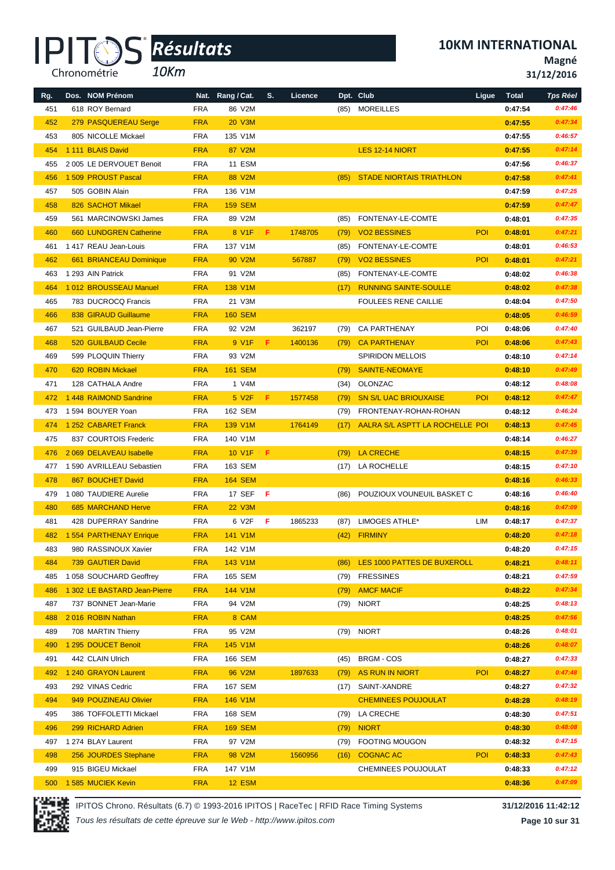*10Km*

**Magné 31/12/2016**

|     | 618 ROY Bernard              | <b>FRA</b> | 86 V2M             |    |         |      | (85) MOREILLES                   |            | 0:47:54 | 0:47:46 |
|-----|------------------------------|------------|--------------------|----|---------|------|----------------------------------|------------|---------|---------|
| 451 |                              |            |                    |    |         |      |                                  |            |         |         |
| 452 | 279 PASQUEREAU Serge         | <b>FRA</b> | <b>20 V3M</b>      |    |         |      |                                  |            | 0:47:55 | 0:47:34 |
| 453 | 805 NICOLLE Mickael          | <b>FRA</b> | 135 V1M            |    |         |      |                                  |            | 0:47:55 | 0:46:57 |
| 454 | 1 111 BLAIS David            | <b>FRA</b> | 87 V2M             |    |         |      | LES 12-14 NIORT                  |            | 0:47:55 | 0:47:14 |
| 455 | 2 005 LE DERVOUET Benoit     | <b>FRA</b> | 11 ESM             |    |         |      |                                  |            | 0:47:56 | 0:46:37 |
| 456 | 1 509 PROUST Pascal          | <b>FRA</b> | 88 V2M             |    |         | (85) | <b>STADE NIORTAIS TRIATHLON</b>  |            | 0:47:58 | 0:47:41 |
| 457 | 505 GOBIN Alain              | <b>FRA</b> | 136 V1M            |    |         |      |                                  |            | 0:47:59 | 0:47:25 |
| 458 | 826 SACHOT Mikael            | <b>FRA</b> | <b>159 SEM</b>     |    |         |      |                                  |            | 0:47:59 | 0:47:47 |
| 459 | 561 MARCINOWSKI James        | FRA        | 89 V2M             |    |         | (85) | FONTENAY-LE-COMTE                |            | 0:48:01 | 0:47:35 |
| 460 | 660 LUNDGREN Catherine       | <b>FRA</b> | 8 V1F              | F. | 1748705 | (79) | <b>VO2 BESSINES</b>              | <b>POI</b> | 0:48:01 | 0:47:21 |
| 461 | 1 417 REAU Jean-Louis        | <b>FRA</b> | 137 V1M            |    |         | (85) | FONTENAY-LE-COMTE                |            | 0:48:01 | 0:46:53 |
| 462 | 661 BRIANCEAU Dominique      | <b>FRA</b> | 90 V2M             |    | 567887  | (79) | <b>VO2 BESSINES</b>              | <b>POI</b> | 0:48:01 | 0:47:21 |
| 463 | 1 293 AIN Patrick            | <b>FRA</b> | 91 V2M             |    |         | (85) | FONTENAY-LE-COMTE                |            | 0:48:02 | 0:46:38 |
| 464 | 1012 BROUSSEAU Manuel        | <b>FRA</b> | 138 V1M            |    |         | (17) | <b>RUNNING SAINTE-SOULLE</b>     |            | 0:48:02 | 0:47:38 |
|     |                              |            |                    |    |         |      |                                  |            |         |         |
| 465 | 783 DUCROCQ Francis          | FRA        | 21 V3M             |    |         |      | <b>FOULEES RENE CAILLIE</b>      |            | 0:48:04 | 0:47:50 |
| 466 | 838 GIRAUD Guillaume         | <b>FRA</b> | <b>160 SEM</b>     |    |         |      |                                  |            | 0:48:05 | 0:46:59 |
| 467 | 521 GUILBAUD Jean-Pierre     | <b>FRA</b> | 92 V2M             |    | 362197  | (79) | <b>CA PARTHENAY</b>              | POI        | 0:48:06 | 0:47:40 |
| 468 | <b>520 GUILBAUD Cecile</b>   | <b>FRA</b> | 9 V1F              | F. | 1400136 | (79) | <b>CA PARTHENAY</b>              | POI.       | 0:48:06 | 0:47:43 |
| 469 | 599 PLOQUIN Thierry          | <b>FRA</b> | 93 V2M             |    |         |      | <b>SPIRIDON MELLOIS</b>          |            | 0:48:10 | 0:47:14 |
| 470 | 620 ROBIN Mickael            | <b>FRA</b> | <b>161 SEM</b>     |    |         | (79) | <b>SAINTE-NEOMAYE</b>            |            | 0:48:10 | 0:47:49 |
| 471 | 128 CATHALA Andre            | <b>FRA</b> | 1 V4M              |    |         | (34) | OLONZAC                          |            | 0:48:12 | 0:48:08 |
| 472 | 1 448 RAIMOND Sandrine       | <b>FRA</b> | 5 V <sub>2</sub> F | F. | 1577458 | (79) | <b>SN S/L UAC BRIOUXAISE</b>     | <b>POI</b> | 0:48:12 | 0:47:47 |
| 473 | 1 594 BOUYER Yoan            | FRA        | 162 SEM            |    |         | (79) | FRONTENAY-ROHAN-ROHAN            |            | 0:48:12 | 0:46:24 |
| 474 | 1 252 CABARET Franck         | <b>FRA</b> | 139 V1M            |    | 1764149 | (17) | AALRA S/L ASPTT LA ROCHELLE POI  |            | 0:48:13 | 0:47:45 |
| 475 | 837 COURTOIS Frederic        | <b>FRA</b> | 140 V1M            |    |         |      |                                  |            | 0:48:14 | 0:46:27 |
| 476 | 2 069 DELAVEAU Isabelle      | <b>FRA</b> | 10 V1F             | F. |         | (79) | <b>LA CRECHE</b>                 |            | 0:48:15 | 0:47:39 |
| 477 | 1590 AVRILLEAU Sebastien     | <b>FRA</b> | 163 SEM            |    |         |      | (17) LA ROCHELLE                 |            | 0:48:15 | 0:47:10 |
| 478 | 867 BOUCHET David            | <b>FRA</b> | <b>164 SEM</b>     |    |         |      |                                  |            | 0:48:16 | 0:46:33 |
| 479 | 1 080 TAUDIERE Aurelie       | <b>FRA</b> | 17 SEF             | F  |         | (86) | POUZIOUX VOUNEUIL BASKET C       |            | 0:48:16 | 0:46:40 |
| 480 | 685 MARCHAND Herve           | <b>FRA</b> | <b>22 V3M</b>      |    |         |      |                                  |            | 0:48:16 | 0:47:09 |
| 481 | 428 DUPERRAY Sandrine        | <b>FRA</b> | 6 V2F              | F  | 1865233 |      | LIMOGES ATHLE*                   | LIM        |         | 0:47:37 |
|     |                              |            |                    |    |         | (87) |                                  |            | 0:48:17 |         |
| 482 | 1 554 PARTHENAY Enrique      | <b>FRA</b> | 141 V1M            |    |         | (42) | <b>FIRMINY</b>                   |            | 0:48:20 | 0:47:18 |
| 483 | 980 RASSINOUX Xavier         | <b>FRA</b> | 142 V1M            |    |         |      |                                  |            | 0:48:20 | 0:47:15 |
| 484 | 739 GAUTIER David            | <b>FRA</b> | 143 V1M            |    |         |      | (86) LES 1000 PATTES DE BUXEROLL |            | 0:48:21 | 0:48:11 |
| 485 | 1 058 SOUCHARD Geoffrey      | <b>FRA</b> | 165 SEM            |    |         | (79) | <b>FRESSINES</b>                 |            | 0:48:21 | 0:47:59 |
| 486 | 1 302 LE BASTARD Jean-Pierre | <b>FRA</b> | 144 V1M            |    |         | (79) | <b>AMCF MACIF</b>                |            | 0:48:22 | 0:47:34 |
| 487 | 737 BONNET Jean-Marie        | <b>FRA</b> | 94 V2M             |    |         |      | (79) NIORT                       |            | 0:48:25 | 0:48:13 |
| 488 | 2016 ROBIN Nathan            | <b>FRA</b> | 8 CAM              |    |         |      |                                  |            | 0:48:25 | 0:47:56 |
| 489 | 708 MARTIN Thierry           | <b>FRA</b> | 95 V2M             |    |         |      | (79) NIORT                       |            | 0:48:26 | 0:48:01 |
| 490 | 1 295 DOUCET Benoit          | <b>FRA</b> | 145 V1M            |    |         |      |                                  |            | 0:48:26 | 0:48:07 |
| 491 | 442 CLAIN Ulrich             | <b>FRA</b> | 166 SEM            |    |         | (45) | BRGM - COS                       |            | 0:48:27 | 0:47:33 |
| 492 | 1 240 GRAYON Laurent         | <b>FRA</b> | 96 V2M             |    | 1897633 | (79) | <b>AS RUN IN NIORT</b>           | <b>POI</b> | 0:48:27 | 0:47:48 |
| 493 | 292 VINAS Cedric             | <b>FRA</b> | 167 SEM            |    |         | (17) | SAINT-XANDRE                     |            | 0:48:27 | 0:47:32 |
| 494 | 949 POUZINEAU Olivier        | <b>FRA</b> | 146 V1M            |    |         |      | <b>CHEMINEES POUJOULAT</b>       |            | 0:48:28 | 0:48:19 |
| 495 | 386 TOFFOLETTI Mickael       | <b>FRA</b> | 168 SEM            |    |         | (79) | LA CRECHE                        |            | 0:48:30 | 0:47:51 |
|     |                              |            |                    |    |         |      |                                  |            |         | 0:48:08 |
| 496 | 299 RICHARD Adrien           | <b>FRA</b> | <b>169 SEM</b>     |    |         | (79) | <b>NIORT</b>                     |            | 0:48:30 |         |
| 497 | 1 274 BLAY Laurent           | <b>FRA</b> | 97 V2M             |    |         | (79) | <b>FOOTING MOUGON</b>            |            | 0:48:32 | 0:47:15 |
| 498 | 256 JOURDES Stephane         | <b>FRA</b> | 98 V2M             |    | 1560956 | (16) | <b>COGNAC AC</b>                 | POI        | 0:48:33 | 0:47:43 |

**Rg. Dos. NOM Prénom Nat. Rang / Cat. S. Licence Dpt. Club Ligue Total** *Tps Réel*



IPITOS Chrono. Résultats (6.7) © 1993-2016 IPITOS | RaceTec | RFID Race Timing Systems **31/12/2016 11:42:12**

 915 BIGEU Mickael FRA 147 V1M CHEMINEES POUJOULAT **0:48:33** *0:47:12* 1 585 MUCIEK Kevin FRA 12 ESM **0:48:36** *0:47:09*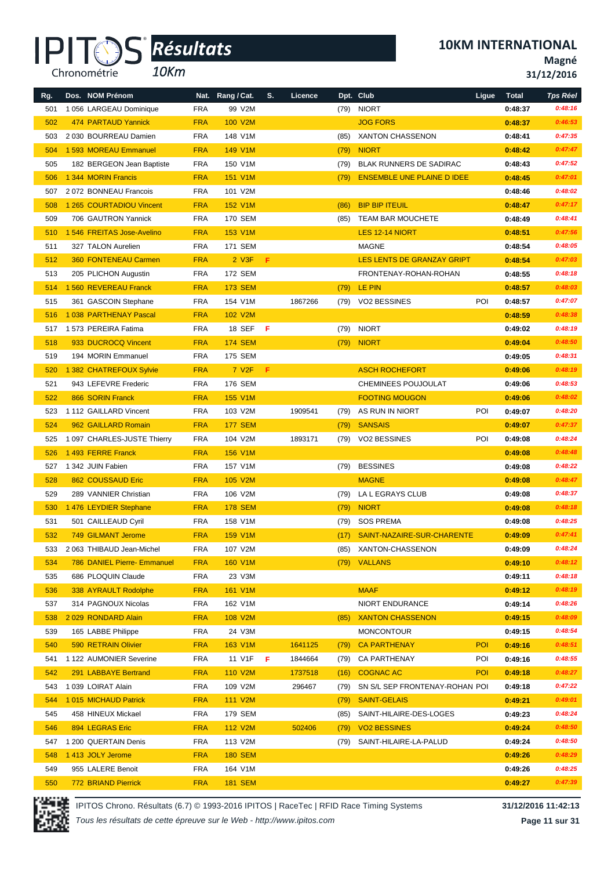*10Km*

**10KM INTERNATIONAL**

**Magné 31/12/2016**

| Rg. | Dos. NOM Prénom                                   |                          | Nat. Rang / Cat.     | S. | Licence |      | Dpt. Club                         | Ligue      | <b>Total</b> | Tps Réel |
|-----|---------------------------------------------------|--------------------------|----------------------|----|---------|------|-----------------------------------|------------|--------------|----------|
| 501 | 1 056 LARGEAU Dominique                           | <b>FRA</b>               | 99 V2M               |    |         | (79) | <b>NIORT</b>                      |            | 0:48:37      | 0:48:16  |
| 502 | 474 PARTAUD Yannick                               | <b>FRA</b>               | 100 V2M              |    |         |      | <b>JOG FORS</b>                   |            | 0:48:37      | 0:46:53  |
| 503 | 2 030 BOURREAU Damien                             | <b>FRA</b>               | 148 V1M              |    |         | (85) | <b>XANTON CHASSENON</b>           |            | 0:48:41      | 0:47:35  |
| 504 | 1 593 MOREAU Emmanuel                             | <b>FRA</b>               | 149 V1M              |    |         | (79) | <b>NIORT</b>                      |            | 0:48:42      | 0:47:47  |
| 505 | 182 BERGEON Jean Baptiste                         | <b>FRA</b>               | 150 V1M              |    |         | (79) | <b>BLAK RUNNERS DE SADIRAC</b>    |            | 0:48:43      | 0:47:52  |
| 506 | 1 344 MORIN Francis                               | <b>FRA</b>               | <b>151 V1M</b>       |    |         | (79) | <b>ENSEMBLE UNE PLAINE D IDEE</b> |            | 0:48:45      | 0:47:01  |
| 507 | 2072 BONNEAU Francois                             | <b>FRA</b>               | 101 V2M              |    |         |      |                                   |            | 0:48:46      | 0:48:02  |
| 508 | 1 265 COURTADIOU Vincent                          | <b>FRA</b>               | <b>152 V1M</b>       |    |         | (86) | <b>BIP BIP ITEUIL</b>             |            | 0:48:47      | 0:47:17  |
| 509 | 706 GAUTRON Yannick                               | <b>FRA</b>               | 170 SEM              |    |         | (85) | TEAM BAR MOUCHETE                 |            | 0:48:49      | 0:48:41  |
| 510 | 1 546 FREITAS Jose-Avelino                        | <b>FRA</b>               | 153 V1M              |    |         |      | LES 12-14 NIORT                   |            | 0:48:51      | 0:47:56  |
| 511 | 327 TALON Aurelien                                | <b>FRA</b>               | 171 SEM              |    |         |      | MAGNE                             |            | 0:48:54      | 0:48:05  |
| 512 | <b>360 FONTENEAU Carmen</b>                       | <b>FRA</b>               | $2$ V <sub>3</sub> F | F. |         |      | LES LENTS DE GRANZAY GRIPT        |            | 0:48:54      | 0:47:03  |
| 513 | 205 PLICHON Augustin                              | <b>FRA</b>               | 172 SEM              |    |         |      | FRONTENAY-ROHAN-ROHAN             |            | 0:48:55      | 0:48:18  |
| 514 | 1 560 REVEREAU Franck                             | <b>FRA</b>               | <b>173 SEM</b>       |    |         | (79) | LE PIN                            |            | 0:48:57      | 0:48:03  |
| 515 | 361 GASCOIN Stephane                              | <b>FRA</b>               | 154 V1M              |    | 1867266 | (79) | <b>VO2 BESSINES</b>               | POI        | 0:48:57      | 0:47:07  |
| 516 | 1038 PARTHENAY Pascal                             | <b>FRA</b>               | 102 V2M              |    |         |      |                                   |            | 0:48:59      | 0:48:38  |
| 517 | 1 573 PEREIRA Fatima                              | <b>FRA</b>               | 18 SEF               | F. |         | (79) | <b>NIORT</b>                      |            | 0:49:02      | 0:48:19  |
| 518 | 933 DUCROCQ Vincent                               | <b>FRA</b>               | <b>174 SEM</b>       |    |         | (79) | <b>NIORT</b>                      |            | 0:49:04      | 0:48:50  |
| 519 | 194 MORIN Emmanuel                                | <b>FRA</b>               | 175 SEM              |    |         |      |                                   |            | 0:49:05      | 0:48:31  |
| 520 | 1 382 CHATREFOUX Sylvie                           | <b>FRA</b>               | 7 V <sub>2</sub> F   | F. |         |      | <b>ASCH ROCHEFORT</b>             |            | 0:49:06      | 0:48:19  |
| 521 | 943 LEFEVRE Frederic                              | <b>FRA</b>               | 176 SEM              |    |         |      | CHEMINEES POUJOULAT               |            | 0:49:06      | 0:48:53  |
| 522 | 866 SORIN Franck                                  | <b>FRA</b>               | 155 V1M              |    |         |      | <b>FOOTING MOUGON</b>             |            | 0:49:06      | 0:48:02  |
| 523 | 1112 GAILLARD Vincent                             | <b>FRA</b>               | 103 V2M              |    | 1909541 | (79) | AS RUN IN NIORT                   | POI        | 0:49:07      | 0:48:20  |
| 524 | 962 GAILLARD Romain                               | <b>FRA</b>               | <b>177 SEM</b>       |    |         | (79) | <b>SANSAIS</b>                    |            | 0:49:07      | 0:47:37  |
| 525 | 1 097 CHARLES-JUSTE Thierry                       | <b>FRA</b>               | 104 V2M              |    | 1893171 | (79) | VO2 BESSINES                      | POI        | 0:49:08      | 0:48:24  |
| 526 | 1493 FERRE Franck                                 | <b>FRA</b>               | 156 V1M              |    |         |      |                                   |            | 0:49:08      | 0:48:48  |
| 527 | 1 342 JUIN Fabien                                 | <b>FRA</b>               | 157 V1M              |    |         | (79) | <b>BESSINES</b>                   |            | 0:49:08      | 0:48:22  |
| 528 | 862 COUSSAUD Eric                                 | <b>FRA</b>               | 105 V2M              |    |         |      | <b>MAGNE</b>                      |            | 0:49:08      | 0:48:47  |
| 529 | 289 VANNIER Christian                             | <b>FRA</b>               | 106 V2M              |    |         | (79) | LA L EGRAYS CLUB                  |            | 0:49:08      | 0:48:37  |
| 530 | 1476 LEYDIER Stephane                             | <b>FRA</b>               | <b>178 SEM</b>       |    |         | (79) | <b>NIORT</b>                      |            | 0:49:08      | 0:48:18  |
| 531 | 501 CAILLEAUD Cyril                               | <b>FRA</b>               | 158 V1M              |    |         | (79) | <b>SOS PREMA</b>                  |            | 0:49:08      | 0:48:25  |
| 532 | 749 GILMANT Jerome                                | <b>FRA</b>               | <b>159 V1M</b>       |    |         | (17) | SAINT-NAZAIRE-SUR-CHARENTE        |            | 0:49:09      | 0:47:41  |
|     |                                                   |                          |                      |    |         |      |                                   |            |              | 0:48:24  |
| 533 | 2 063 THIBAUD Jean-Michel                         | FRA                      | 107 V2M<br>160 V1M   |    |         | (85) | XANTON-CHASSENON                  |            | 0:49:09      | 0:48:12  |
| 534 | 786 DANIEL Pierre- Emmanuel<br>686 PLOQUIN Claude | <b>FRA</b><br><b>FRA</b> | 23 V3M               |    |         |      | (79) VALLANS                      |            | 0:49:10      | 0:48:18  |
| 535 |                                                   |                          |                      |    |         |      |                                   |            | 0:49:11      | 0:48:19  |
| 536 | 338 AYRAULT Rodolphe                              | <b>FRA</b>               | 161 V1M              |    |         |      | <b>MAAF</b>                       |            | 0:49:12      |          |
| 537 | 314 PAGNOUX Nicolas                               | <b>FRA</b>               | 162 V1M              |    |         |      | NIORT ENDURANCE                   |            | 0:49:14      | 0:48:26  |
| 538 | 2029 RONDARD Alain                                | <b>FRA</b>               | 108 V2M              |    |         | (85) | <b>XANTON CHASSENON</b>           |            | 0:49:15      | 0:48:09  |
| 539 | 165 LABBE Philippe                                | <b>FRA</b>               | 24 V3M               |    |         |      | <b>MONCONTOUR</b>                 |            | 0:49:15      | 0:48:54  |
| 540 | 590 RETRAIN Olivier                               | <b>FRA</b>               | 163 V1M              |    | 1641125 | (79) | <b>CA PARTHENAY</b>               | <b>POI</b> | 0:49:16      | 0:48:51  |
| 541 | 1122 AUMONIER Severine                            | <b>FRA</b>               | 11 V1F               | F  | 1844664 | (79) | <b>CA PARTHENAY</b>               | POI        | 0:49:16      | 0:48:55  |
| 542 | 291 LABBAYE Bertrand                              | <b>FRA</b>               | 110 V2M              |    | 1737518 | (16) | <b>COGNAC AC</b>                  | <b>POI</b> | 0:49:18      | 0:48:27  |
| 543 | 1 039 LOIRAT Alain                                | <b>FRA</b>               | 109 V2M              |    | 296467  | (79) | SN S/L SEP FRONTENAY-ROHAN POI    |            | 0:49:18      | 0:47:22  |
| 544 | 1015 MICHAUD Patrick                              | <b>FRA</b>               | 111 V2M              |    |         | (79) | <b>SAINT-GELAIS</b>               |            | 0:49:21      | 0:49:01  |
| 545 | 458 HINEUX Mickael                                | <b>FRA</b>               | 179 SEM              |    |         | (85) | SAINT-HILAIRE-DES-LOGES           |            | 0:49:23      | 0:48:24  |
| 546 | 894 LEGRAS Eric                                   | <b>FRA</b>               | 112 V2M              |    | 502406  | (79) | <b>VO2 BESSINES</b>               |            | 0:49:24      | 0:48:50  |
| 547 | 1 200 QUERTAIN Denis                              | <b>FRA</b>               | 113 V2M              |    |         | (79) | SAINT-HILAIRE-LA-PALUD            |            | 0:49:24      | 0:48:50  |
| 548 | 1413 JOLY Jerome                                  | <b>FRA</b>               | <b>180 SEM</b>       |    |         |      |                                   |            | 0:49:26      | 0:48:29  |
| 549 | 955 LALERE Benoit                                 | <b>FRA</b>               | 164 V1M              |    |         |      |                                   |            | 0:49:26      | 0:48:25  |
| 550 | 772 BRIAND Pierrick                               | <b>FRA</b>               | <b>181 SEM</b>       |    |         |      |                                   |            | 0:49:27      | 0:47:39  |



IPITOS Chrono. Résultats (6.7) © 1993-2016 IPITOS | RaceTec | RFID Race Timing Systems **31/12/2016 11:42:13**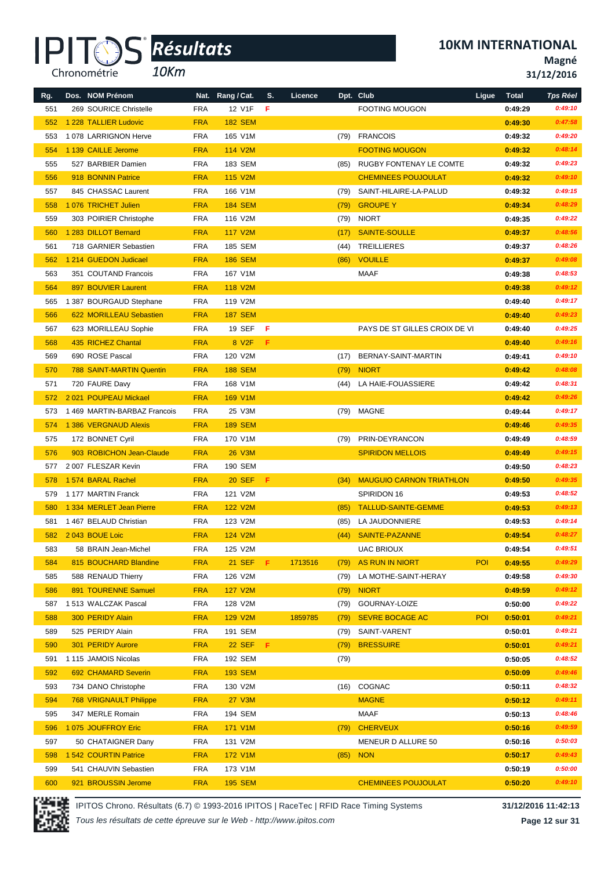*10Km*

**10KM INTERNATIONAL**

**Magné**

**31/12/2016**

| Rg. | Dos. NOM Prénom                 |            | Nat. Rang / Cat.   | S.    | Licence |      | Dpt. Club                       | Ligue      | <b>Total</b> | <b>Tps Réel</b> |
|-----|---------------------------------|------------|--------------------|-------|---------|------|---------------------------------|------------|--------------|-----------------|
| 551 | 269 SOURICE Christelle          | <b>FRA</b> | 12 V1F             | F     |         |      | <b>FOOTING MOUGON</b>           |            | 0:49:29      | 0:49:10         |
| 552 | 1 228 TALLIER Ludovic           | <b>FRA</b> | <b>182 SEM</b>     |       |         |      |                                 |            | 0:49:30      | 0:47:58         |
| 553 | 1078 LARRIGNON Herve            | <b>FRA</b> | 165 V1M            |       |         |      | (79) FRANCOIS                   |            | 0:49:32      | 0:49:20         |
| 554 | 1 139 CAILLE Jerome             | <b>FRA</b> | 114 V2M            |       |         |      | <b>FOOTING MOUGON</b>           |            | 0:49:32      | 0:48:14         |
| 555 | 527 BARBIER Damien              | <b>FRA</b> | 183 SEM            |       |         | (85) | RUGBY FONTENAY LE COMTE         |            | 0:49:32      | 0:49:23         |
| 556 | 918 BONNIN Patrice              | <b>FRA</b> | 115 V2M            |       |         |      | <b>CHEMINEES POUJOULAT</b>      |            | 0:49:32      | 0:49:10         |
| 557 | 845 CHASSAC Laurent             | <b>FRA</b> | 166 V1M            |       |         | (79) | SAINT-HILAIRE-LA-PALUD          |            | 0:49:32      | 0:49:15         |
| 558 | 1076 TRICHET Julien             | <b>FRA</b> | <b>184 SEM</b>     |       |         | (79) | <b>GROUPE Y</b>                 |            | 0:49:34      | 0:48:29         |
| 559 | 303 POIRIER Christophe          | <b>FRA</b> | 116 V2M            |       |         | (79) | <b>NIORT</b>                    |            | 0:49:35      | 0:49:22         |
| 560 | 1 283 DILLOT Bernard            | <b>FRA</b> | <b>117 V2M</b>     |       |         |      | SAINTE-SOULLE                   |            |              | 0:48:56         |
|     |                                 |            | 185 SEM            |       |         | (17) |                                 |            | 0:49:37      | 0:48:26         |
| 561 | 718 GARNIER Sebastien           | <b>FRA</b> |                    |       |         | (44) | <b>TREILLIERES</b>              |            | 0:49:37      |                 |
| 562 | 1 214 GUEDON Judicael           | <b>FRA</b> | <b>186 SEM</b>     |       |         | (86) | <b>VOUILLE</b>                  |            | 0:49:37      | 0:49:08         |
| 563 | 351 COUTAND Francois            | <b>FRA</b> | 167 V1M            |       |         |      | <b>MAAF</b>                     |            | 0:49:38      | 0:48:53         |
| 564 | 897 BOUVIER Laurent             | <b>FRA</b> | 118 V2M            |       |         |      |                                 |            | 0:49:38      | 0:49:12         |
| 565 | 1 387 BOURGAUD Stephane         | <b>FRA</b> | 119 V2M            |       |         |      |                                 |            | 0:49:40      | 0:49:17         |
| 566 | 622 MORILLEAU Sebastien         | <b>FRA</b> | <b>187 SEM</b>     |       |         |      |                                 |            | 0:49:40      | 0:49:23         |
| 567 | 623 MORILLEAU Sophie            | <b>FRA</b> | <b>19 SEF</b>      | - F   |         |      | PAYS DE ST GILLES CROIX DE VI   |            | 0:49:40      | 0:49:25         |
| 568 | 435 RICHEZ Chantal              | <b>FRA</b> | 8 V <sub>2</sub> F | F     |         |      |                                 |            | 0:49:40      | 0:49:16         |
| 569 | 690 ROSE Pascal                 | <b>FRA</b> | 120 V2M            |       |         | (17) | BERNAY-SAINT-MARTIN             |            | 0:49:41      | 0:49:10         |
| 570 | <b>788 SAINT-MARTIN Quentin</b> | <b>FRA</b> | <b>188 SEM</b>     |       |         | (79) | <b>NIORT</b>                    |            | 0:49:42      | 0:48:08         |
| 571 | 720 FAURE Davy                  | <b>FRA</b> | 168 V1M            |       |         | (44) | LA HAIE-FOUASSIERE              |            | 0:49:42      | 0:48:31         |
| 572 | 2021 POUPEAU Mickael            | <b>FRA</b> | 169 V1M            |       |         |      |                                 |            | 0:49:42      | 0:49:26         |
| 573 | 1469 MARTIN-BARBAZ Francois     | <b>FRA</b> | 25 V3M             |       |         | (79) | MAGNE                           |            | 0:49:44      | 0:49:17         |
| 574 | 1 386 VERGNAUD Alexis           | <b>FRA</b> | <b>189 SEM</b>     |       |         |      |                                 |            | 0:49:46      | 0:49:35         |
| 575 | 172 BONNET Cyril                | <b>FRA</b> | 170 V1M            |       |         | (79) | PRIN-DEYRANCON                  |            | 0:49:49      | 0:48:59         |
| 576 | 903 ROBICHON Jean-Claude        | <b>FRA</b> | <b>26 V3M</b>      |       |         |      | <b>SPIRIDON MELLOIS</b>         |            | 0:49:49      | 0:49:15         |
| 577 | 2007 FLESZAR Kevin              | <b>FRA</b> | 190 SEM            |       |         |      |                                 |            | 0:49:50      | 0:48:23         |
| 578 | 1574 BARAL Rachel               | <b>FRA</b> | <b>20 SEF</b>      | F     |         | (34) | <b>MAUGUIO CARNON TRIATHLON</b> |            | 0:49:50      | 0:49:35         |
| 579 | 1177 MARTIN Franck              | <b>FRA</b> | 121 V2M            |       |         |      | SPIRIDON 16                     |            | 0:49:53      | 0:48:52         |
| 580 | 1 334 MERLET Jean Pierre        | <b>FRA</b> | <b>122 V2M</b>     |       |         | (85) | <b>TALLUD-SAINTE-GEMME</b>      |            | 0:49:53      | 0:49:13         |
| 581 | 1467 BELAUD Christian           | <b>FRA</b> | 123 V2M            |       |         | (85) | LA JAUDONNIERE                  |            | 0:49:53      | 0:49:14         |
| 582 | 2043 BOUE Loic                  | <b>FRA</b> | 124 V2M            |       |         | (44) | SAINTE-PAZANNE                  |            | 0:49:54      | 0:48:27         |
| 583 | 58 BRAIN Jean-Michel            | <b>FRA</b> | 125 V2M            |       |         |      | <b>UAC BRIOUX</b>               |            | 0:49:54      | 0:49:51         |
| 584 | 815 BOUCHARD Blandine           | <b>FRA</b> | <b>21 SEF</b>      | - F . | 1713516 | (79) | AS RUN IN NIORT                 | <b>POI</b> | 0:49:55      | 0:49:29         |
| 585 | 588 RENAUD Thierry              | <b>FRA</b> | 126 V2M            |       |         | (79) | LA MOTHE-SAINT-HERAY            |            | 0:49:58      | 0:49:30         |
| 586 | 891 TOURENNE Samuel             | <b>FRA</b> | <b>127 V2M</b>     |       |         | (79) | <b>NIORT</b>                    |            | 0:49:59      | 0:49:12         |
| 587 | 1 513 WALCZAK Pascal            | <b>FRA</b> | 128 V2M            |       |         | (79) | GOURNAY-LOIZE                   |            | 0:50:00      | 0:49:22         |
| 588 | 300 PERIDY Alain                | <b>FRA</b> | 129 V2M            |       | 1859785 | (79) | <b>SEVRE BOCAGE AC</b>          | <b>POI</b> | 0:50:01      | 0:49:21         |
| 589 | 525 PERIDY Alain                | <b>FRA</b> | 191 SEM            |       |         | (79) | SAINT-VARENT                    |            | 0:50:01      | 0:49:21         |
| 590 | 301 PERIDY Aurore               | <b>FRA</b> | 22 SEF F           |       |         | (79) | <b>BRESSUIRE</b>                |            | 0:50:01      | 0:49:21         |
| 591 | 1 115 JAMOIS Nicolas            | <b>FRA</b> | 192 SEM            |       |         | (79) |                                 |            | 0:50:05      | 0:48:52         |
| 592 | 692 CHAMARD Severin             | <b>FRA</b> | <b>193 SEM</b>     |       |         |      |                                 |            | 0:50:09      | 0:49:46         |
| 593 | 734 DANO Christophe             | <b>FRA</b> | 130 V2M            |       |         | (16) | COGNAC                          |            | 0:50:11      | 0:48:32         |
| 594 | <b>768 VRIGNAULT Philippe</b>   | <b>FRA</b> | <b>27 V3M</b>      |       |         |      | <b>MAGNE</b>                    |            | 0:50:12      | 0:49:11         |
| 595 | 347 MERLE Romain                | <b>FRA</b> | 194 SEM            |       |         |      | <b>MAAF</b>                     |            | 0:50:13      | 0:48:46         |
| 596 | 1075 JOUFFROY Eric              | <b>FRA</b> | 171 V1M            |       |         | (79) | <b>CHERVEUX</b>                 |            | 0:50:16      | 0:49:59         |
| 597 | 50 CHATAIGNER Dany              | <b>FRA</b> | 131 V2M            |       |         |      | MENEUR D ALLURE 50              |            | 0:50:16      | 0:50:03         |
| 598 | 1 542 COURTIN Patrice           | <b>FRA</b> | 172 V1M            |       |         | (85) | <b>NON</b>                      |            | 0:50:17      | 0:49:43         |
| 599 | 541 CHAUVIN Sebastien           | <b>FRA</b> | 173 V1M            |       |         |      |                                 |            | 0:50:19      | 0:50:00         |
| 600 | 921 BROUSSIN Jerome             | <b>FRA</b> | <b>195 SEM</b>     |       |         |      | <b>CHEMINEES POUJOULAT</b>      |            | 0:50:20      | 0:49:10         |

IPITOS Chrono. Résultats (6.7) © 1993-2016 IPITOS | RaceTec | RFID Race Timing Systems **31/12/2016 11:42:13**

*Tous les résultats de cette épreuve sur le Web - http://www.ipitos.com*

**Page 12 sur 31**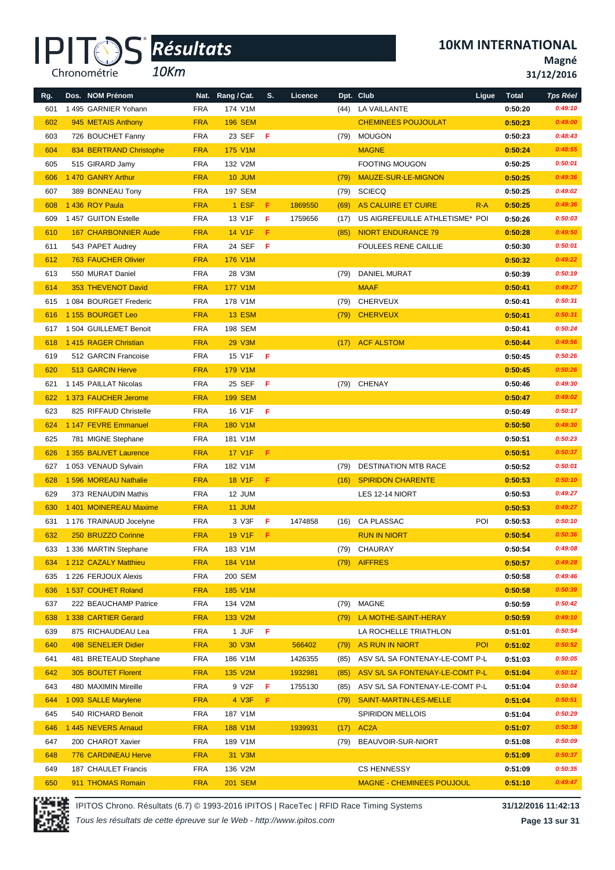*10Km*

**10KM INTERNATIONAL**

**Magné**

**31/12/2016**

| Rg. | Dos. NOM Prénom             |            | Nat. Rang / Cat. | s.  | Licence |      | Dpt. Club                        | Ligue      | <b>Total</b> | <b>Tps Réel</b> |
|-----|-----------------------------|------------|------------------|-----|---------|------|----------------------------------|------------|--------------|-----------------|
| 601 | 1495 GARNIER Yohann         | <b>FRA</b> | 174 V1M          |     |         | (44) | LA VAILLANTE                     |            | 0:50:20      | 0:49:10         |
| 602 | 945 METAIS Anthony          | <b>FRA</b> | <b>196 SEM</b>   |     |         |      | <b>CHEMINEES POUJOULAT</b>       |            | 0:50:23      | 0:49:00         |
| 603 | 726 BOUCHET Fanny           | <b>FRA</b> | 23 SEF           | - F |         | (79) | MOUGON                           |            | 0:50:23      | 0:48:43         |
| 604 | 834 BERTRAND Christophe     | <b>FRA</b> | <b>175 V1M</b>   |     |         |      | <b>MAGNE</b>                     |            | 0:50:24      | 0:48:55         |
| 605 | 515 GIRARD Jamy             | <b>FRA</b> | 132 V2M          |     |         |      | <b>FOOTING MOUGON</b>            |            | 0:50:25      | 0:50:01         |
| 606 | 1 470 GANRY Arthur          | <b>FRA</b> | 10 JUM           |     |         | (79) | MAUZE-SUR-LE-MIGNON              |            | 0:50:25      | 0:49:36         |
| 607 | 389 BONNEAU Tony            | <b>FRA</b> | 197 SEM          |     |         | (79) | SCIECQ                           |            | 0:50:25      | 0:49:02         |
| 608 | 1436 ROY Paula              | <b>FRA</b> | 1 ESF            | F   | 1869550 | (69) | AS CALUIRE ET CUIRE              | $R-A$      | 0:50:25      | 0:49:36         |
| 609 | 1 457 GUITON Estelle        | <b>FRA</b> | 13 V1F           | F   | 1759656 | (17) | US AIGREFEUILLE ATHLETISME* POI  |            | 0:50:26      | 0:50:03         |
| 610 | <b>167 CHARBONNIER Aude</b> | <b>FRA</b> | 14 V1F           | F.  |         | (85) | <b>NIORT ENDURANCE 79</b>        |            | 0:50:28      | 0:49:50         |
| 611 | 543 PAPET Audrey            | <b>FRA</b> | 24 SEF           | -F  |         |      | <b>FOULEES RENE CAILLIE</b>      |            | 0:50:30      | 0:50:01         |
| 612 | <b>763 FAUCHER Olivier</b>  | <b>FRA</b> | 176 V1M          |     |         |      |                                  |            | 0:50:32      | 0:49:22         |
| 613 | 550 MURAT Daniel            | <b>FRA</b> | 28 V3M           |     |         | (79) | <b>DANIEL MURAT</b>              |            | 0:50:39      | 0:50:19         |
| 614 | 353 THEVENOT David          | <b>FRA</b> | <b>177 V1M</b>   |     |         |      | <b>MAAF</b>                      |            | 0:50:41      | 0:49:27         |
| 615 | 1 084 BOURGET Frederic      | <b>FRA</b> | 178 V1M          |     |         | (79) | CHERVEUX                         |            | 0:50:41      | 0:50:31         |
| 616 | 1 155 BOURGET Leo           | <b>FRA</b> | <b>13 ESM</b>    |     |         |      | (79) CHERVEUX                    |            | 0:50:41      | 0:50:31         |
| 617 | 1 504 GUILLEMET Benoit      | <b>FRA</b> | 198 SEM          |     |         |      |                                  |            | 0:50:41      | 0:50:24         |
| 618 | 1415 RAGER Christian        | <b>FRA</b> | 29 V3M           |     |         | (17) | <b>ACF ALSTOM</b>                |            | 0:50:44      | 0:49:56         |
| 619 | 512 GARCIN Francoise        | <b>FRA</b> | 15 V1F           | -F  |         |      |                                  |            | 0:50:45      | 0:50:26         |
| 620 | <b>513 GARCIN Herve</b>     | <b>FRA</b> | <b>179 V1M</b>   |     |         |      |                                  |            | 0:50:45      | 0:50:26         |
| 621 | 1 145 PAILLAT Nicolas       | <b>FRA</b> | 25 SEF           | -F  |         |      | (79) CHENAY                      |            | 0:50:46      | 0:49:30         |
| 622 | 1 373 FAUCHER Jerome        | <b>FRA</b> | <b>199 SEM</b>   |     |         |      |                                  |            | 0:50:47      | 0:49:02         |
| 623 | 825 RIFFAUD Christelle      | <b>FRA</b> | 16 V1F           | F   |         |      |                                  |            | 0:50:49      | 0:50:17         |
| 624 | 1 147 FEVRE Emmanuel        | <b>FRA</b> | 180 V1M          |     |         |      |                                  |            | 0:50:50      | 0:49:30         |
| 625 | 781 MIGNE Stephane          | <b>FRA</b> | 181 V1M          |     |         |      |                                  |            | 0:50:51      | 0:50:23         |
| 626 | 1 355 BALIVET Laurence      | <b>FRA</b> | <b>17 V1F</b>    | F   |         |      |                                  |            | 0:50:51      | 0:50:37         |
| 627 | 1053 VENAUD Sylvain         | <b>FRA</b> | 182 V1M          |     |         | (79) | <b>DESTINATION MTB RACE</b>      |            | 0:50:52      | 0:50:01         |
| 628 | 1 596 MOREAU Nathalie       | <b>FRA</b> | <b>18 V1F</b>    | F.  |         | (16) | <b>SPIRIDON CHARENTE</b>         |            | 0:50:53      | 0:50:10         |
| 629 | 373 RENAUDIN Mathis         | <b>FRA</b> | 12 JUM           |     |         |      | LES 12-14 NIORT                  |            | 0:50:53      | 0:49:27         |
| 630 | 1 401 MOINEREAU Maxime      | <b>FRA</b> | 11 JUM           |     |         |      |                                  |            | 0:50:53      | 0:49:27         |
| 631 | 1 176 TRAINAUD Jocelyne     | <b>FRA</b> | 3 V3F            | F   | 1474858 |      | (16) CA PLASSAC                  | POI        | 0:50:53      | 0:50:10         |
| 632 | 250 BRUZZO Corinne          | <b>FRA</b> | <b>19 V1F</b>    | F.  |         |      | <b>RUN IN NIORT</b>              |            | 0:50:54      | 0:50:36         |
| 633 | 1 336 MARTIN Stephane       | <b>FRA</b> | 183 V1M          |     |         | (79) | CHAURAY                          |            | 0:50:54      | 0:49:08         |
| 634 | 1 212 CAZALY Matthieu       | <b>FRA</b> | 184 V1M          |     |         |      | (79) AIFFRES                     |            | 0:50:57      | 0:49:28         |
| 635 | 1 226 FERJOUX Alexis        | <b>FRA</b> | 200 SEM          |     |         |      |                                  |            | 0:50:58      | 0:49:46         |
| 636 | 1 537 COUHET Roland         | <b>FRA</b> | 185 V1M          |     |         |      |                                  |            | 0:50:58      | 0:50:39         |
| 637 | 222 BEAUCHAMP Patrice       | <b>FRA</b> | 134 V2M          |     |         | (79) | <b>MAGNE</b>                     |            | 0:50:59      | 0:50:42         |
| 638 | 1 338 CARTIER Gerard        | <b>FRA</b> | 133 V2M          |     |         | (79) | LA MOTHE-SAINT-HERAY             |            | 0:50:59      | 0:49:10         |
| 639 | 875 RICHAUDEAU Lea          | <b>FRA</b> | 1 JUF            | -F  |         |      | LA ROCHELLE TRIATHLON            |            | 0:51:01      | 0:50:54         |
| 640 | 498 SENELIER Didier         | <b>FRA</b> | 30 V3M           |     | 566402  | (79) | <b>AS RUN IN NIORT</b>           | <b>POI</b> | 0:51:02      | 0:50:52         |
| 641 | 481 BRETEAUD Stephane       | <b>FRA</b> | 186 V1M          |     | 1426355 | (85) | ASV S/L SA FONTENAY-LE-COMT P-L  |            | 0:51:03      | 0:50:05         |
| 642 | <b>305 BOUTET Florent</b>   | <b>FRA</b> | 135 V2M          |     | 1932981 | (85) | ASV S/L SA FONTENAY-LE-COMT P-L  |            | 0:51:04      | 0:50:12         |
| 643 | 480 MAXIMIN Mireille        | <b>FRA</b> | 9 V2F            | F   | 1755130 | (85) | ASV S/L SA FONTENAY-LE-COMT P-L  |            | 0:51:04      | 0:50:04         |
| 644 | 1 093 SALLE Marylene        | <b>FRA</b> | $4$ V3F          | F.  |         | (79) | SAINT-MARTIN-LES-MELLE           |            | 0:51:04      | 0:50:51         |
| 645 | 540 RICHARD Benoit          | <b>FRA</b> | 187 V1M          |     |         |      | <b>SPIRIDON MELLOIS</b>          |            | 0:51:04      | 0:50:29         |
| 646 | 1 445 NEVERS Arnaud         | <b>FRA</b> | 188 V1M          |     | 1939931 | (17) | AC <sub>2</sub> A                |            | 0:51:07      | 0:50:38         |
| 647 | 200 CHAROT Xavier           | <b>FRA</b> | 189 V1M          |     |         | (79) | BEAUVOIR-SUR-NIORT               |            | 0:51:08      | 0:50:09         |
| 648 | <b>776 CARDINEAU Herve</b>  | <b>FRA</b> | 31 V3M           |     |         |      |                                  |            | 0:51:09      | 0:50:37         |
| 649 | 187 CHAULET Francis         | <b>FRA</b> | 136 V2M          |     |         |      | <b>CS HENNESSY</b>               |            | 0:51:09      | 0:50:35         |
| 650 | 911 THOMAS Romain           | <b>FRA</b> | <b>201 SEM</b>   |     |         |      | <b>MAGNE - CHEMINEES POUJOUL</b> |            | 0:51:10      | 0:49:47         |



IPITOS Chrono. Résultats (6.7) © 1993-2016 IPITOS | RaceTec | RFID Race Timing Systems **31/12/2016 11:42:13**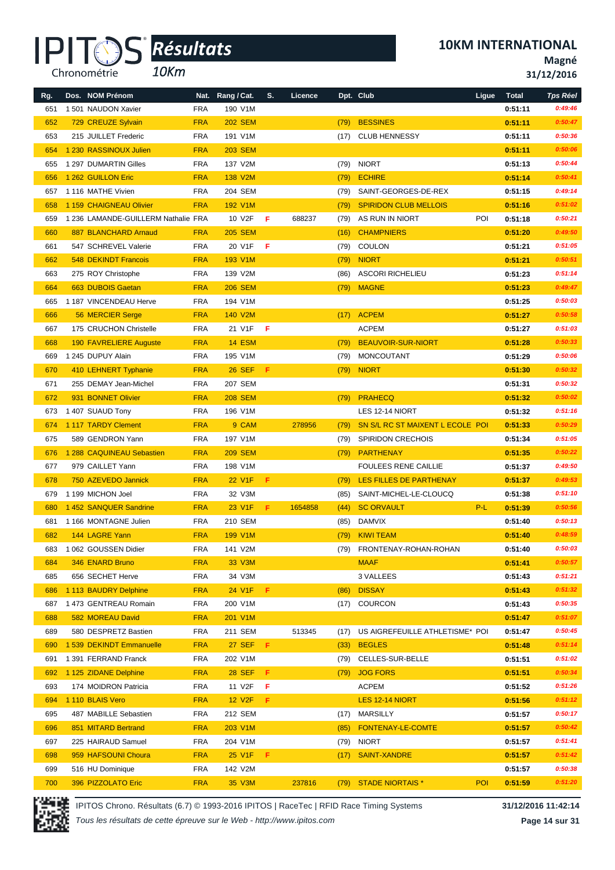*10Km*

**Magné**

**31/12/2016**

| Rg. | Dos. NOM Prénom                     |            | Nat. Rang / Cat. | S.  | Licence |      | Dpt. Club                        | Ligue | <b>Total</b> | <b>Tps Réel</b> |
|-----|-------------------------------------|------------|------------------|-----|---------|------|----------------------------------|-------|--------------|-----------------|
| 651 | 1501 NAUDON Xavier                  | <b>FRA</b> | 190 V1M          |     |         |      |                                  |       | 0:51:11      | 0:49:46         |
| 652 | 729 CREUZE Sylvain                  | <b>FRA</b> | <b>202 SEM</b>   |     |         | (79) | <b>BESSINES</b>                  |       | 0:51:11      | 0:50:47         |
| 653 | 215 JUILLET Frederic                | <b>FRA</b> | 191 V1M          |     |         | (17) | <b>CLUB HENNESSY</b>             |       | 0:51:11      | 0:50:36         |
| 654 | 1 230 RASSINOUX Julien              | <b>FRA</b> | <b>203 SEM</b>   |     |         |      |                                  |       | 0:51:11      | 0:50:06         |
| 655 | 1 297 DUMARTIN Gilles               | <b>FRA</b> | 137 V2M          |     |         | (79) | <b>NIORT</b>                     |       | 0:51:13      | 0:50:44         |
| 656 | 1 262 GUILLON Eric                  | <b>FRA</b> | 138 V2M          |     |         | (79) | <b>ECHIRE</b>                    |       | 0:51:14      | 0:50:41         |
| 657 | 1 116 MATHE Vivien                  | <b>FRA</b> | 204 SEM          |     |         | (79) | SAINT-GEORGES-DE-REX             |       | 0:51:15      | 0:49:14         |
| 658 | 1 159 CHAIGNEAU Olivier             | <b>FRA</b> | 192 V1M          |     |         | (79) | <b>SPIRIDON CLUB MELLOIS</b>     |       | 0:51:16      | 0:51:02         |
| 659 | 1 236 LAMANDE-GUILLERM Nathalie FRA |            | 10 V2F           | F   | 688237  | (79) | AS RUN IN NIORT                  | POI   | 0:51:18      | 0:50:21         |
| 660 | 887 BLANCHARD Arnaud                | <b>FRA</b> | <b>205 SEM</b>   |     |         | (16) | <b>CHAMPNIERS</b>                |       | 0:51:20      | 0:49:50         |
| 661 | 547 SCHREVEL Valerie                | <b>FRA</b> | 20 V1F           | F   |         | (79) | <b>COULON</b>                    |       | 0:51:21      | 0:51:05         |
| 662 | <b>548 DEKINDT Francois</b>         | <b>FRA</b> | 193 V1M          |     |         | (79) | <b>NIORT</b>                     |       | 0:51:21      | 0:50:51         |
| 663 | 275 ROY Christophe                  | <b>FRA</b> | 139 V2M          |     |         | (86) | <b>ASCORI RICHELIEU</b>          |       | 0:51:23      | 0:51:14         |
| 664 | 663 DUBOIS Gaetan                   | <b>FRA</b> | <b>206 SEM</b>   |     |         | (79) | <b>MAGNE</b>                     |       | 0:51:23      | 0:49:47         |
| 665 | 1 187 VINCENDEAU Herve              | <b>FRA</b> | 194 V1M          |     |         |      |                                  |       | 0:51:25      | 0:50:03         |
| 666 | 56 MERCIER Serge                    | <b>FRA</b> | 140 V2M          |     |         | (17) | <b>ACPEM</b>                     |       | 0:51:27      | 0:50:58         |
| 667 | 175 CRUCHON Christelle              | <b>FRA</b> | 21 V1F           | -F  |         |      | <b>ACPEM</b>                     |       | 0:51:27      | 0:51:03         |
| 668 | 190 FAVRELIERE Auguste              | <b>FRA</b> | <b>14 ESM</b>    |     |         | (79) | <b>BEAUVOIR-SUR-NIORT</b>        |       | 0:51:28      | 0:50:33         |
| 669 | 1 245 DUPUY Alain                   | <b>FRA</b> | 195 V1M          |     |         | (79) | MONCOUTANT                       |       | 0:51:29      | 0:50:06         |
| 670 | 410 LEHNERT Typhanie                | <b>FRA</b> | <b>26 SEF</b>    | F   |         | (79) | <b>NIORT</b>                     |       | 0:51:30      | 0:50:32         |
| 671 | 255 DEMAY Jean-Michel               | <b>FRA</b> | 207 SEM          |     |         |      |                                  |       | 0:51:31      | 0:50:32         |
| 672 | 931 BONNET Olivier                  | <b>FRA</b> | <b>208 SEM</b>   |     |         | (79) | <b>PRAHECQ</b>                   |       | 0:51:32      | 0:50:02         |
| 673 | 1 407 SUAUD Tony                    | <b>FRA</b> | 196 V1M          |     |         |      | LES 12-14 NIORT                  |       | 0:51:32      | 0:51:16         |
| 674 | 1 117 TARDY Clement                 | <b>FRA</b> | 9 CAM            |     | 278956  | (79) | SN S/L RC ST MAIXENT L ECOLE POI |       | 0:51:33      | 0:50:29         |
| 675 | 589 GENDRON Yann                    | <b>FRA</b> | 197 V1M          |     |         | (79) | <b>SPIRIDON CRECHOIS</b>         |       | 0:51:34      | 0:51:05         |
| 676 | 1 288 CAQUINEAU Sebastien           | <b>FRA</b> | <b>209 SEM</b>   |     |         | (79) | PARTHENAY                        |       | 0:51:35      | 0:50:22         |
| 677 | 979 CAILLET Yann                    | <b>FRA</b> | 198 V1M          |     |         |      | <b>FOULEES RENE CAILLIE</b>      |       | 0:51:37      | 0:49:50         |
| 678 | 750 AZEVEDO Jannick                 | <b>FRA</b> | 22 V1F           | F.  |         | (79) | LES FILLES DE PARTHENAY          |       | 0:51:37      | 0:49:53         |
| 679 | 1 199 MICHON Joel                   | <b>FRA</b> | 32 V3M           |     |         | (85) | SAINT-MICHEL-LE-CLOUCQ           |       | 0:51:38      | 0:51:10         |
| 680 | 1 452 SANQUER Sandrine              | <b>FRA</b> | 23 V1F           | F.  | 1654858 | (44) | <b>SC ORVAULT</b>                | $P-L$ | 0:51:39      | 0:50:56         |
| 681 | 1166 MONTAGNE Julien                | <b>FRA</b> | 210 SEM          |     |         | (85) | <b>DAMVIX</b>                    |       | 0:51:40      | 0:50:13         |
| 682 | 144 LAGRE Yann                      | <b>FRA</b> | 199 V1M          |     |         | (79) | <b>KIWI TEAM</b>                 |       | 0:51:40      | 0:48:59         |
|     | 683 1 062 GOUSSEN Didier            | FRA        | 141 V2M          |     |         |      | (79) FRONTENAY-ROHAN-ROHAN       |       | 0:51:40      | 0:50:03         |
| 684 | 346 ENARD Bruno                     | <b>FRA</b> | 33 V3M           |     |         |      | <b>MAAF</b>                      |       | 0:51:41      | 0:50:57         |
| 685 | 656 SECHET Herve                    | <b>FRA</b> | 34 V3M           |     |         |      | 3 VALLEES                        |       | 0:51:43      | 0:51:21         |
| 686 | 1 113 BAUDRY Delphine               | <b>FRA</b> | 24 V1F           | F.  |         | (86) | <b>DISSAY</b>                    |       | 0:51:43      | 0:51:32         |
| 687 | 1 473 GENTREAU Romain               | <b>FRA</b> | 200 V1M          |     |         |      | (17) COURCON                     |       | 0:51:43      | 0:50:35         |
| 688 | 582 MOREAU David                    | <b>FRA</b> | 201 V1M          |     |         |      |                                  |       | 0:51:47      | 0:51:07         |
| 689 | 580 DESPRETZ Bastien                | <b>FRA</b> | 211 SEM          |     | 513345  | (17) | US AIGREFEUILLE ATHLETISME* POI  |       | 0:51:47      | 0:50:45         |
| 690 | 1 539 DEKINDT Emmanuelle            | <b>FRA</b> | 27 SEF F         |     |         | (33) | <b>BEGLES</b>                    |       | 0:51:48      | 0:51:14         |
| 691 | 1 391 FERRAND Franck                | <b>FRA</b> | 202 V1M          |     |         | (79) | CELLES-SUR-BELLE                 |       | 0:51:51      | 0:51:02         |
| 692 | 1 125 ZIDANE Delphine               | <b>FRA</b> | <b>28 SEF</b>    | F.  |         | (79) | <b>JOG FORS</b>                  |       | 0:51:51      | 0:50:34         |
| 693 | 174 MOIDRON Patricia                | <b>FRA</b> | 11 V2F           | F   |         |      | <b>ACPEM</b>                     |       | 0:51:52      | 0:51:26         |
| 694 | 1 110 BLAIS Vero                    | <b>FRA</b> | <b>12 V2F</b>    | F.  |         |      | LES 12-14 NIORT                  |       | 0:51:56      | 0:51:12         |
| 695 | 487 MABILLE Sebastien               | <b>FRA</b> | 212 SEM          |     |         |      | (17) MARSILLY                    |       | 0:51:57      | 0:50:17         |
| 696 | 851 MITARD Bertrand                 | <b>FRA</b> | 203 V1M          |     |         | (85) | FONTENAY-LE-COMTE                |       | 0:51:57      | 0:50:42         |
| 697 | 225 HAIRAUD Samuel                  | <b>FRA</b> | 204 V1M          |     |         |      | $(79)$ NIORT                     |       | 0:51:57      | 0:51:41         |
| 698 | 959 HAFSOUNI Choura                 | <b>FRA</b> | 25 V1F           | -F. |         | (17) | <b>SAINT-XANDRE</b>              |       | 0:51:57      | 0:51:42         |
| 699 | 516 HU Dominique                    | <b>FRA</b> | 142 V2M          |     |         |      |                                  |       | 0:51:57      | 0:50:38         |
| 700 | 396 PIZZOLATO Eric                  | <b>FRA</b> | 35 V3M           |     | 237816  |      | (79) STADE NIORTAIS *            | POI   | 0:51:59      | 0:51:20         |



IPITOS Chrono. Résultats (6.7) © 1993-2016 IPITOS | RaceTec | RFID Race Timing Systems **31/12/2016 11:42:14**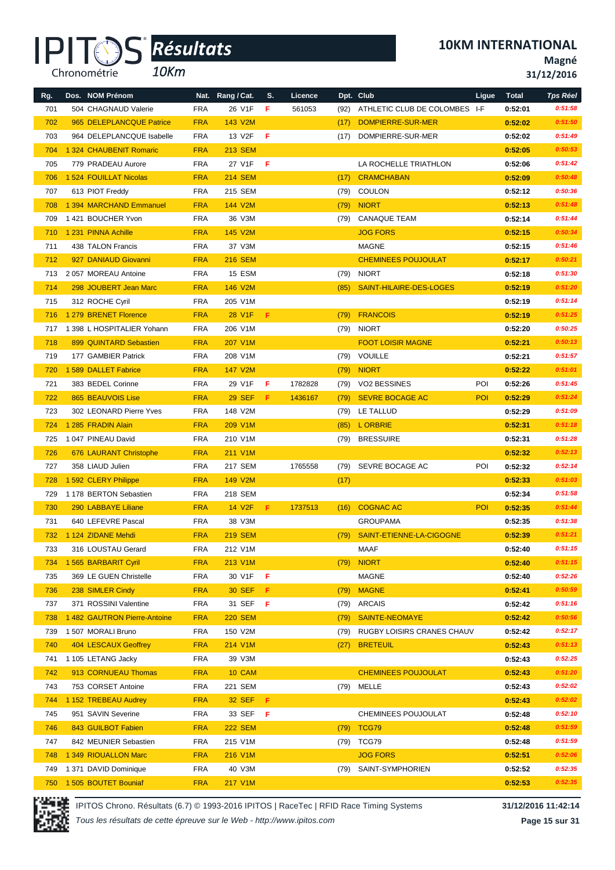*10Km*

**10KM INTERNATIONAL**

**Magné**

**31/12/2016**

| Rg. | Dos. NOM Prénom                |            | Nat. Rang / Cat.   | S.  | Licence |      | Dpt. Club                     | Ligue      | <b>Total</b> | <b>Tps Réel</b> |
|-----|--------------------------------|------------|--------------------|-----|---------|------|-------------------------------|------------|--------------|-----------------|
| 701 | 504 CHAGNAUD Valerie           | <b>FRA</b> | 26 V1F             | F   | 561053  | (92) | ATHLETIC CLUB DE COLOMBES I-F |            | 0:52:01      | 0:51:58         |
| 702 | 965 DELEPLANCQUE Patrice       | <b>FRA</b> | 143 V2M            |     |         | (17) | DOMPIERRE-SUR-MER             |            | 0:52:02      | 0:51:50         |
| 703 | 964 DELEPLANCQUE Isabelle      | <b>FRA</b> | 13 V2F             | F   |         | (17) | DOMPIERRE-SUR-MER             |            | 0:52:02      | 0:51:49         |
| 704 | 1 324 CHAUBENIT Romaric        | <b>FRA</b> | <b>213 SEM</b>     |     |         |      |                               |            | 0:52:05      | 0:50:53         |
| 705 | 779 PRADEAU Aurore             | <b>FRA</b> | 27 V1F             | -F  |         |      | LA ROCHELLE TRIATHLON         |            | 0:52:06      | 0:51:42         |
| 706 | 1 524 FOUILLAT Nicolas         | <b>FRA</b> | <b>214 SEM</b>     |     |         | (17) | <b>CRAMCHABAN</b>             |            | 0:52:09      | 0:50:48         |
| 707 | 613 PIOT Freddy                | <b>FRA</b> | 215 SEM            |     |         | (79) | <b>COULON</b>                 |            | 0:52:12      | 0:50:36         |
| 708 | 1 394 MARCHAND Emmanuel        | <b>FRA</b> | 144 V2M            |     |         | (79) | <b>NIORT</b>                  |            | 0:52:13      | 0:51:48         |
| 709 | 1421 BOUCHER Yvon              | <b>FRA</b> | 36 V3M             |     |         | (79) | <b>CANAQUE TEAM</b>           |            | 0:52:14      | 0:51:44         |
| 710 | 1 231 PINNA Achille            | <b>FRA</b> | 145 V2M            |     |         |      | <b>JOG FORS</b>               |            | 0:52:15      | 0:50:34         |
| 711 | 438 TALON Francis              | <b>FRA</b> | 37 V3M             |     |         |      | MAGNE                         |            | 0:52:15      | 0:51:46         |
| 712 | 927 DANIAUD Giovanni           | <b>FRA</b> | <b>216 SEM</b>     |     |         |      | <b>CHEMINEES POUJOULAT</b>    |            | 0:52:17      | 0:50:21         |
| 713 | 2057 MOREAU Antoine            | <b>FRA</b> | <b>15 ESM</b>      |     |         | (79) | <b>NIORT</b>                  |            | 0:52:18      | 0:51:30         |
| 714 | 298 JOUBERT Jean Marc          | <b>FRA</b> | 146 V2M            |     |         | (85) | SAINT-HILAIRE-DES-LOGES       |            | 0:52:19      | 0:51:20         |
| 715 | 312 ROCHE Cyril                | <b>FRA</b> | 205 V1M            |     |         |      |                               |            | 0:52:19      | 0:51:14         |
| 716 | 1 279 BRENET Florence          | <b>FRA</b> | 28 V1F             | -F. |         | (79) | <b>FRANCOIS</b>               |            | 0:52:19      | 0:51:25         |
|     | 717 1 398 L HOSPITALIER Yohann | <b>FRA</b> | 206 V1M            |     |         | (79) | <b>NIORT</b>                  |            | 0:52:20      | 0:50:25         |
| 718 | 899 QUINTARD Sebastien         | <b>FRA</b> | 207 V1M            |     |         |      | <b>FOOT LOISIR MAGNE</b>      |            | 0:52:21      | 0:50:13         |
| 719 | 177 GAMBIER Patrick            | <b>FRA</b> | 208 V1M            |     |         | (79) | VOUILLE                       |            | 0:52:21      | 0:51:57         |
| 720 | 1 589 DALLET Fabrice           | <b>FRA</b> | 147 V2M            |     |         | (79) | <b>NIORT</b>                  |            | 0:52:22      | 0:51:01         |
| 721 | 383 BEDEL Corinne              | <b>FRA</b> | 29 V1F             | F   | 1782828 | (79) | VO2 BESSINES                  | POI        | 0:52:26      | 0:51:45         |
| 722 | 865 BEAUVOIS Lise              | <b>FRA</b> | <b>29 SEF</b>      | F.  | 1436167 | (79) | <b>SEVRE BOCAGE AC</b>        | POI        | 0:52:29      | 0:51:24         |
| 723 | 302 LEONARD Pierre Yves        | <b>FRA</b> | 148 V2M            |     |         | (79) | LE TALLUD                     |            | 0:52:29      | 0:51:09         |
| 724 | 1 285 FRADIN Alain             | <b>FRA</b> | 209 V1M            |     |         | (85) | L ORBRIE                      |            | 0:52:31      | 0:51:18         |
| 725 | 1047 PINEAU David              | <b>FRA</b> | 210 V1M            |     |         | (79) | <b>BRESSUIRE</b>              |            | 0:52:31      | 0:51:28         |
| 726 | 676 LAURANT Christophe         | <b>FRA</b> | 211 V1M            |     |         |      |                               |            | 0:52:32      | 0:52:13         |
| 727 | 358 LIAUD Julien               | <b>FRA</b> | 217 SEM            |     | 1765558 |      | (79) SEVRE BOCAGE AC          | POI        | 0:52:32      | 0:52:14         |
| 728 | 1 592 CLERY Philippe           | <b>FRA</b> | 149 V2M            |     |         | (17) |                               |            | 0:52:33      | 0:51:03         |
| 729 | 1 178 BERTON Sebastien         | <b>FRA</b> | 218 SEM            |     |         |      |                               |            | 0:52:34      | 0:51:58         |
| 730 | 290 LABBAYE Liliane            | <b>FRA</b> | 14 V <sub>2F</sub> | F.  | 1737513 | (16) | <b>COGNAC AC</b>              | <b>POI</b> | 0:52:35      | 0:51:44         |
| 731 | 640 LEFEVRE Pascal             | <b>FRA</b> | 38 V3M             |     |         |      | <b>GROUPAMA</b>               |            | 0:52:35      | 0:51:38         |
| 732 | 1 124 ZIDANE Mehdi             | <b>FRA</b> | <b>219 SEM</b>     |     |         | (79) | SAINT-ETIENNE-LA-CIGOGNE      |            | 0:52:39      | 0:51:21         |
| 733 | 316 LOUSTAU Gerard             | <b>FRA</b> | 212 V1M            |     |         |      | MAAF                          |            | 0:52:40      | 0:51:15         |
| 734 | 1 565 BARBARIT Cyril           | <b>FRA</b> | 213 V1M            |     |         | (79) | <b>NIORT</b>                  |            | 0:52:40      | 0:51:15         |
| 735 | 369 LE GUEN Christelle         | <b>FRA</b> | 30 V1F             | F   |         |      | <b>MAGNE</b>                  |            | 0:52:40      | 0:52:26         |
| 736 | 238 SIMLER Cindy               | <b>FRA</b> | 30 SEF             | -F. |         | (79) | <b>MAGNE</b>                  |            | 0:52:41      | 0:50:59         |
| 737 | 371 ROSSINI Valentine          | <b>FRA</b> | 31 SEF             | - F |         | (79) | ARCAIS                        |            | 0:52:42      | 0:51:16         |
| 738 | 1482 GAUTRON Pierre-Antoine    | <b>FRA</b> | <b>220 SEM</b>     |     |         | (79) | <b>SAINTE-NEOMAYE</b>         |            | 0:52:42      | 0:50:56         |
| 739 | 1 507 MORALI Bruno             | <b>FRA</b> | 150 V2M            |     |         | (79) | RUGBY LOISIRS CRANES CHAUV    |            | 0:52:42      | 0:52:17         |
| 740 | 404 LESCAUX Geoffrey           | <b>FRA</b> | 214 V1M            |     |         | (27) | <b>BRETEUIL</b>               |            | 0:52:43      | 0:51:13         |
| 741 | 1 105 LETANG Jacky             | <b>FRA</b> | 39 V3M             |     |         |      |                               |            | 0:52:43      | 0:52:25         |
| 742 | 913 CORNUEAU Thomas            | <b>FRA</b> | 10 CAM             |     |         |      | <b>CHEMINEES POUJOULAT</b>    |            | 0:52:43      | 0:51:20         |
| 743 | 753 CORSET Antoine             | <b>FRA</b> | 221 SEM            |     |         |      | (79) MELLE                    |            | 0:52:43      | 0:52:02         |
| 744 | 1 152 TREBEAU Audrey           | <b>FRA</b> | <b>32 SEF</b>      | Æ.  |         |      |                               |            | 0:52:43      | 0:52:02         |
| 745 | 951 SAVIN Severine             | <b>FRA</b> | 33 SEF <b>F</b>    |     |         |      | CHEMINEES POUJOULAT           |            | 0:52:48      | 0:52:10         |
| 746 | 843 GUILBOT Fabien             | <b>FRA</b> | <b>222 SEM</b>     |     |         | (79) | TCG79                         |            | 0:52:48      | 0:51:59         |
| 747 | 842 MEUNIER Sebastien          | <b>FRA</b> | 215 V1M            |     |         |      | (79) TCG79                    |            | 0:52:48      | 0:51:59         |
| 748 | 1 349 RIOUALLON Marc           | <b>FRA</b> | 216 V1M            |     |         |      | <b>JOG FORS</b>               |            | 0:52:51      | 0:52:06         |
|     | 749 1 371 DAVID Dominique      | <b>FRA</b> | 40 V3M             |     |         |      | (79) SAINT-SYMPHORIEN         |            | 0:52:52      | 0:52:35         |
| 750 | 1 505 BOUTET Bouniaf           | <b>FRA</b> | 217 V1M            |     |         |      |                               |            | 0:52:53      | 0:52:35         |



IPITOS Chrono. Résultats (6.7) © 1993-2016 IPITOS | RaceTec | RFID Race Timing Systems **31/12/2016 11:42:14**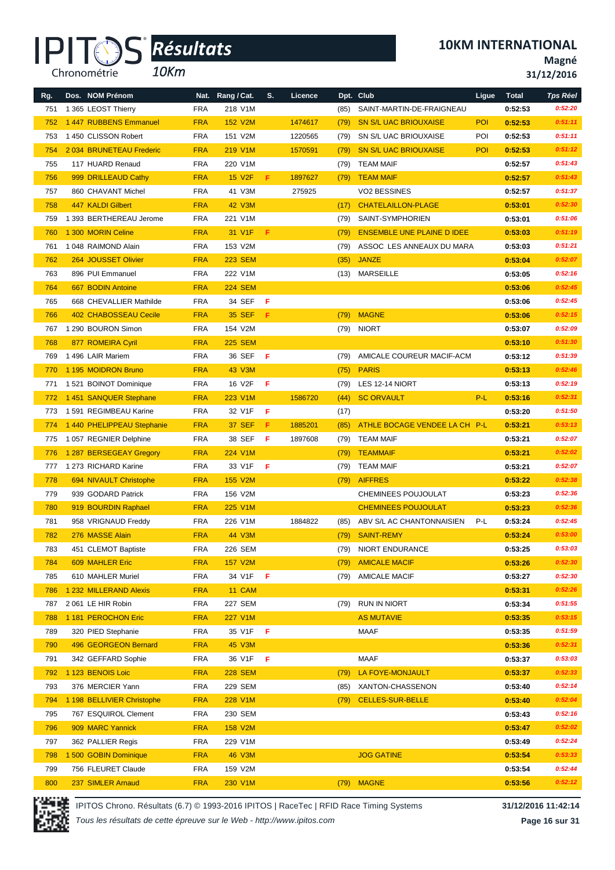*10Km*

**10KM INTERNATIONAL**

**Magné**

**31/12/2016**

| Rg. | Dos. NOM Prénom            |            | Nat. Rang / Cat. | S. | Licence |      | Dpt. Club                         | Ligue | <b>Total</b> | <b>Tps Réel</b> |
|-----|----------------------------|------------|------------------|----|---------|------|-----------------------------------|-------|--------------|-----------------|
| 751 | 1 365 LEOST Thierry        | <b>FRA</b> | 218 V1M          |    |         | (85) | SAINT-MARTIN-DE-FRAIGNEAU         |       | 0:52:53      | 0:52:20         |
| 752 | 1447 RUBBENS Emmanuel      | <b>FRA</b> | 152 V2M          |    | 1474617 | (79) | <b>SN S/L UAC BRIOUXAISE</b>      | POI   | 0:52:53      | 0:51:11         |
| 753 | 1450 CLISSON Robert        | <b>FRA</b> | 151 V2M          |    | 1220565 | (79) | SN S/L UAC BRIOUXAISE             | POI   | 0:52:53      | 0:51:11         |
| 754 | 2034 BRUNETEAU Frederic    | <b>FRA</b> | 219 V1M          |    | 1570591 | (79) | <b>SN S/L UAC BRIOUXAISE</b>      | POI   | 0:52:53      | 0:51:12         |
| 755 | 117 HUARD Renaud           | <b>FRA</b> | 220 V1M          |    |         | (79) | <b>TEAM MAIF</b>                  |       | 0:52:57      | 0:51:43         |
| 756 | 999 DRILLEAUD Cathy        | <b>FRA</b> | <b>15 V2F</b>    | F  | 1897627 | (79) | <b>TEAM MAIF</b>                  |       | 0:52:57      | 0:51:43         |
| 757 | 860 CHAVANT Michel         | <b>FRA</b> | 41 V3M           |    | 275925  |      | VO2 BESSINES                      |       | 0:52:57      | 0:51:37         |
| 758 | 447 KALDI Gilbert          | <b>FRA</b> | <b>42 V3M</b>    |    |         | (17) | <b>CHATELAILLON-PLAGE</b>         |       | 0:53:01      | 0:52:30         |
| 759 | 1 393 BERTHEREAU Jerome    | <b>FRA</b> | 221 V1M          |    |         | (79) | SAINT-SYMPHORIEN                  |       | 0:53:01      | 0:51:06         |
| 760 | 1 300 MORIN Celine         | <b>FRA</b> | 31 V1F           | F  |         | (79) | <b>ENSEMBLE UNE PLAINE D IDEE</b> |       | 0:53:03      | 0:51:19         |
| 761 | 1048 RAIMOND Alain         | <b>FRA</b> | 153 V2M          |    |         | (79) | ASSOC LES ANNEAUX DU MARA         |       | 0:53:03      | 0:51:21         |
| 762 | 264 JOUSSET Olivier        | <b>FRA</b> | <b>223 SEM</b>   |    |         | (35) | <b>JANZE</b>                      |       | 0:53:04      | 0:52:07         |
| 763 | 896 PUI Emmanuel           | <b>FRA</b> | 222 V1M          |    |         | (13) | <b>MARSEILLE</b>                  |       | 0:53:05      | 0:52:16         |
| 764 | 667 BODIN Antoine          | <b>FRA</b> | <b>224 SEM</b>   |    |         |      |                                   |       | 0:53:06      | 0:52:45         |
| 765 | 668 CHEVALLIER Mathilde    | <b>FRA</b> | 34 SEF           | F  |         |      |                                   |       | 0:53:06      | 0:52:45         |
| 766 | 402 CHABOSSEAU Cecile      | <b>FRA</b> | <b>35 SEF</b>    | F. |         | (79) | <b>MAGNE</b>                      |       | 0:53:06      | 0:52:15         |
| 767 | 1 290 BOURON Simon         | <b>FRA</b> | 154 V2M          |    |         |      | (79) NIORT                        |       | 0:53:07      | 0:52:09         |
| 768 | 877 ROMEIRA Cyril          | <b>FRA</b> | <b>225 SEM</b>   |    |         |      |                                   |       | 0:53:10      | 0:51:30         |
| 769 | 1496 LAIR Mariem           | <b>FRA</b> | 36 SEF           | -F |         | (79) | AMICALE COUREUR MACIF-ACM         |       | 0:53:12      | 0:51:39         |
| 770 | 1195 MOIDRON Bruno         | <b>FRA</b> | 43 V3M           |    |         | (75) | <b>PARIS</b>                      |       | 0:53:13      | 0:52:46         |
| 771 | 1521 BOINOT Dominique      | <b>FRA</b> | 16 V2F           | F  |         | (79) | LES 12-14 NIORT                   |       | 0:53:13      | 0:52:19         |
| 772 | 1451 SANQUER Stephane      | <b>FRA</b> | 223 V1M          |    | 1586720 | (44) | <b>SC ORVAULT</b>                 | P-L   | 0:53:16      | 0:52:31         |
| 773 | 1591 REGIMBEAU Karine      | <b>FRA</b> | 32 V1F           | F  |         | (17) |                                   |       | 0:53:20      | 0:51:50         |
| 774 | 1 440 PHELIPPEAU Stephanie | <b>FRA</b> | <b>37 SEF</b>    | F  | 1885201 | (85) | ATHLE BOCAGE VENDEE LA CH P-L     |       | 0:53:21      | 0:53:13         |
| 775 | 1 057 REGNIER Delphine     | <b>FRA</b> | 38 SEF           | -F | 1897608 | (79) | <b>TEAM MAIF</b>                  |       | 0:53:21      | 0:52:07         |
| 776 | 1 287 BERSEGEAY Gregory    | <b>FRA</b> | 224 V1M          |    |         | (79) | <b>TEAMMAIF</b>                   |       | 0:53:21      | 0:52:02         |
| 777 | 1 273 RICHARD Karine       | <b>FRA</b> | 33 V1F           | -F |         | (79) | <b>TEAM MAIF</b>                  |       | 0:53:21      | 0:52:07         |
| 778 | 694 NIVAULT Christophe     | <b>FRA</b> | 155 V2M          |    |         | (79) | <b>AIFFRES</b>                    |       | 0:53:22      | 0:52:38         |
| 779 | 939 GODARD Patrick         | <b>FRA</b> | 156 V2M          |    |         |      | CHEMINEES POUJOULAT               |       | 0:53:23      | 0:52:36         |
| 780 | 919 BOURDIN Raphael        | <b>FRA</b> | 225 V1M          |    |         |      | <b>CHEMINEES POUJOULAT</b>        |       | 0:53:23      | 0:52:36         |
| 781 | 958 VRIGNAUD Freddy        | <b>FRA</b> | 226 V1M          |    | 1884822 | (85) | ABV S/L AC CHANTONNAISIEN         | P-L   | 0:53:24      | 0:52:45         |
| 782 | 276 MASSE Alain            | <b>FRA</b> | 44 V3M           |    |         | (79) | SAINT-REMY                        |       | 0:53:24      | 0:53:00         |
| 783 | 451 CLEMOT Baptiste        | FRA        | 226 SEM          |    |         |      | (79) NIORT ENDURANCE              |       | 0:53:25      | 0:53:03         |
| 784 | 609 MAHLER Eric            | <b>FRA</b> | 157 V2M          |    |         | (79) | <b>AMICALE MACIF</b>              |       | 0:53:26      | 0:52:30         |
| 785 | 610 MAHLER Muriel          | <b>FRA</b> | 34 V1F           | F  |         |      | (79) AMICALE MACIF                |       | 0:53:27      | 0:52:30         |
| 786 | 1 232 MILLERAND Alexis     | <b>FRA</b> | 11 CAM           |    |         |      |                                   |       | 0:53:31      | 0:52:26         |
| 787 | 2061 LE HIR Robin          | <b>FRA</b> | 227 SEM          |    |         | (79) | <b>RUN IN NIORT</b>               |       | 0:53:34      | 0:51:55         |
| 788 | 1 181 PEROCHON Eric        | <b>FRA</b> | 227 V1M          |    |         |      | <b>AS MUTAVIE</b>                 |       | 0:53:35      | 0:53:15         |
| 789 | 320 PIED Stephanie         | <b>FRA</b> | 35 V1F           | F  |         |      | MAAF                              |       | 0:53:35      | 0:51:59         |
| 790 | 496 GEORGEON Bernard       | <b>FRA</b> | <b>45 V3M</b>    |    |         |      |                                   |       | 0:53:36      | 0:52:31         |
| 791 | 342 GEFFARD Sophie         | <b>FRA</b> | 36 V1F           | -F |         |      | MAAF                              |       | 0:53:37      | 0:53:03         |
| 792 | 1 123 BENOIS Loic          | <b>FRA</b> | <b>228 SEM</b>   |    |         | (79) | LA FOYE-MONJAULT                  |       | 0:53:37      | 0:52:33         |
| 793 | 376 MERCIER Yann           | <b>FRA</b> | 229 SEM          |    |         | (85) | XANTON-CHASSENON                  |       | 0:53:40      | 0:52:14         |
| 794 | 1 198 BELLIVIER Christophe | <b>FRA</b> | 228 V1M          |    |         | (79) | <b>CELLES-SUR-BELLE</b>           |       | 0:53:40      | 0:52:04         |
| 795 | 767 ESQUIROL Clement       | <b>FRA</b> | 230 SEM          |    |         |      |                                   |       | 0:53:43      | 0:52:16         |
| 796 | 909 MARC Yannick           | <b>FRA</b> | 158 V2M          |    |         |      |                                   |       | 0:53:47      | 0:52:02         |
| 797 | 362 PALLIER Regis          | <b>FRA</b> | 229 V1M          |    |         |      |                                   |       | 0:53:49      | 0:52:24         |
| 798 | 1 500 GOBIN Dominique      | <b>FRA</b> | <b>46 V3M</b>    |    |         |      | <b>JOG GATINE</b>                 |       | 0:53:54      | 0:53:33         |
| 799 | 756 FLEURET Claude         | <b>FRA</b> | 159 V2M          |    |         |      |                                   |       | 0:53:54      | 0:52:44         |
| 800 | 237 SIMLER Arnaud          | <b>FRA</b> | 230 V1M          |    |         |      | (79) MAGNE                        |       | 0:53:56      | 0:52:12         |



IPITOS Chrono. Résultats (6.7) © 1993-2016 IPITOS | RaceTec | RFID Race Timing Systems **31/12/2016 11:42:14**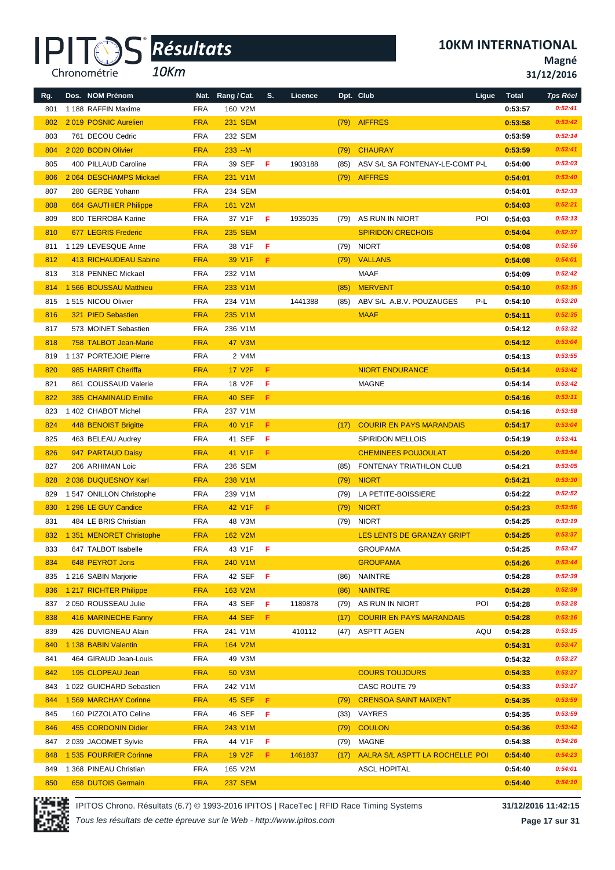

*10Km*

**10KM INTERNATIONAL**

**Magné**

**31/12/2016**

| Rg. | Dos. NOM Prénom              |            | Nat. Rang / Cat.    | S.  | Licence |      | Dpt. Club                         | Ligue | <b>Total</b> | <b>Tps Réel</b> |
|-----|------------------------------|------------|---------------------|-----|---------|------|-----------------------------------|-------|--------------|-----------------|
| 801 | 1 188 RAFFIN Maxime          | <b>FRA</b> | 160 V2M             |     |         |      |                                   |       | 0:53:57      | 0:52:41         |
| 802 | 2019 POSNIC Aurelien         | <b>FRA</b> | <b>231 SEM</b>      |     |         | (79) | <b>AIFFRES</b>                    |       | 0:53:58      | 0:53:42         |
| 803 | 761 DECOU Cedric             | <b>FRA</b> | 232 SEM             |     |         |      |                                   |       | 0:53:59      | 0:52:14         |
| 804 | 2020 BODIN Olivier           | <b>FRA</b> | $233 - M$           |     |         | (79) | <b>CHAURAY</b>                    |       | 0:53:59      | 0:53:41         |
| 805 | 400 PILLAUD Caroline         | <b>FRA</b> | 39 SEF              | -F  | 1903188 | (85) | ASV S/L SA FONTENAY-LE-COMT P-L   |       | 0:54:00      | 0:53:03         |
| 806 | 2064 DESCHAMPS Mickael       | <b>FRA</b> | 231 V1M             |     |         | (79) | <b>AIFFRES</b>                    |       | 0:54:01      | 0:53:40         |
| 807 | 280 GERBE Yohann             | <b>FRA</b> | 234 SEM             |     |         |      |                                   |       | 0:54:01      | 0:52:33         |
| 808 | <b>664 GAUTHIER Philippe</b> | <b>FRA</b> | 161 V2M             |     |         |      |                                   |       | 0:54:03      | 0:52:21         |
| 809 | 800 TERROBA Karine           | <b>FRA</b> | 37 V1F              | -F  | 1935035 | (79) | AS RUN IN NIORT                   | POI   | 0:54:03      | 0:53:13         |
| 810 | 677 LEGRIS Frederic          | <b>FRA</b> | <b>235 SEM</b>      |     |         |      | <b>SPIRIDON CRECHOIS</b>          |       | 0:54:04      | 0:52:37         |
| 811 | 1 129 LEVESQUE Anne          | <b>FRA</b> | 38 V1F              | F   |         | (79) | <b>NIORT</b>                      |       | 0:54:08      | 0:52:56         |
| 812 | 413 RICHAUDEAU Sabine        | <b>FRA</b> | 39 V1F              | F.  |         | (79) | <b>VALLANS</b>                    |       | 0:54:08      | 0:54:01         |
| 813 | 318 PENNEC Mickael           | <b>FRA</b> | 232 V1M             |     |         |      | <b>MAAF</b>                       |       | 0:54:09      | 0:52:42         |
| 814 | 1 566 BOUSSAU Matthieu       | <b>FRA</b> | 233 V1M             |     |         | (85) | <b>MERVENT</b>                    |       | 0:54:10      | 0:53:15         |
| 815 | 1515 NICOU Olivier           | <b>FRA</b> | 234 V1M             |     | 1441388 | (85) | ABV S/L A.B.V. POUZAUGES          | P-L   | 0:54:10      | 0:53:20         |
| 816 | 321 PIED Sebastien           | <b>FRA</b> | 235 V1M             |     |         |      | <b>MAAF</b>                       |       | 0:54:11      | 0:52:35         |
| 817 | 573 MOINET Sebastien         | <b>FRA</b> | 236 V1M             |     |         |      |                                   |       | 0:54:12      | 0:53:32         |
| 818 | 758 TALBOT Jean-Marie        | <b>FRA</b> | <b>47 V3M</b>       |     |         |      |                                   |       | 0:54:12      | 0:53:04         |
| 819 | 1 137 PORTEJOIE Pierre       | <b>FRA</b> | 2 V4M               |     |         |      |                                   |       | 0:54:13      | 0:53:55         |
| 820 | 985 HARRIT Cheriffa          | <b>FRA</b> | 17 V <sub>2</sub> F | F   |         |      | <b>NIORT ENDURANCE</b>            |       | 0:54:14      | 0:53:42         |
| 821 | 861 COUSSAUD Valerie         | <b>FRA</b> | 18 V2F              | F   |         |      | <b>MAGNE</b>                      |       | 0:54:14      | 0:53:42         |
| 822 | <b>385 CHAMINAUD Emilie</b>  | <b>FRA</b> | <b>40 SEF</b>       | -F. |         |      |                                   |       | 0:54:16      | 0:53:11         |
| 823 | 1 402 CHABOT Michel          | <b>FRA</b> | 237 V1M             |     |         |      |                                   |       | 0:54:16      | 0:53:58         |
| 824 | 448 BENOIST Brigitte         | <b>FRA</b> | 40 V1F              | F   |         | (17) | <b>COURIR EN PAYS MARANDAIS</b>   |       | 0:54:17      | 0:53:04         |
| 825 | 463 BELEAU Audrey            | <b>FRA</b> | 41 SEF              | F   |         |      | <b>SPIRIDON MELLOIS</b>           |       | 0:54:19      | 0:53:41         |
| 826 | 947 PARTAUD Daisy            | <b>FRA</b> | 41 V1F              | F.  |         |      | <b>CHEMINEES POUJOULAT</b>        |       | 0:54:20      | 0:53:54         |
| 827 | 206 ARHIMAN Loic             | <b>FRA</b> | 236 SEM             |     |         | (85) | FONTENAY TRIATHLON CLUB           |       | 0:54:21      | 0:53:05         |
| 828 | 2 036 DUQUESNOY Karl         | <b>FRA</b> | 238 V1M             |     |         | (79) | <b>NIORT</b>                      |       | 0:54:21      | 0:53:30         |
| 829 | 1 547 ONILLON Christophe     | <b>FRA</b> | 239 V1M             |     |         | (79) | LA PETITE-BOISSIERE               |       | 0:54:22      | 0:52:52         |
| 830 | 1 296 LE GUY Candice         | <b>FRA</b> | 42 V1F              | F.  |         | (79) | <b>NIORT</b>                      |       | 0:54:23      | 0:53:56         |
| 831 | 484 LE BRIS Christian        | <b>FRA</b> | 48 V3M              |     |         | (79) | <b>NIORT</b>                      |       | 0:54:25      | 0:53:19         |
| 832 | 1 351 MENORET Christophe     | <b>FRA</b> | 162 V2M             |     |         |      | <b>LES LENTS DE GRANZAY GRIPT</b> |       | 0:54:25      | 0:53:37         |
| 833 | 647 TALBOT Isabelle          | <b>FRA</b> | 43 V1F F            |     |         |      | <b>GROUPAMA</b>                   |       | 0:54:25      | 0:53:47         |
| 834 | 648 PEYROT Joris             | <b>FRA</b> | 240 V1M             |     |         |      | <b>GROUPAMA</b>                   |       | 0:54:26      | 0:53:44         |
| 835 | 1 216 SABIN Marjorie         | <b>FRA</b> | 42 SEF              | - F |         | (86) | <b>NAINTRE</b>                    |       | 0:54:28      | 0:52:39         |
| 836 | 1 217 RICHTER Philippe       | <b>FRA</b> | 163 V2M             |     |         | (86) | <b>NAINTRE</b>                    |       | 0:54:28      | 0:52:39         |
| 837 | 2 050 ROUSSEAU Julie         | <b>FRA</b> | 43 SEF              | F   | 1189878 | (79) | AS RUN IN NIORT                   | POI   | 0:54:28      | 0:53:28         |
| 838 | 416 MARINECHE Fanny          | <b>FRA</b> | <b>44 SEF</b>       | F.  |         | (17) | <b>COURIR EN PAYS MARANDAIS</b>   |       | 0:54:28      | 0:53:16         |
| 839 | 426 DUVIGNEAU Alain          | <b>FRA</b> | 241 V1M             |     | 410112  | (47) | ASPTT AGEN                        | AQU   | 0:54:28      | 0:53:15         |
| 840 | 1 138 BABIN Valentin         | <b>FRA</b> | 164 V2M             |     |         |      |                                   |       | 0:54:31      | 0:53:47         |
| 841 | 464 GIRAUD Jean-Louis        | <b>FRA</b> | 49 V3M              |     |         |      |                                   |       | 0:54:32      | 0:53:27         |
| 842 | 195 CLOPEAU Jean             | <b>FRA</b> | 50 V3M              |     |         |      | <b>COURS TOUJOURS</b>             |       | 0:54:33      | 0:53:27         |
| 843 | 1 022 GUICHARD Sebastien     | <b>FRA</b> | 242 V1M             |     |         |      | CASC ROUTE 79                     |       | 0:54:33      | 0:53:17         |
| 844 | 1 569 MARCHAY Corinne        | <b>FRA</b> | <b>45 SEF</b>       | F.  |         | (79) | <b>CRENSOA SAINT MAIXENT</b>      |       | 0:54:35      | 0:53:59         |
| 845 | 160 PIZZOLATO Celine         | <b>FRA</b> | 46 SEF              | - F |         | (33) | VAYRES                            |       | 0:54:35      | 0:53:59         |
| 846 | 455 CORDONIN Didier          | <b>FRA</b> | 243 V1M             |     |         | (79) | <b>COULON</b>                     |       | 0:54:36      | 0:53:42         |
| 847 | 2039 JACOMET Sylvie          | <b>FRA</b> | 44 V1F              | F   |         | (79) | MAGNE                             |       | 0:54:38      | 0:54:26         |
| 848 | 1 535 FOURRIER Corinne       | <b>FRA</b> | <b>19 V2F</b>       | F.  | 1461837 | (17) | AALRA S/L ASPTT LA ROCHELLE POI   |       | 0:54:40      | 0:54:23         |
| 849 | 1 368 PINEAU Christian       | <b>FRA</b> | 165 V2M             |     |         |      | <b>ASCL HOPITAL</b>               |       | 0:54:40      | 0:54:01         |
| 850 | 658 DUTOIS Germain           | <b>FRA</b> | <b>237 SEM</b>      |     |         |      |                                   |       | 0:54:40      | 0:54:10         |

IPITOS Chrono. Résultats (6.7) © 1993-2016 IPITOS | RaceTec | RFID Race Timing Systems **31/12/2016 11:42:15** *Tous les résultats de cette épreuve sur le Web - http://www.ipitos.com*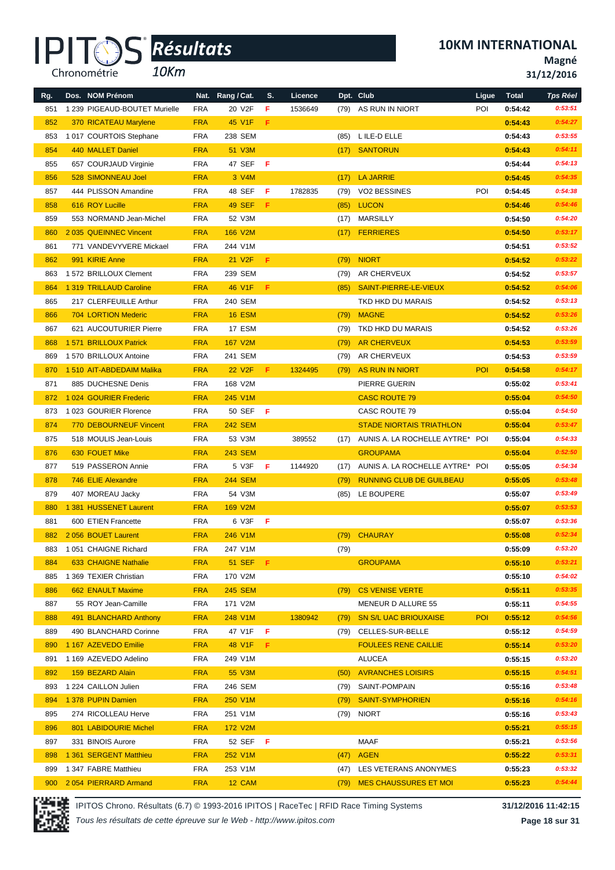*10Km*

**Magné**

**31/12/2016**

| Rg. | Dos. NOM Prénom               |            | Nat. Rang / Cat.    | S.  | Licence |      | Dpt. Club                       | Ligue      | <b>Total</b> | <b>Tps Réel</b> |
|-----|-------------------------------|------------|---------------------|-----|---------|------|---------------------------------|------------|--------------|-----------------|
| 851 | 1 239 PIGEAUD-BOUTET Murielle | <b>FRA</b> | 20 V2F              | F   | 1536649 |      | (79) AS RUN IN NIORT            | POI        | 0:54:42      | 0:53:51         |
| 852 | 370 RICATEAU Marylene         | <b>FRA</b> | 45 V1F              | F.  |         |      |                                 |            | 0:54:43      | 0:54:27         |
| 853 | 1017 COURTOIS Stephane        | <b>FRA</b> | 238 SEM             |     |         | (85) | L ILE-D ELLE                    |            | 0:54:43      | 0:53:55         |
| 854 | 440 MALLET Daniel             | <b>FRA</b> | 51 V3M              |     |         | (17) | <b>SANTORUN</b>                 |            | 0:54:43      | 0:54:11         |
| 855 | 657 COURJAUD Virginie         | <b>FRA</b> | 47 SEF              | -F  |         |      |                                 |            | 0:54:44      | 0:54:13         |
| 856 | 528 SIMONNEAU Joel            | <b>FRA</b> | 3 V4M               |     |         | (17) | <b>LA JARRIE</b>                |            | 0:54:45      | 0:54:35         |
| 857 | 444 PLISSON Amandine          | <b>FRA</b> | 48 SEF              | -F. | 1782835 | (79) | <b>VO2 BESSINES</b>             | POI        | 0:54:45      | 0:54:38         |
| 858 | 616 ROY Lucille               | <b>FRA</b> | <b>49 SEF</b>       | F   |         | (85) | <b>LUCON</b>                    |            | 0:54:46      | 0:54:46         |
| 859 | 553 NORMAND Jean-Michel       | <b>FRA</b> | 52 V3M              |     |         | (17) | MARSILLY                        |            | 0:54:50      | 0:54:20         |
| 860 | 2035 QUEINNEC Vincent         | <b>FRA</b> | 166 V2M             |     |         | (17) | <b>FERRIERES</b>                |            | 0:54:50      | 0:53:17         |
| 861 | 771 VANDEVYVERE Mickael       | <b>FRA</b> | 244 V1M             |     |         |      |                                 |            | 0:54:51      | 0:53:52         |
| 862 | 991 KIRIE Anne                | <b>FRA</b> | 21 V <sub>2</sub> F | F.  |         | (79) | <b>NIORT</b>                    |            | 0:54:52      | 0:53:22         |
| 863 | 1 572 BRILLOUX Clement        | <b>FRA</b> | 239 SEM             |     |         | (79) | AR CHERVEUX                     |            | 0:54:52      | 0:53:57         |
| 864 | 1 319 TRILLAUD Caroline       | <b>FRA</b> | 46 V1F              | F   |         |      | SAINT-PIERRE-LE-VIEUX           |            |              | 0:54:06         |
|     |                               | <b>FRA</b> |                     |     |         | (85) | TKD HKD DU MARAIS               |            | 0:54:52      | 0:53:13         |
| 865 | 217 CLERFEUILLE Arthur        |            | 240 SEM             |     |         |      |                                 |            | 0:54:52      |                 |
| 866 | 704 LORTION Mederic           | <b>FRA</b> | <b>16 ESM</b>       |     |         | (79) | <b>MAGNE</b>                    |            | 0:54:52      | 0:53:26         |
| 867 | 621 AUCOUTURIER Pierre        | <b>FRA</b> | 17 ESM              |     |         | (79) | TKD HKD DU MARAIS               |            | 0:54:52      | 0:53:26         |
| 868 | 1 571 BRILLOUX Patrick        | <b>FRA</b> | 167 V2M             |     |         | (79) | <b>AR CHERVEUX</b>              |            | 0:54:53      | 0:53:59         |
| 869 | 1 570 BRILLOUX Antoine        | <b>FRA</b> | 241 SEM             |     |         | (79) | AR CHERVEUX                     |            | 0:54:53      | 0:53:59         |
| 870 | 1510 AIT-ABDEDAIM Malika      | <b>FRA</b> | 22 V <sub>2</sub> F | F.  | 1324495 | (79) | <b>AS RUN IN NIORT</b>          | <b>POI</b> | 0:54:58      | 0:54:17         |
| 871 | 885 DUCHESNE Denis            | <b>FRA</b> | 168 V2M             |     |         |      | PIERRE GUERIN                   |            | 0:55:02      | 0:53:41         |
| 872 | 1 024 GOURIER Frederic        | <b>FRA</b> | 245 V1M             |     |         |      | <b>CASC ROUTE 79</b>            |            | 0:55:04      | 0:54:50         |
| 873 | 1023 GOURIER Florence         | <b>FRA</b> | 50 SEF              | -F  |         |      | CASC ROUTE 79                   |            | 0:55:04      | 0:54:50         |
| 874 | <b>770 DEBOURNEUF Vincent</b> | <b>FRA</b> | <b>242 SEM</b>      |     |         |      | <b>STADE NIORTAIS TRIATHLON</b> |            | 0:55:04      | 0:53:47         |
| 875 | 518 MOULIS Jean-Louis         | <b>FRA</b> | 53 V3M              |     | 389552  | (17) | AUNIS A. LA ROCHELLE AYTRE* POI |            | 0:55:04      | 0:54:33         |
| 876 | 630 FOUET Mike                | <b>FRA</b> | <b>243 SEM</b>      |     |         |      | <b>GROUPAMA</b>                 |            | 0:55:04      | 0:52:50         |
| 877 | 519 PASSERON Annie            | FRA        | 5 V3F               | F.  | 1144920 | (17) | AUNIS A. LA ROCHELLE AYTRE* POI |            | 0:55:05      | 0:54:34         |
| 878 | 746 ELIE Alexandre            | <b>FRA</b> | <b>244 SEM</b>      |     |         | (79) | <b>RUNNING CLUB DE GUILBEAU</b> |            | 0:55:05      | 0:53:48         |
| 879 | 407 MOREAU Jacky              | <b>FRA</b> | 54 V3M              |     |         | (85) | LE BOUPERE                      |            | 0:55:07      | 0:53:49         |
| 880 | 1 381 HUSSENET Laurent        | <b>FRA</b> | 169 V2M             |     |         |      |                                 |            | 0:55:07      | 0:53:53         |
| 881 | 600 ETIEN Francette           | <b>FRA</b> | 6 V3F               | -F  |         |      |                                 |            | 0:55:07      | 0:53:36         |
| 882 | 2056 BOUET Laurent            | <b>FRA</b> | 246 V1M             |     |         | (79) | <b>CHAURAY</b>                  |            | 0:55:08      | 0:52:34         |
|     | 883 1 051 CHAIGNE Richard     | FRA        | 247 V1M             |     |         | (79) |                                 |            | 0:55:09      | 0:53:20         |
| 884 | 633 CHAIGNE Nathalie          | <b>FRA</b> | <b>51 SEF</b>       | Æ.  |         |      | <b>GROUPAMA</b>                 |            | 0:55:10      | 0:53:21         |
| 885 | 1 369 TEXIER Christian        | <b>FRA</b> | 170 V2M             |     |         |      |                                 |            | 0:55:10      | 0:54:02         |
| 886 | 662 ENAULT Maxime             | <b>FRA</b> | <b>245 SEM</b>      |     |         | (79) | <b>CS VENISE VERTE</b>          |            | 0:55:11      | 0:53:35         |
| 887 | 55 ROY Jean-Camille           | <b>FRA</b> | 171 V2M             |     |         |      | MENEUR D ALLURE 55              |            | 0:55:11      | 0:54:55         |
| 888 | 491 BLANCHARD Anthony         | <b>FRA</b> | 248 V1M             |     | 1380942 | (79) | <b>SN S/L UAC BRIOUXAISE</b>    | <b>POI</b> | 0:55:12      | 0:54:56         |
| 889 | 490 BLANCHARD Corinne         | FRA        | 47 V1F              | F.  |         | (79) | CELLES-SUR-BELLE                |            | 0:55:12      | 0:54:59         |
| 890 | 1 167 AZEVEDO Emilie          | <b>FRA</b> | 48 V1F              | F.  |         |      | <b>FOULEES RENE CAILLIE</b>     |            | 0:55:14      | 0:53:20         |
| 891 | 1 169 AZEVEDO Adelino         | <b>FRA</b> | 249 V1M             |     |         |      | ALUCEA                          |            | 0:55:15      | 0:53:20         |
| 892 | 159 BEZARD Alain              | <b>FRA</b> | 55 V3M              |     |         | (50) | <b>AVRANCHES LOISIRS</b>        |            | 0:55:15      | 0:54:51         |
| 893 | 1 224 CAILLON Julien          | FRA        | 246 SEM             |     |         | (79) | SAINT-POMPAIN                   |            | 0:55:16      | 0:53:48         |
| 894 | 1 378 PUPIN Damien            | <b>FRA</b> | 250 V1M             |     |         | (79) | <b>SAINT-SYMPHORIEN</b>         |            | 0:55:16      | 0:54:16         |
| 895 | 274 RICOLLEAU Herve           | <b>FRA</b> | 251 V1M             |     |         | (79) | <b>NIORT</b>                    |            | 0:55:16      | 0:53:43         |
| 896 | 801 LABIDOURIE Michel         | <b>FRA</b> | 172 V2M             |     |         |      |                                 |            | 0:55:21      | 0:55:15         |
| 897 | 331 BINOIS Aurore             | <b>FRA</b> | 52 SEF <b>F</b>     |     |         |      | MAAF                            |            | 0:55:21      | 0:53:56         |
| 898 | 1 361 SERGENT Matthieu        | <b>FRA</b> | 252 V1M             |     |         | (47) | <b>AGEN</b>                     |            | 0:55:22      | 0:53:31         |
| 899 | 1 347 FABRE Matthieu          | <b>FRA</b> | 253 V1M             |     |         | (47) | LES VETERANS ANONYMES           |            | 0:55:23      | 0:53:32         |
| 900 | 2054 PIERRARD Armand          | <b>FRA</b> | 12 CAM              |     |         | (79) | <b>MES CHAUSSURES ET MOI</b>    |            | 0:55:23      | 0:54:44         |



IPITOS Chrono. Résultats (6.7) © 1993-2016 IPITOS | RaceTec | RFID Race Timing Systems **31/12/2016 11:42:15**

**Page 18 sur 31**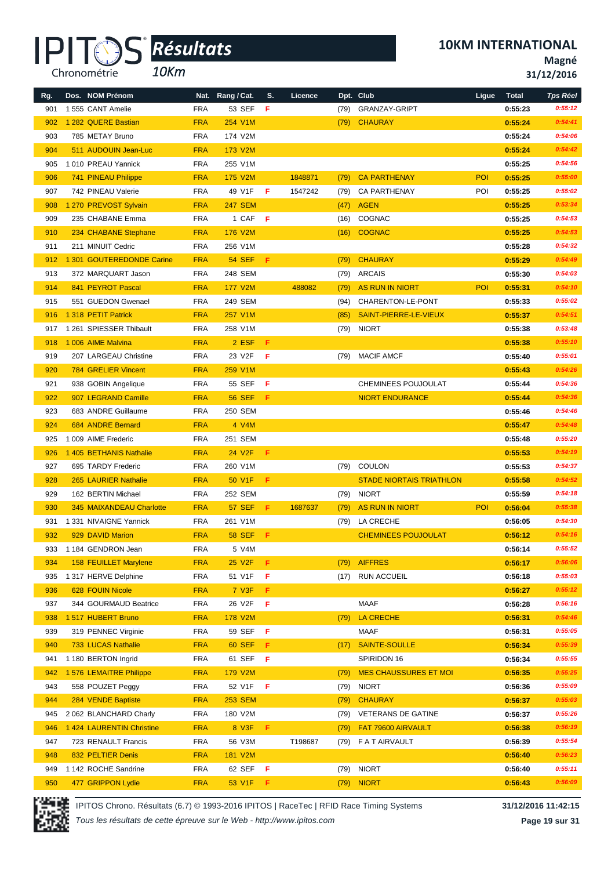

*10Km*

**10KM INTERNATIONAL**

**Magné**

**31/12/2016**

| Rg. | Dos. NOM Prénom              |            | Nat. Rang / Cat.   | S.  | Licence |      | Dpt. Club                       | Ligue | <b>Total</b> | <b>Tps Réel</b> |
|-----|------------------------------|------------|--------------------|-----|---------|------|---------------------------------|-------|--------------|-----------------|
| 901 | 1555 CANT Amelie             | <b>FRA</b> | 53 SEF             | F   |         | (79) | <b>GRANZAY-GRIPT</b>            |       | 0:55:23      | 0:55:12         |
| 902 | 1 282 QUERE Bastian          | <b>FRA</b> | 254 V1M            |     |         | (79) | <b>CHAURAY</b>                  |       | 0:55:24      | 0:54:41         |
| 903 | 785 METAY Bruno              | <b>FRA</b> | 174 V2M            |     |         |      |                                 |       | 0:55:24      | 0:54:06         |
| 904 | 511 AUDOUIN Jean-Luc         | <b>FRA</b> | 173 V2M            |     |         |      |                                 |       | 0:55:24      | 0:54:42         |
| 905 | 1010 PREAU Yannick           | <b>FRA</b> | 255 V1M            |     |         |      |                                 |       | 0:55:25      | 0:54:56         |
| 906 | 741 PINEAU Philippe          | <b>FRA</b> | 175 V2M            |     | 1848871 | (79) | <b>CA PARTHENAY</b>             | POI   | 0:55:25      | 0:55:00         |
| 907 | 742 PINEAU Valerie           | <b>FRA</b> | 49 V1F             | F   | 1547242 | (79) | <b>CA PARTHENAY</b>             | POI   | 0:55:25      | 0:55:02         |
| 908 | 1 270 PREVOST Sylvain        | <b>FRA</b> | <b>247 SEM</b>     |     |         | (47) | <b>AGEN</b>                     |       | 0:55:25      | 0:53:34         |
| 909 | 235 CHABANE Emma             | <b>FRA</b> | 1 CAF              | - F |         | (16) | COGNAC                          |       | 0:55:25      | 0:54:53         |
| 910 | 234 CHABANE Stephane         | <b>FRA</b> | 176 V2M            |     |         |      | (16) COGNAC                     |       | 0:55:25      | 0:54:53         |
| 911 | 211 MINUIT Cedric            | <b>FRA</b> | 256 V1M            |     |         |      |                                 |       | 0:55:28      | 0:54:32         |
| 912 | 1 301 GOUTEREDONDE Carine    | <b>FRA</b> | <b>54 SEF</b>      | F.  |         | (79) | <b>CHAURAY</b>                  |       | 0:55:29      | 0:54:49         |
| 913 | 372 MARQUART Jason           | <b>FRA</b> | 248 SEM            |     |         | (79) | <b>ARCAIS</b>                   |       | 0:55:30      | 0:54:03         |
| 914 | 841 PEYROT Pascal            | <b>FRA</b> | <b>177 V2M</b>     |     | 488082  | (79) | AS RUN IN NIORT                 | POI   | 0:55:31      | 0:54:10         |
| 915 | 551 GUEDON Gwenael           | <b>FRA</b> | 249 SEM            |     |         | (94) | CHARENTON-LE-PONT               |       | 0:55:33      | 0:55:02         |
| 916 | 1 318 PETIT Patrick          | <b>FRA</b> | 257 V1M            |     |         | (85) | SAINT-PIERRE-LE-VIEUX           |       | 0:55:37      | 0:54:51         |
| 917 | 1 261 SPIESSER Thibault      | <b>FRA</b> | 258 V1M            |     |         |      | (79) NIORT                      |       | 0:55:38      | 0:53:48         |
| 918 | 1 006 AIME Malvina           | <b>FRA</b> | 2 ESF              | F   |         |      |                                 |       | 0:55:38      | 0:55:10         |
| 919 | 207 LARGEAU Christine        | <b>FRA</b> | 23 V2F             | F   |         | (79) | <b>MACIF AMCF</b>               |       | 0:55:40      | 0:55:01         |
| 920 | 784 GRELIER Vincent          | <b>FRA</b> | 259 V1M            |     |         |      |                                 |       | 0:55:43      | 0:54:26         |
| 921 | 938 GOBIN Angelique          | <b>FRA</b> | 55 SEF             | F   |         |      | CHEMINEES POUJOULAT             |       | 0:55:44      | 0:54:36         |
| 922 | 907 LEGRAND Camille          | <b>FRA</b> | <b>56 SEF</b>      | F   |         |      | <b>NIORT ENDURANCE</b>          |       | 0:55:44      | 0:54:36         |
| 923 | 683 ANDRE Guillaume          | <b>FRA</b> | 250 SEM            |     |         |      |                                 |       | 0:55:46      | 0:54:46         |
| 924 | 684 ANDRE Bernard            | <b>FRA</b> | 4 V4M              |     |         |      |                                 |       | 0:55:47      | 0:54:48         |
| 925 | 1 009 AIME Frederic          | <b>FRA</b> | 251 SEM            |     |         |      |                                 |       | 0:55:48      | 0:55:20         |
| 926 | 1 405 BETHANIS Nathalie      | <b>FRA</b> | 24 V <sub>2F</sub> | F.  |         |      |                                 |       | 0:55:53      | 0:54:19         |
| 927 | 695 TARDY Frederic           | <b>FRA</b> | 260 V1M            |     |         |      | (79) COULON                     |       | 0:55:53      | 0:54:37         |
| 928 | 265 LAURIER Nathalie         | <b>FRA</b> | 50 V1F             | F   |         |      | <b>STADE NIORTAIS TRIATHLON</b> |       | 0:55:58      | 0:54:52         |
| 929 | 162 BERTIN Michael           | <b>FRA</b> | 252 SEM            |     |         | (79) | <b>NIORT</b>                    |       | 0:55:59      | 0:54:18         |
| 930 | 345 MAIXANDEAU Charlotte     | <b>FRA</b> | <b>57 SEF</b>      | F.  | 1687637 | (79) | AS RUN IN NIORT                 | POI   | 0:56:04      | 0:55:38         |
| 931 | 1 331 NIVAIGNE Yannick       | <b>FRA</b> | 261 V1M            |     |         |      | (79) LA CRECHE                  |       | 0:56:05      | 0:54:30         |
| 932 | 929 DAVID Marion             | <b>FRA</b> | <b>58 SEF</b>      | -F  |         |      | <b>CHEMINEES POUJOULAT</b>      |       | 0:56:12      | 0:54:16         |
|     | 933 1 184 GENDRON Jean       | <b>FRA</b> | 5 V4M              |     |         |      |                                 |       | 0:56:14      | 0:55:52         |
| 934 | <b>158 FEUILLET Marylene</b> | <b>FRA</b> | 25 V2F             | F   |         | (79) | <b>AIFFRES</b>                  |       | 0:56:17      | 0:56:06         |
| 935 | 1 317 HERVE Delphine         | <b>FRA</b> | 51 V1F             | F   |         |      | (17) RUN ACCUEIL                |       | 0:56:18      | 0:55:03         |
| 936 | 628 FOUIN Nicole             | <b>FRA</b> | 7 V3F              | F   |         |      |                                 |       | 0:56:27      | 0:55:12         |
| 937 | 344 GOURMAUD Beatrice        | <b>FRA</b> | 26 V2F             | F   |         |      | MAAF                            |       | 0:56:28      | 0:56:16         |
| 938 | 1517 HUBERT Bruno            | <b>FRA</b> | 178 V2M            |     |         | (79) | LA CRECHE                       |       | 0:56:31      | 0:54:46         |
| 939 | 319 PENNEC Virginie          | <b>FRA</b> | 59 SEF             | F   |         |      | MAAF                            |       | 0:56:31      | 0:55:05         |
| 940 | 733 LUCAS Nathalie           | <b>FRA</b> | <b>60 SEF</b>      | F.  |         | (17) | SAINTE-SOULLE                   |       | 0:56:34      | 0:55:39         |
| 941 | 1 180 BERTON Ingrid          | <b>FRA</b> | 61 SEF             | -F  |         |      | SPIRIDON 16                     |       | 0:56:34      | 0:55:55         |
| 942 | 1576 LEMAITRE Philippe       | <b>FRA</b> | <b>179 V2M</b>     |     |         | (79) | <b>MES CHAUSSURES ET MOI</b>    |       | 0:56:35      | 0:55:25         |
| 943 | 558 POUZET Peggy             | <b>FRA</b> | 52 V1F             | F   |         | (79) | <b>NIORT</b>                    |       | 0:56:36      | 0:55:09         |
| 944 | 284 VENDE Baptiste           | <b>FRA</b> | <b>253 SEM</b>     |     |         | (79) | <b>CHAURAY</b>                  |       | 0:56:37      | 0:55:03         |
| 945 | 2 062 BLANCHARD Charly       | <b>FRA</b> | 180 V2M            |     |         | (79) | <b>VETERANS DE GATINE</b>       |       | 0:56:37      | 0:55:26         |
| 946 | 1 424 LAURENTIN Christine    | <b>FRA</b> | 8 V3F              | F   |         | (79) | FAT 79600 AIRVAULT              |       | 0:56:38      | 0:56:19         |
| 947 | 723 RENAULT Francis          | <b>FRA</b> | 56 V3M             |     | T198687 |      | (79) FATAIRVAULT                |       | 0:56:39      | 0:55:54         |
| 948 | 832 PELTIER Denis            | <b>FRA</b> | 181 V2M            |     |         |      |                                 |       | 0:56:40      | 0:56:23         |
| 949 | 1 142 ROCHE Sandrine         | <b>FRA</b> | 62 SEF <b>F</b>    |     |         |      | (79) NIORT                      |       | 0:56:40      | 0:55:11         |
| 950 | 477 GRIPPON Lydie            | <b>FRA</b> | 53 V1F             | -F. |         | (79) | <b>NIORT</b>                    |       | 0:56:43      | 0:56:09         |



IPITOS Chrono. Résultats (6.7) © 1993-2016 IPITOS | RaceTec | RFID Race Timing Systems **31/12/2016 11:42:15**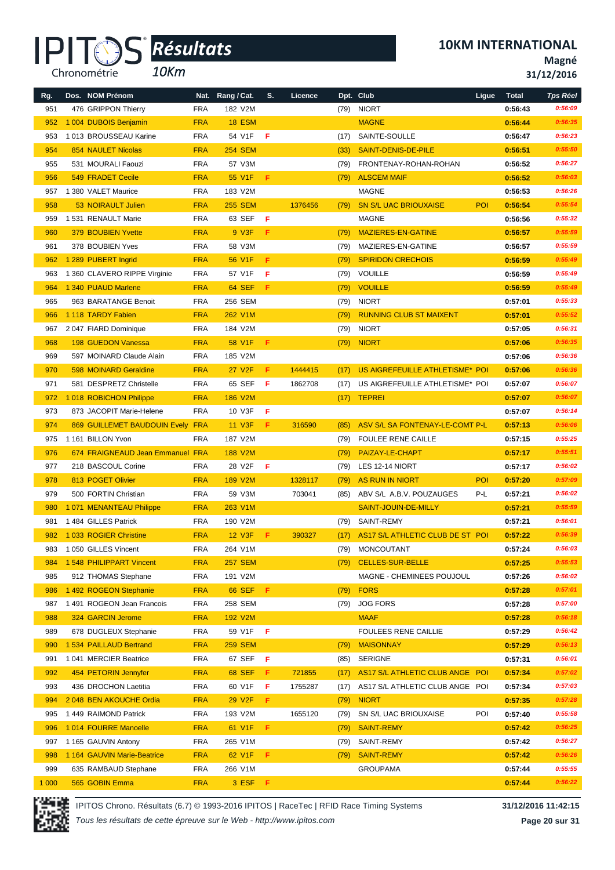#### IPI<sup>-</sup> Chronométrie

*10Km Résultats* **®**

**10KM INTERNATIONAL**

**Magné**

**31/12/2016**

| Rg.     | Dos. NOM Prénom                  |            | Nat. Rang / Cat.    | S.  | Licence |      | Dpt. Club                        | Ligue      | <b>Total</b>       | <b>Tps Réel</b> |
|---------|----------------------------------|------------|---------------------|-----|---------|------|----------------------------------|------------|--------------------|-----------------|
| 951     | 476 GRIPPON Thierry              | <b>FRA</b> | 182 V2M             |     |         | (79) | <b>NIORT</b>                     |            | 0:56:43            | 0:56:09         |
| 952     | 1 004 DUBOIS Benjamin            | <b>FRA</b> | <b>18 ESM</b>       |     |         |      | <b>MAGNE</b>                     |            | 0:56:44            | 0:56:35         |
| 953     | 1013 BROUSSEAU Karine            | <b>FRA</b> | 54 V1F              | F.  |         | (17) | SAINTE-SOULLE                    |            | 0:56:47            | 0:56:23         |
| 954     | <b>854 NAULET Nicolas</b>        | <b>FRA</b> | <b>254 SEM</b>      |     |         | (33) | <b>SAINT-DENIS-DE-PILE</b>       |            | 0:56:51            | 0:55:50         |
| 955     | 531 MOURALI Faouzi               | <b>FRA</b> | 57 V3M              |     |         | (79) | FRONTENAY-ROHAN-ROHAN            |            | 0:56:52            | 0:56:27         |
| 956     | 549 FRADET Cecile                | <b>FRA</b> | 55 V1F              | F   |         | (79) | <b>ALSCEM MAIF</b>               |            | 0:56:52            | 0:56:03         |
| 957     | 1 380 VALET Maurice              | <b>FRA</b> | 183 V2M             |     |         |      | <b>MAGNE</b>                     |            | 0:56:53            | 0:56:26         |
| 958     | 53 NOIRAULT Julien               | <b>FRA</b> | <b>255 SEM</b>      |     | 1376456 | (79) | <b>SN S/L UAC BRIOUXAISE</b>     | <b>POI</b> | 0:56:54            | 0:55:54         |
| 959     | 1 531 RENAULT Marie              | <b>FRA</b> | 63 SEF              | - F |         |      | <b>MAGNE</b>                     |            | 0:56:56            | 0:55:32         |
| 960     | <b>379 BOUBIEN Yvette</b>        | <b>FRA</b> | 9 V3F               | F   |         | (79) | MAZIERES-EN-GATINE               |            | 0:56:57            | 0:55:59         |
| 961     | 378 BOUBIEN Yves                 | <b>FRA</b> | 58 V3M              |     |         | (79) | MAZIERES-EN-GATINE               |            | 0:56:57            | 0:55:59         |
| 962     | 1 289 PUBERT Ingrid              | <b>FRA</b> | 56 V1F              | F.  |         | (79) | <b>SPIRIDON CRECHOIS</b>         |            | 0:56:59            | 0:55:49         |
| 963     | 1 360 CLAVERO RIPPE Virginie     | <b>FRA</b> | 57 V1F              | F.  |         | (79) | VOUILLE                          |            | 0:56:59            | 0:55:49         |
| 964     | 1 340 PUAUD Marlene              | <b>FRA</b> | 64 SEF              | Æ   |         | (79) | <b>VOUILLE</b>                   |            | 0:56:59            | 0:55:49         |
| 965     | 963 BARATANGE Benoit             | <b>FRA</b> | 256 SEM             |     |         | (79) | <b>NIORT</b>                     |            | 0:57:01            | 0:55:33         |
| 966     | 1 118 TARDY Fabien               | <b>FRA</b> | 262 V1M             |     |         | (79) | <b>RUNNING CLUB ST MAIXENT</b>   |            | 0:57:01            | 0:55:52         |
| 967     | 2047 FIARD Dominique             | <b>FRA</b> | 184 V2M             |     |         | (79) | <b>NIORT</b>                     |            | 0:57:05            | 0:56:31         |
| 968     | 198 GUEDON Vanessa               | <b>FRA</b> | 58 V1F              | -F. |         | (79) | <b>NIORT</b>                     |            | 0:57:06            | 0:56:35         |
| 969     | 597 MOINARD Claude Alain         | <b>FRA</b> | 185 V2M             |     |         |      |                                  |            | 0:57:06            | 0:56:36         |
| 970     | 598 MOINARD Geraldine            | <b>FRA</b> | 27 V <sub>2</sub> F | F   | 1444415 | (17) | US AIGREFEUILLE ATHLETISME* POI  |            | 0:57:06            | 0:56:36         |
| 971     | 581 DESPRETZ Christelle          | <b>FRA</b> | 65 SEF              | F.  | 1862708 | (17) | US AIGREFEUILLE ATHLETISME* POI  |            | 0:57:07            | 0:56:07         |
| 972     | 1018 ROBICHON Philippe           | <b>FRA</b> | <b>186 V2M</b>      |     |         | (17) | <b>TEPREI</b>                    |            | 0:57:07            | 0:56:07         |
| 973     | 873 JACOPIT Marie-Helene         | <b>FRA</b> | 10 V3F              | -F. |         |      |                                  |            | 0:57:07            | 0:56:14         |
| 974     | 869 GUILLEMET BAUDOUIN Evely FRA |            | 11 V3F              | F.  | 316590  | (85) | ASV S/L SA FONTENAY-LE-COMT P-L  |            | 0:57:13            | 0:56:06         |
| 975     | 1 161 BILLON Yvon                | <b>FRA</b> | 187 V2M             |     |         | (79) | <b>FOULEE RENE CAILLE</b>        |            | 0:57:15            | 0:55:25         |
| 976     | 674 FRAIGNEAUD Jean Emmanuel FRA |            | 188 V2M             |     |         | (79) | PAIZAY-LE-CHAPT                  |            | 0:57:17            | 0:55:51         |
| 977     | 218 BASCOUL Corine               | <b>FRA</b> | 28 V2F              | -F. |         | (79) | LES 12-14 NIORT                  |            | 0:57:17            | 0:56:02         |
| 978     | 813 POGET Olivier                | <b>FRA</b> | 189 V2M             |     | 1328117 | (79) | <b>AS RUN IN NIORT</b>           | POI        | 0:57:20            | 0:57:09         |
| 979     | 500 FORTIN Christian             | <b>FRA</b> | 59 V3M              |     | 703041  |      | ABV S/L A.B.V. POUZAUGES         | P-L        | 0:57:21            | 0:56:02         |
| 980     | 1 071 MENANTEAU Philippe         | <b>FRA</b> | 263 V1M             |     |         | (85) | SAINT-JOUIN-DE-MILLY             |            | 0:57:21            | 0:55:59         |
| 981     | 1484 GILLES Patrick              | <b>FRA</b> | 190 V2M             |     |         | (79) | SAINT-REMY                       |            |                    | 0:56:01         |
| 982     | 1033 ROGIER Christine            | <b>FRA</b> | <b>12 V3F</b>       | F.  | 390327  |      | AS17 S/L ATHLETIC CLUB DE ST POI |            | 0:57:21<br>0:57:22 | 0:56:39         |
|         |                                  |            |                     |     |         | (17) |                                  |            |                    | 0:56:03         |
|         | 983 1 050 GILLES Vincent         | <b>FRA</b> | 264 V1M             |     |         |      | (79) MONCOUTANT                  |            | 0:57:24            |                 |
| 984     | 1548 PHILIPPART Vincent          | <b>FRA</b> | <b>257 SEM</b>      |     |         | (79) | <b>CELLES-SUR-BELLE</b>          |            | 0:57:25            | 0:55:53         |
| 985     | 912 THOMAS Stephane              | <b>FRA</b> | 191 V2M             |     |         |      | MAGNE - CHEMINEES POUJOUL        |            | 0:57:26            | 0:56:02         |
| 986     | 1 492 ROGEON Stephanie           | <b>FRA</b> | <b>66 SEF</b>       | F.  |         | (79) | <b>FORS</b>                      |            | 0:57:28            | 0:57:01         |
| 987     | 1491 ROGEON Jean Francois        | <b>FRA</b> | 258 SEM             |     |         | (79) | <b>JOG FORS</b>                  |            | 0:57:28            | 0:57:00         |
| 988     | 324 GARCIN Jerome                | <b>FRA</b> | 192 V2M             |     |         |      | <b>MAAF</b>                      |            | 0:57:28            | 0:56:18         |
| 989     | 678 DUGLEUX Stephanie            | <b>FRA</b> | 59 V1F              | F   |         |      | <b>FOULEES RENE CAILLIE</b>      |            | 0:57:29            | 0:56:42         |
| 990     | 1 534 PAILLAUD Bertrand          | <b>FRA</b> | <b>259 SEM</b>      |     |         | (79) | <b>MAISONNAY</b>                 |            | 0:57:29            | 0:56:13         |
| 991     | 1041 MERCIER Beatrice            | <b>FRA</b> | 67 SEF              | - F |         | (85) | <b>SERIGNE</b>                   |            | 0:57:31            | 0:56:01         |
| 992     | 454 PETORIN Jennyfer             | <b>FRA</b> | <b>68 SEF</b>       | F   | 721855  | (17) | AS17 S/L ATHLETIC CLUB ANGE POI  |            | 0:57:34            | 0:57:02         |
| 993     | 436 DROCHON Laetitia             | <b>FRA</b> | 60 V1F              | F   | 1755287 | (17) | AS17 S/L ATHLETIC CLUB ANGE POI  |            | 0:57:34            | 0:57:03         |
| 994     | 2048 BEN AKOUCHE Ordia           | <b>FRA</b> | 29 V2F              | F.  |         | (79) | <b>NIORT</b>                     |            | 0:57:35            | 0:57:28         |
| 995     | 1449 RAIMOND Patrick             | <b>FRA</b> | 193 V2M             |     | 1655120 | (79) | SN S/L UAC BRIOUXAISE            | POI        | 0:57:40            | 0:55:58         |
| 996     | 1014 FOURRE Manoelle             | <b>FRA</b> | 61 V1F              | F   |         | (79) | <b>SAINT-REMY</b>                |            | 0:57:42            | 0:56:25         |
| 997     | 1 165 GAUVIN Antony              | FRA        | 265 V1M             |     |         | (79) | SAINT-REMY                       |            | 0:57:42            | 0:56:27         |
| 998     | 1 164 GAUVIN Marie-Beatrice      | <b>FRA</b> | 62 V1F              | F   |         | (79) | <b>SAINT-REMY</b>                |            | 0:57:42            | 0:56:26         |
| 999     | 635 RAMBAUD Stephane             | <b>FRA</b> | 266 V1M             |     |         |      | <b>GROUPAMA</b>                  |            | 0:57:44            | 0:55:55         |
| 1 0 0 0 | 565 GOBIN Emma                   | <b>FRA</b> | 3 ESF               | -F  |         |      |                                  |            | 0:57:44            | 0:56:22         |



IPITOS Chrono. Résultats (6.7) © 1993-2016 IPITOS | RaceTec | RFID Race Timing Systems **31/12/2016 11:42:15**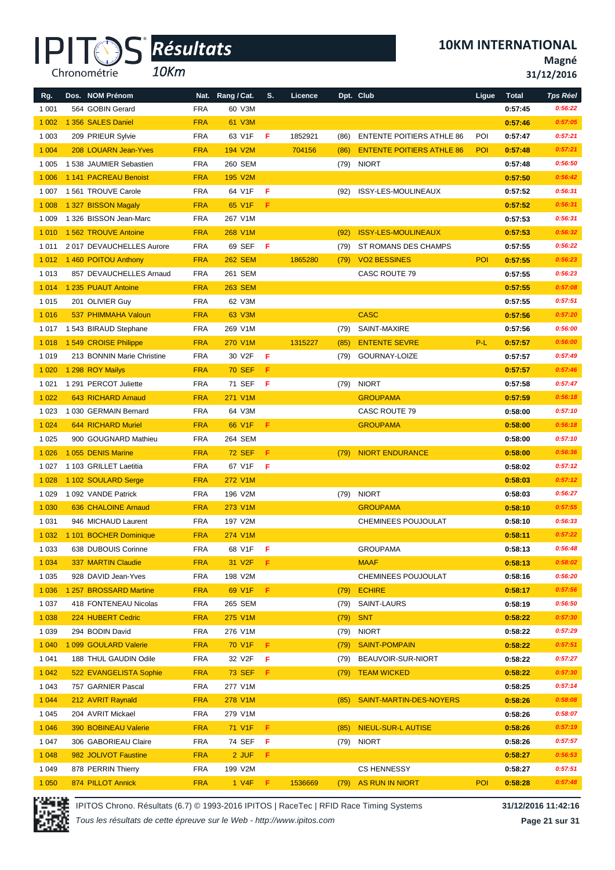# Chronométrie

# *Résultats* **®**

*10Km*

**10KM INTERNATIONAL**

**Magné**

**31/12/2016**

| Rg.     | Dos. NOM Prénom            | Nat.       | Rang / Cat.         | S.  | Licence |      | Dpt. Club                        | Ligue | <b>Total</b> | <b>Tps Réel</b> |
|---------|----------------------------|------------|---------------------|-----|---------|------|----------------------------------|-------|--------------|-----------------|
| 1 0 0 1 | 564 GOBIN Gerard           | <b>FRA</b> | 60 V3M              |     |         |      |                                  |       | 0:57:45      | 0:56:22         |
| 1 0 0 2 | 1 356 SALES Daniel         | <b>FRA</b> | 61 V3M              |     |         |      |                                  |       | 0:57:46      | 0:57:05         |
| 1 0 0 3 | 209 PRIEUR Sylvie          | <b>FRA</b> | 63 V1F              | F   | 1852921 | (86) | <b>ENTENTE POITIERS ATHLE 86</b> | POI   | 0:57:47      | 0:57:21         |
| 1 0 0 4 | 208 LOUARN Jean-Yves       | <b>FRA</b> | 194 V2M             |     | 704156  | (86) | <b>ENTENTE POITIERS ATHLE 86</b> | POI   | 0:57:48      | 0:57:21         |
| 1 0 0 5 | 1538 JAUMIER Sebastien     | <b>FRA</b> | 260 SEM             |     |         | (79) | <b>NIORT</b>                     |       | 0:57:48      | 0:56:50         |
| 1 0 0 6 | 1 141 PACREAU Benoist      | <b>FRA</b> | 195 V2M             |     |         |      |                                  |       | 0:57:50      | 0:56:42         |
| 1 0 0 7 | 1561 TROUVE Carole         | <b>FRA</b> | 64 V1F              | F   |         | (92) | ISSY-LES-MOULINEAUX              |       | 0:57:52      | 0:56:31         |
| 1 0 0 8 | 1 327 BISSON Magaly        | <b>FRA</b> | 65 V1F              | F   |         |      |                                  |       | 0:57:52      | 0:56:31         |
| 1 0 0 9 | 1 326 BISSON Jean-Marc     | <b>FRA</b> | 267 V1M             |     |         |      |                                  |       | 0:57:53      | 0:56:31         |
| 1 0 1 0 | 1 562 TROUVE Antoine       | <b>FRA</b> | 268 V1M             |     |         | (92) | <b>ISSY-LES-MOULINEAUX</b>       |       | 0:57:53      | 0:56:32         |
| 1011    | 2017 DEVAUCHELLES Aurore   | <b>FRA</b> | 69 SEF              | -F  |         | (79) | ST ROMANS DES CHAMPS             |       | 0:57:55      | 0:56:22         |
| 1 0 1 2 | 1460 POITOU Anthony        | <b>FRA</b> | <b>262 SEM</b>      |     | 1865280 | (79) | <b>VO2 BESSINES</b>              | POI   | 0:57:55      | 0:56:23         |
| 1013    | 857 DEVAUCHELLES Arnaud    | <b>FRA</b> | 261 SEM             |     |         |      | CASC ROUTE 79                    |       | 0:57:55      | 0:56:23         |
| 1 0 1 4 | 1 235 PUAUT Antoine        | <b>FRA</b> | <b>263 SEM</b>      |     |         |      |                                  |       | 0:57:55      | 0:57:08         |
| 1015    | 201 OLIVIER Guy            | <b>FRA</b> | 62 V3M              |     |         |      |                                  |       | 0:57:55      | 0:57:51         |
| 1016    | 537 PHIMMAHA Valoun        | <b>FRA</b> | 63 V3M              |     |         |      | <b>CASC</b>                      |       | 0:57:56      | 0:57:20         |
| 1017    | 1543 BIRAUD Stephane       | <b>FRA</b> | 269 V1M             |     |         | (79) | SAINT-MAXIRE                     |       | 0:57:56      | 0:56:00         |
| 1 0 18  | 1549 CROISE Philippe       | <b>FRA</b> | 270 V1M             |     | 1315227 | (85) | <b>ENTENTE SEVRE</b>             | P-L   | 0:57:57      | 0:56:00         |
| 1019    | 213 BONNIN Marie Christine | <b>FRA</b> | 30 V2F              | Æ   |         | (79) | GOURNAY-LOIZE                    |       | 0:57:57      | 0:57:49         |
| 1 0 20  | 1 298 ROY Mailys           | <b>FRA</b> | <b>70 SEF</b>       | F   |         |      |                                  |       | 0:57:57      | 0:57:46         |
| 1 0 2 1 | 1 291 PERCOT Juliette      | <b>FRA</b> | 71 SEF              | F   |         | (79) | <b>NIORT</b>                     |       | 0:57:58      | 0:57:47         |
| 1 0 2 2 | 643 RICHARD Arnaud         | <b>FRA</b> | 271 V1M             |     |         |      | <b>GROUPAMA</b>                  |       | 0:57:59      | 0:56:18         |
| 1 0 2 3 | 1030 GERMAIN Bernard       | <b>FRA</b> | 64 V3M              |     |         |      | CASC ROUTE 79                    |       | 0:58:00      | 0:57:10         |
| 1024    | 644 RICHARD Muriel         | <b>FRA</b> | 66 V1F              | -F. |         |      | <b>GROUPAMA</b>                  |       | 0:58:00      | 0:56:18         |
| 1 0 2 5 | 900 GOUGNARD Mathieu       | <b>FRA</b> | 264 SEM             |     |         |      |                                  |       | 0:58:00      | 0:57:10         |
| 1 0 26  | 1055 DENIS Marine          | <b>FRA</b> | <b>72 SEF</b>       | F   |         | (79) | <b>NIORT ENDURANCE</b>           |       | 0:58:00      | 0:56:36         |
| 1 0 2 7 | 1 103 GRILLET Laetitia     | <b>FRA</b> | 67 V1F              | F.  |         |      |                                  |       | 0:58:02      | 0:57:12         |
| 1 0 28  | 1 102 SOULARD Serge        | <b>FRA</b> | 272 V1M             |     |         |      |                                  |       | 0:58:03      | 0:57:12         |
| 1 0 2 9 | 1092 VANDE Patrick         | <b>FRA</b> | 196 V2M             |     |         | (79) | <b>NIORT</b>                     |       | 0:58:03      | 0:56:27         |
| 1 0 3 0 | 636 CHALOINE Arnaud        | <b>FRA</b> | 273 V1M             |     |         |      | <b>GROUPAMA</b>                  |       | 0:58:10      | 0:57:55         |
| 1 0 3 1 | 946 MICHAUD Laurent        | <b>FRA</b> | 197 V2M             |     |         |      | CHEMINEES POUJOULAT              |       | 0:58:10      | 0:56:33         |
| 1 0 3 2 | 1 101 BOCHER Dominique     | <b>FRA</b> | 274 V1M             |     |         |      |                                  |       | 0:58:11      | 0:57:22         |
| 1 0 3 3 | 638 DUBOUIS Corinne        | <b>FRA</b> | 68 V1F <b>F</b>     |     |         |      | <b>GROUPAMA</b>                  |       | 0:58:13      | 0:56:48         |
| 1 0 3 4 | 337 MARTIN Claudie         | <b>FRA</b> | 31 V <sub>2</sub> F | -F. |         |      | <b>MAAF</b>                      |       | 0:58:13      | 0:58:02         |
| 1 0 3 5 | 928 DAVID Jean-Yves        | <b>FRA</b> | 198 V2M             |     |         |      | CHEMINEES POUJOULAT              |       | 0:58:16      | 0:56:20         |
| 1 0 3 6 | 1 257 BROSSARD Martine     | <b>FRA</b> | 69 V1F              | F.  |         | (79) | <b>ECHIRE</b>                    |       | 0:58:17      | 0:57:56         |
| 1 0 3 7 | 418 FONTENEAU Nicolas      | <b>FRA</b> | 265 SEM             |     |         | (79) | SAINT-LAURS                      |       | 0:58:19      | 0:56:50         |
| 1 0 38  | 224 HUBERT Cedric          | <b>FRA</b> | 275 V1M             |     |         | (79) | <b>SNT</b>                       |       | 0:58:22      | 0:57:30         |
| 1 0 3 9 | 294 BODIN David            | <b>FRA</b> | 276 V1M             |     |         | (79) | <b>NIORT</b>                     |       | 0:58:22      | 0:57:29         |
| 1 0 4 0 | 1 099 GOULARD Valerie      | <b>FRA</b> | 70 V1F              | Æ.  |         | (79) | <b>SAINT-POMPAIN</b>             |       | 0:58:22      | 0:57:51         |
| 1 0 4 1 | 188 THUL GAUDIN Odile      | <b>FRA</b> | 32 V2F              | -F. |         | (79) | BEAUVOIR-SUR-NIORT               |       | 0:58:22      | 0:57:27         |
| 1 0 4 2 | 522 EVANGELISTA Sophie     | <b>FRA</b> | <b>73 SEF</b>       | -F  |         | (79) | <b>TEAM WICKED</b>               |       | 0:58:22      | 0:57:30         |
| 1 0 4 3 | 757 GARNIER Pascal         | <b>FRA</b> | 277 V1M             |     |         |      |                                  |       | 0:58:25      | 0:57:14         |
| 1 0 4 4 | 212 AVRIT Raynald          | <b>FRA</b> | 278 V1M             |     |         | (85) | SAINT-MARTIN-DES-NOYERS          |       | 0:58:26      | 0:58:08         |
| 1 0 4 5 | 204 AVRIT Mickael          | <b>FRA</b> | 279 V1M             |     |         |      |                                  |       | 0:58:26      | 0:58:07         |
| 1 0 4 6 | 390 BOBINEAU Valerie       | <b>FRA</b> | 71 V1F              | F.  |         | (85) | <b>NIEUL-SUR-L AUTISE</b>        |       | 0:58:26      | 0:57:19         |
| 1 0 4 7 | 306 GABORIEAU Claire       | <b>FRA</b> | 74 SEF              | Æ   |         | (79) | <b>NIORT</b>                     |       | 0:58:26      | 0:57:57         |
| 1 0 4 8 | 982 JOLIVOT Faustine       | <b>FRA</b> | 2 JUF               | F   |         |      |                                  |       | 0:58:27      | 0:56:53         |
| 1 0 4 9 | 878 PERRIN Thierry         | <b>FRA</b> | 199 V2M             |     |         |      | <b>CS HENNESSY</b>               |       | 0:58:27      | 0:57:51         |
| 1 0 5 0 | 874 PILLOT Annick          | <b>FRA</b> | $1$ V4F F           |     | 1536669 | (79) | AS RUN IN NIORT                  | POI   | 0:58:28      | 0:57:48         |
|         |                            |            |                     |     |         |      |                                  |       |              |                 |



IPITOS Chrono. Résultats (6.7) © 1993-2016 IPITOS | RaceTec | RFID Race Timing Systems **31/12/2016 11:42:16**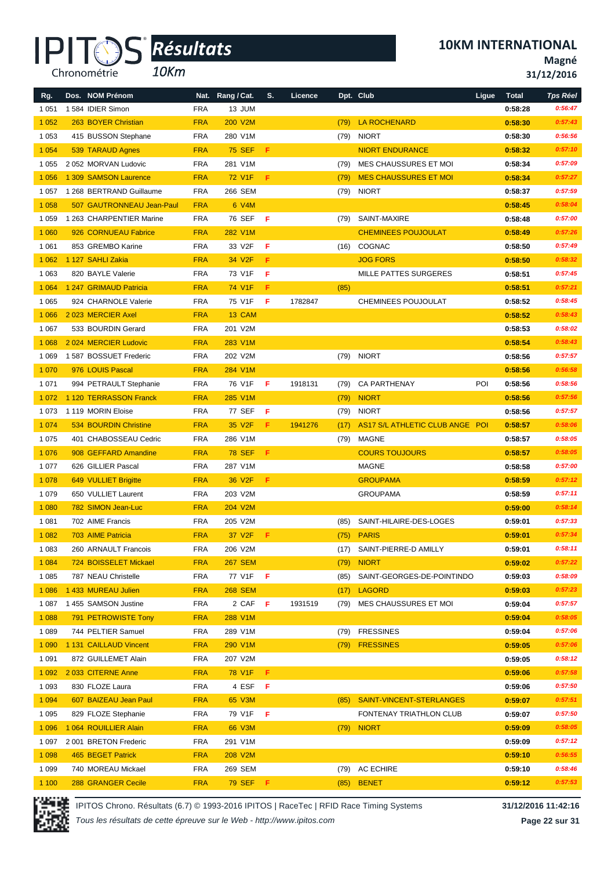*10Km*

**10KM INTERNATIONAL**

**Magné**

**31/12/2016**

| 13 JUM<br>0:58:28<br>0:56:47<br>1 0 5 1<br>1584 IDIER Simon<br><b>FRA</b><br>1 0 5 2<br>263 BOYER Christian<br><b>FRA</b><br>200 V2M<br><b>LA ROCHENARD</b><br>0:57:43<br>(79)<br>0:58:30<br>1 0 5 3<br>415 BUSSON Stephane<br><b>FRA</b><br>280 V1M<br><b>NIORT</b><br>0:56:56<br>(79)<br>0:58:30<br>1 0 5 4<br><b>75 SEF</b><br>F<br><b>NIORT ENDURANCE</b><br>0:58:32<br>0:57:10<br>539 TARAUD Agnes<br><b>FRA</b><br>1 0 5 5<br>2052 MORVAN Ludovic<br><b>FRA</b><br>281 V1M<br>MES CHAUSSURES ET MOI<br>0:58:34<br>0:57:09<br>(79)<br>1 0 5 6<br>1 309 SAMSON Laurence<br><b>FRA</b><br>72 V1F<br>F<br><b>MES CHAUSSURES ET MOI</b><br>0:57:27<br>0:58:34<br>(79)<br>1 268 BERTRAND Guillaume<br><b>FRA</b><br>266 SEM<br>(79)<br><b>NIORT</b><br>0:57:59<br>1 0 5 7<br>0:58:37<br>1 0 5 8<br>0:58:45<br>0:58:04<br>507 GAUTRONNEAU Jean-Paul<br><b>FRA</b><br>6 V4M<br>76 SEF<br>- F<br>0:57:00<br>1 0 5 9<br>1 263 CHARPENTIER Marine<br><b>FRA</b><br>SAINT-MAXIRE<br>0:58:48<br>(79)<br>1 0 6 0<br>926 CORNUEAU Fabrice<br><b>FRA</b><br>282 V1M<br><b>CHEMINEES POUJOULAT</b><br>0:57:26<br>0:58:49<br>F<br>0:57:49<br>1 0 6 1<br>853 GREMBO Karine<br><b>FRA</b><br>33 V2F<br>COGNAC<br>(16)<br>0:58:50<br>F<br>0:58:32<br>1 0 6 2<br>1 127 SAHLI Zakia<br><b>FRA</b><br>34 V2F<br><b>JOG FORS</b><br>0:58:50<br>1 0 6 3<br>820 BAYLE Valerie<br><b>FRA</b><br>73 V1F<br>F<br>MILLE PATTES SURGERES<br>0:58:51<br>0:57:45<br>F<br>0:57:21<br>1 0 6 4<br>1 247 GRIMAUD Patricia<br><b>FRA</b><br>74 V1F<br>(85)<br>0:58:51<br>1 0 6 5<br><b>FRA</b><br>75 V1F<br>F<br>1782847<br>0:58:45<br>924 CHARNOLE Valerie<br>CHEMINEES POUJOULAT<br>0:58:52<br>2023 MERCIER Axel<br><b>FRA</b><br>13 CAM<br>0:58:52<br>0:58:43<br>1 0 6 6<br>201 V2M<br>1 0 6 7<br>533 BOURDIN Gerard<br><b>FRA</b><br>0:58:53<br>0:58:02<br>1 0 6 8<br>2024 MERCIER Ludovic<br><b>FRA</b><br>283 V1M<br>0:58:54<br>0:58:43<br><b>NIORT</b><br>1 0 6 9<br>1587 BOSSUET Frederic<br><b>FRA</b><br>202 V2M<br>(79)<br>0:58:56<br>0:57:57<br>1 0 7 0<br>0:56:58<br>976 LOUIS Pascal<br><b>FRA</b><br>284 V1M<br>0:58:56<br>1 0 7 1<br><b>FRA</b><br>76 V1F<br>-F<br><b>CA PARTHENAY</b><br>POI<br>994 PETRAULT Stephanie<br>1918131<br>(79)<br>0:58:56<br>0:58:56<br>1 120 TERRASSON Franck<br>0:58:56<br>1 0 7 2<br><b>FRA</b><br>285 V1M<br><b>NIORT</b><br>0:57:56<br>(79)<br><b>FRA</b><br>0:57:57<br>1 0 7 3<br>1119 MORIN Eloise<br>77 SEF<br>-F<br>(79)<br><b>NIORT</b><br>0:58:56<br>1 0 7 4<br>534 BOURDIN Christine<br><b>FRA</b><br>35 V2F<br>F.<br>1941276<br>AS17 S/L ATHLETIC CLUB ANGE POI<br>0:58:57<br>0:58:06<br>(17)<br>1 0 7 5<br><b>FRA</b><br>0:58:05<br>401 CHABOSSEAU Cedric<br>286 V1M<br>MAGNE<br>0:58:57<br>(79)<br>1 0 7 6<br>F<br><b>COURS TOUJOURS</b><br>0:58:05<br>908 GEFFARD Amandine<br><b>FRA</b><br><b>78 SEF</b><br>0:58:57<br>1 0 7 7<br>626 GILLIER Pascal<br><b>FRA</b><br>287 V1M<br>MAGNE<br>0:57:00<br>0:58:58<br>F<br>1 0 7 8<br>36 V2F<br>0:57:12<br>649 VULLIET Brigitte<br><b>FRA</b><br><b>GROUPAMA</b><br>0:58:59<br>1 0 7 9<br>650 VULLIET Laurent<br><b>FRA</b><br>203 V2M<br><b>GROUPAMA</b><br>0:58:59<br>0:57:11<br>0:58:14<br>1 0 8 0<br>782 SIMON Jean-Luc<br><b>FRA</b><br>204 V2M<br>0:59:00<br>1 0 8 1<br>702 AIME Francis<br><b>FRA</b><br>205 V2M<br>SAINT-HILAIRE-DES-LOGES<br>(85)<br>0:59:01<br>0:57:33<br>1 0 8 2<br>703 AIME Patricia<br><b>FRA</b><br>37 V2F<br>F.<br><b>PARIS</b><br>0:59:01<br>0:57:34<br>(75)<br><b>FRA</b><br>206 V2M<br>(17) SAINT-PIERRE-D AMILLY<br>0:58:11<br>1 0 8 3<br>260 ARNAULT Francois<br>0:59:01<br>0:57:22<br>1 0 8 4<br>724 BOISSELET Mickael<br><b>FRA</b><br><b>267 SEM</b><br><b>NIORT</b><br>0:59:02<br>(79)<br>1 0 8 5<br>787 NEAU Christelle<br><b>FRA</b><br>77 V1F<br>- F<br>0:58:09<br>(85)<br>SAINT-GEORGES-DE-POINTINDO<br>0:59:03<br>1 0 8 6<br>1 433 MUREAU Julien<br><b>268 SEM</b><br>0:59:03<br>0:57:23<br><b>FRA</b><br>(17)<br><b>LAGORD</b><br>0:57:57<br>1 0 8 7<br>1 455 SAMSON Justine<br><b>FRA</b><br>2 CAF F<br>1931519<br>MES CHAUSSURES ET MOI<br>0:59:04<br>(79)<br>0:58:05<br>1 0 8 8<br><b>FRA</b><br>0:59:04<br>791 PETROWISTE Tony<br>288 V1M<br>1 0 8 9<br><b>FRESSINES</b><br>744 PELTIER Samuel<br><b>FRA</b><br>289 V1M<br>0:57:06<br>(79)<br>0:59:04<br>1 0 9 0<br><b>FRESSINES</b><br>0:59:05<br>1 131 CAILLAUD Vincent<br><b>FRA</b><br>290 V1M<br>(79)<br>0:57:06<br>0:58:12<br>1 0 9 1<br>872 GUILLEMET Alain<br><b>FRA</b><br>207 V2M<br>0:59:05<br>1 0 9 2<br>78 V1F<br>F.<br>0:59:06<br>0:57:58<br>2033 CITERNE Anne<br><b>FRA</b><br>1 0 9 3<br>830 FLOZE Laura<br><b>FRA</b><br>4 ESF<br>Æ<br>0:57:50<br>0:59:06<br>1 0 9 4<br>607 BAIZEAU Jean Paul<br><b>FRA</b><br>65 V3M<br>SAINT-VINCENT-STERLANGES<br>0:59:07<br>0:57:51<br>(85)<br>1 0 9 5<br>79 V1F<br>0:57:50<br>829 FLOZE Stephanie<br><b>FRA</b><br>F<br>FONTENAY TRIATHLON CLUB<br>0:59:07<br>1 0 9 6<br>0:58:05<br>1 064 ROUILLIER Alain<br><b>FRA</b><br>66 V3M<br><b>NIORT</b><br>0:59:09<br>(79)<br><b>FRA</b><br>0:57:12<br>1 0 9 7<br>2 001 BRETON Frederic<br>291 V1M<br>0:59:09<br>1 0 9 8<br><b>FRA</b><br>0:56:55<br>465 BEGET Patrick<br>208 V2M<br>0:59:10<br>1 0 9 9<br>740 MOREAU Mickael<br><b>FRA</b><br>269 SEM<br>AC ECHIRE<br>0:58:46<br>(79)<br>0:59:10 | Rg.   | Dos. NOM Prénom    | Nat.       | Rang / Cat. | S. | Licence |      | Dpt. Club    | Ligue | <b>Total</b> | <b>Tps Réel</b> |
|---------------------------------------------------------------------------------------------------------------------------------------------------------------------------------------------------------------------------------------------------------------------------------------------------------------------------------------------------------------------------------------------------------------------------------------------------------------------------------------------------------------------------------------------------------------------------------------------------------------------------------------------------------------------------------------------------------------------------------------------------------------------------------------------------------------------------------------------------------------------------------------------------------------------------------------------------------------------------------------------------------------------------------------------------------------------------------------------------------------------------------------------------------------------------------------------------------------------------------------------------------------------------------------------------------------------------------------------------------------------------------------------------------------------------------------------------------------------------------------------------------------------------------------------------------------------------------------------------------------------------------------------------------------------------------------------------------------------------------------------------------------------------------------------------------------------------------------------------------------------------------------------------------------------------------------------------------------------------------------------------------------------------------------------------------------------------------------------------------------------------------------------------------------------------------------------------------------------------------------------------------------------------------------------------------------------------------------------------------------------------------------------------------------------------------------------------------------------------------------------------------------------------------------------------------------------------------------------------------------------------------------------------------------------------------------------------------------------------------------------------------------------------------------------------------------------------------------------------------------------------------------------------------------------------------------------------------------------------------------------------------------------------------------------------------------------------------------------------------------------------------------------------------------------------------------------------------------------------------------------------------------------------------------------------------------------------------------------------------------------------------------------------------------------------------------------------------------------------------------------------------------------------------------------------------------------------------------------------------------------------------------------------------------------------------------------------------------------------------------------------------------------------------------------------------------------------------------------------------------------------------------------------------------------------------------------------------------------------------------------------------------------------------------------------------------------------------------------------------------------------------------------------------------------------------------------------------------------------------------------------------------------------------------------------------------------------------------------------------------------------------------------------------------------------------------------------------------------------------------------------------------------------------------------------------------------------------------------------------------------------------------------------------------------------------------------------------------------------------------------------------------------------------------------------------------------------------------------------------------------------------------------------------------------------------------------------------------------------------------------------------------------------------------------------------------------------------------------------------------------------------------------------------------------------------------------------------------------------------------------------------------------------|-------|--------------------|------------|-------------|----|---------|------|--------------|-------|--------------|-----------------|
|                                                                                                                                                                                                                                                                                                                                                                                                                                                                                                                                                                                                                                                                                                                                                                                                                                                                                                                                                                                                                                                                                                                                                                                                                                                                                                                                                                                                                                                                                                                                                                                                                                                                                                                                                                                                                                                                                                                                                                                                                                                                                                                                                                                                                                                                                                                                                                                                                                                                                                                                                                                                                                                                                                                                                                                                                                                                                                                                                                                                                                                                                                                                                                                                                                                                                                                                                                                                                                                                                                                                                                                                                                                                                                                                                                                                                                                                                                                                                                                                                                                                                                                                                                                                                                                                                                                                                                                                                                                                                                                                                                                                                                                                                                                                                                                                                                                                                                                                                                                                                                                                                                                                                                                                                                                                           |       |                    |            |             |    |         |      |              |       |              |                 |
|                                                                                                                                                                                                                                                                                                                                                                                                                                                                                                                                                                                                                                                                                                                                                                                                                                                                                                                                                                                                                                                                                                                                                                                                                                                                                                                                                                                                                                                                                                                                                                                                                                                                                                                                                                                                                                                                                                                                                                                                                                                                                                                                                                                                                                                                                                                                                                                                                                                                                                                                                                                                                                                                                                                                                                                                                                                                                                                                                                                                                                                                                                                                                                                                                                                                                                                                                                                                                                                                                                                                                                                                                                                                                                                                                                                                                                                                                                                                                                                                                                                                                                                                                                                                                                                                                                                                                                                                                                                                                                                                                                                                                                                                                                                                                                                                                                                                                                                                                                                                                                                                                                                                                                                                                                                                           |       |                    |            |             |    |         |      |              |       |              |                 |
|                                                                                                                                                                                                                                                                                                                                                                                                                                                                                                                                                                                                                                                                                                                                                                                                                                                                                                                                                                                                                                                                                                                                                                                                                                                                                                                                                                                                                                                                                                                                                                                                                                                                                                                                                                                                                                                                                                                                                                                                                                                                                                                                                                                                                                                                                                                                                                                                                                                                                                                                                                                                                                                                                                                                                                                                                                                                                                                                                                                                                                                                                                                                                                                                                                                                                                                                                                                                                                                                                                                                                                                                                                                                                                                                                                                                                                                                                                                                                                                                                                                                                                                                                                                                                                                                                                                                                                                                                                                                                                                                                                                                                                                                                                                                                                                                                                                                                                                                                                                                                                                                                                                                                                                                                                                                           |       |                    |            |             |    |         |      |              |       |              |                 |
|                                                                                                                                                                                                                                                                                                                                                                                                                                                                                                                                                                                                                                                                                                                                                                                                                                                                                                                                                                                                                                                                                                                                                                                                                                                                                                                                                                                                                                                                                                                                                                                                                                                                                                                                                                                                                                                                                                                                                                                                                                                                                                                                                                                                                                                                                                                                                                                                                                                                                                                                                                                                                                                                                                                                                                                                                                                                                                                                                                                                                                                                                                                                                                                                                                                                                                                                                                                                                                                                                                                                                                                                                                                                                                                                                                                                                                                                                                                                                                                                                                                                                                                                                                                                                                                                                                                                                                                                                                                                                                                                                                                                                                                                                                                                                                                                                                                                                                                                                                                                                                                                                                                                                                                                                                                                           |       |                    |            |             |    |         |      |              |       |              |                 |
|                                                                                                                                                                                                                                                                                                                                                                                                                                                                                                                                                                                                                                                                                                                                                                                                                                                                                                                                                                                                                                                                                                                                                                                                                                                                                                                                                                                                                                                                                                                                                                                                                                                                                                                                                                                                                                                                                                                                                                                                                                                                                                                                                                                                                                                                                                                                                                                                                                                                                                                                                                                                                                                                                                                                                                                                                                                                                                                                                                                                                                                                                                                                                                                                                                                                                                                                                                                                                                                                                                                                                                                                                                                                                                                                                                                                                                                                                                                                                                                                                                                                                                                                                                                                                                                                                                                                                                                                                                                                                                                                                                                                                                                                                                                                                                                                                                                                                                                                                                                                                                                                                                                                                                                                                                                                           |       |                    |            |             |    |         |      |              |       |              |                 |
|                                                                                                                                                                                                                                                                                                                                                                                                                                                                                                                                                                                                                                                                                                                                                                                                                                                                                                                                                                                                                                                                                                                                                                                                                                                                                                                                                                                                                                                                                                                                                                                                                                                                                                                                                                                                                                                                                                                                                                                                                                                                                                                                                                                                                                                                                                                                                                                                                                                                                                                                                                                                                                                                                                                                                                                                                                                                                                                                                                                                                                                                                                                                                                                                                                                                                                                                                                                                                                                                                                                                                                                                                                                                                                                                                                                                                                                                                                                                                                                                                                                                                                                                                                                                                                                                                                                                                                                                                                                                                                                                                                                                                                                                                                                                                                                                                                                                                                                                                                                                                                                                                                                                                                                                                                                                           |       |                    |            |             |    |         |      |              |       |              |                 |
|                                                                                                                                                                                                                                                                                                                                                                                                                                                                                                                                                                                                                                                                                                                                                                                                                                                                                                                                                                                                                                                                                                                                                                                                                                                                                                                                                                                                                                                                                                                                                                                                                                                                                                                                                                                                                                                                                                                                                                                                                                                                                                                                                                                                                                                                                                                                                                                                                                                                                                                                                                                                                                                                                                                                                                                                                                                                                                                                                                                                                                                                                                                                                                                                                                                                                                                                                                                                                                                                                                                                                                                                                                                                                                                                                                                                                                                                                                                                                                                                                                                                                                                                                                                                                                                                                                                                                                                                                                                                                                                                                                                                                                                                                                                                                                                                                                                                                                                                                                                                                                                                                                                                                                                                                                                                           |       |                    |            |             |    |         |      |              |       |              |                 |
|                                                                                                                                                                                                                                                                                                                                                                                                                                                                                                                                                                                                                                                                                                                                                                                                                                                                                                                                                                                                                                                                                                                                                                                                                                                                                                                                                                                                                                                                                                                                                                                                                                                                                                                                                                                                                                                                                                                                                                                                                                                                                                                                                                                                                                                                                                                                                                                                                                                                                                                                                                                                                                                                                                                                                                                                                                                                                                                                                                                                                                                                                                                                                                                                                                                                                                                                                                                                                                                                                                                                                                                                                                                                                                                                                                                                                                                                                                                                                                                                                                                                                                                                                                                                                                                                                                                                                                                                                                                                                                                                                                                                                                                                                                                                                                                                                                                                                                                                                                                                                                                                                                                                                                                                                                                                           |       |                    |            |             |    |         |      |              |       |              |                 |
|                                                                                                                                                                                                                                                                                                                                                                                                                                                                                                                                                                                                                                                                                                                                                                                                                                                                                                                                                                                                                                                                                                                                                                                                                                                                                                                                                                                                                                                                                                                                                                                                                                                                                                                                                                                                                                                                                                                                                                                                                                                                                                                                                                                                                                                                                                                                                                                                                                                                                                                                                                                                                                                                                                                                                                                                                                                                                                                                                                                                                                                                                                                                                                                                                                                                                                                                                                                                                                                                                                                                                                                                                                                                                                                                                                                                                                                                                                                                                                                                                                                                                                                                                                                                                                                                                                                                                                                                                                                                                                                                                                                                                                                                                                                                                                                                                                                                                                                                                                                                                                                                                                                                                                                                                                                                           |       |                    |            |             |    |         |      |              |       |              |                 |
|                                                                                                                                                                                                                                                                                                                                                                                                                                                                                                                                                                                                                                                                                                                                                                                                                                                                                                                                                                                                                                                                                                                                                                                                                                                                                                                                                                                                                                                                                                                                                                                                                                                                                                                                                                                                                                                                                                                                                                                                                                                                                                                                                                                                                                                                                                                                                                                                                                                                                                                                                                                                                                                                                                                                                                                                                                                                                                                                                                                                                                                                                                                                                                                                                                                                                                                                                                                                                                                                                                                                                                                                                                                                                                                                                                                                                                                                                                                                                                                                                                                                                                                                                                                                                                                                                                                                                                                                                                                                                                                                                                                                                                                                                                                                                                                                                                                                                                                                                                                                                                                                                                                                                                                                                                                                           |       |                    |            |             |    |         |      |              |       |              |                 |
|                                                                                                                                                                                                                                                                                                                                                                                                                                                                                                                                                                                                                                                                                                                                                                                                                                                                                                                                                                                                                                                                                                                                                                                                                                                                                                                                                                                                                                                                                                                                                                                                                                                                                                                                                                                                                                                                                                                                                                                                                                                                                                                                                                                                                                                                                                                                                                                                                                                                                                                                                                                                                                                                                                                                                                                                                                                                                                                                                                                                                                                                                                                                                                                                                                                                                                                                                                                                                                                                                                                                                                                                                                                                                                                                                                                                                                                                                                                                                                                                                                                                                                                                                                                                                                                                                                                                                                                                                                                                                                                                                                                                                                                                                                                                                                                                                                                                                                                                                                                                                                                                                                                                                                                                                                                                           |       |                    |            |             |    |         |      |              |       |              |                 |
|                                                                                                                                                                                                                                                                                                                                                                                                                                                                                                                                                                                                                                                                                                                                                                                                                                                                                                                                                                                                                                                                                                                                                                                                                                                                                                                                                                                                                                                                                                                                                                                                                                                                                                                                                                                                                                                                                                                                                                                                                                                                                                                                                                                                                                                                                                                                                                                                                                                                                                                                                                                                                                                                                                                                                                                                                                                                                                                                                                                                                                                                                                                                                                                                                                                                                                                                                                                                                                                                                                                                                                                                                                                                                                                                                                                                                                                                                                                                                                                                                                                                                                                                                                                                                                                                                                                                                                                                                                                                                                                                                                                                                                                                                                                                                                                                                                                                                                                                                                                                                                                                                                                                                                                                                                                                           |       |                    |            |             |    |         |      |              |       |              |                 |
|                                                                                                                                                                                                                                                                                                                                                                                                                                                                                                                                                                                                                                                                                                                                                                                                                                                                                                                                                                                                                                                                                                                                                                                                                                                                                                                                                                                                                                                                                                                                                                                                                                                                                                                                                                                                                                                                                                                                                                                                                                                                                                                                                                                                                                                                                                                                                                                                                                                                                                                                                                                                                                                                                                                                                                                                                                                                                                                                                                                                                                                                                                                                                                                                                                                                                                                                                                                                                                                                                                                                                                                                                                                                                                                                                                                                                                                                                                                                                                                                                                                                                                                                                                                                                                                                                                                                                                                                                                                                                                                                                                                                                                                                                                                                                                                                                                                                                                                                                                                                                                                                                                                                                                                                                                                                           |       |                    |            |             |    |         |      |              |       |              |                 |
|                                                                                                                                                                                                                                                                                                                                                                                                                                                                                                                                                                                                                                                                                                                                                                                                                                                                                                                                                                                                                                                                                                                                                                                                                                                                                                                                                                                                                                                                                                                                                                                                                                                                                                                                                                                                                                                                                                                                                                                                                                                                                                                                                                                                                                                                                                                                                                                                                                                                                                                                                                                                                                                                                                                                                                                                                                                                                                                                                                                                                                                                                                                                                                                                                                                                                                                                                                                                                                                                                                                                                                                                                                                                                                                                                                                                                                                                                                                                                                                                                                                                                                                                                                                                                                                                                                                                                                                                                                                                                                                                                                                                                                                                                                                                                                                                                                                                                                                                                                                                                                                                                                                                                                                                                                                                           |       |                    |            |             |    |         |      |              |       |              |                 |
|                                                                                                                                                                                                                                                                                                                                                                                                                                                                                                                                                                                                                                                                                                                                                                                                                                                                                                                                                                                                                                                                                                                                                                                                                                                                                                                                                                                                                                                                                                                                                                                                                                                                                                                                                                                                                                                                                                                                                                                                                                                                                                                                                                                                                                                                                                                                                                                                                                                                                                                                                                                                                                                                                                                                                                                                                                                                                                                                                                                                                                                                                                                                                                                                                                                                                                                                                                                                                                                                                                                                                                                                                                                                                                                                                                                                                                                                                                                                                                                                                                                                                                                                                                                                                                                                                                                                                                                                                                                                                                                                                                                                                                                                                                                                                                                                                                                                                                                                                                                                                                                                                                                                                                                                                                                                           |       |                    |            |             |    |         |      |              |       |              |                 |
|                                                                                                                                                                                                                                                                                                                                                                                                                                                                                                                                                                                                                                                                                                                                                                                                                                                                                                                                                                                                                                                                                                                                                                                                                                                                                                                                                                                                                                                                                                                                                                                                                                                                                                                                                                                                                                                                                                                                                                                                                                                                                                                                                                                                                                                                                                                                                                                                                                                                                                                                                                                                                                                                                                                                                                                                                                                                                                                                                                                                                                                                                                                                                                                                                                                                                                                                                                                                                                                                                                                                                                                                                                                                                                                                                                                                                                                                                                                                                                                                                                                                                                                                                                                                                                                                                                                                                                                                                                                                                                                                                                                                                                                                                                                                                                                                                                                                                                                                                                                                                                                                                                                                                                                                                                                                           |       |                    |            |             |    |         |      |              |       |              |                 |
|                                                                                                                                                                                                                                                                                                                                                                                                                                                                                                                                                                                                                                                                                                                                                                                                                                                                                                                                                                                                                                                                                                                                                                                                                                                                                                                                                                                                                                                                                                                                                                                                                                                                                                                                                                                                                                                                                                                                                                                                                                                                                                                                                                                                                                                                                                                                                                                                                                                                                                                                                                                                                                                                                                                                                                                                                                                                                                                                                                                                                                                                                                                                                                                                                                                                                                                                                                                                                                                                                                                                                                                                                                                                                                                                                                                                                                                                                                                                                                                                                                                                                                                                                                                                                                                                                                                                                                                                                                                                                                                                                                                                                                                                                                                                                                                                                                                                                                                                                                                                                                                                                                                                                                                                                                                                           |       |                    |            |             |    |         |      |              |       |              |                 |
|                                                                                                                                                                                                                                                                                                                                                                                                                                                                                                                                                                                                                                                                                                                                                                                                                                                                                                                                                                                                                                                                                                                                                                                                                                                                                                                                                                                                                                                                                                                                                                                                                                                                                                                                                                                                                                                                                                                                                                                                                                                                                                                                                                                                                                                                                                                                                                                                                                                                                                                                                                                                                                                                                                                                                                                                                                                                                                                                                                                                                                                                                                                                                                                                                                                                                                                                                                                                                                                                                                                                                                                                                                                                                                                                                                                                                                                                                                                                                                                                                                                                                                                                                                                                                                                                                                                                                                                                                                                                                                                                                                                                                                                                                                                                                                                                                                                                                                                                                                                                                                                                                                                                                                                                                                                                           |       |                    |            |             |    |         |      |              |       |              |                 |
|                                                                                                                                                                                                                                                                                                                                                                                                                                                                                                                                                                                                                                                                                                                                                                                                                                                                                                                                                                                                                                                                                                                                                                                                                                                                                                                                                                                                                                                                                                                                                                                                                                                                                                                                                                                                                                                                                                                                                                                                                                                                                                                                                                                                                                                                                                                                                                                                                                                                                                                                                                                                                                                                                                                                                                                                                                                                                                                                                                                                                                                                                                                                                                                                                                                                                                                                                                                                                                                                                                                                                                                                                                                                                                                                                                                                                                                                                                                                                                                                                                                                                                                                                                                                                                                                                                                                                                                                                                                                                                                                                                                                                                                                                                                                                                                                                                                                                                                                                                                                                                                                                                                                                                                                                                                                           |       |                    |            |             |    |         |      |              |       |              |                 |
|                                                                                                                                                                                                                                                                                                                                                                                                                                                                                                                                                                                                                                                                                                                                                                                                                                                                                                                                                                                                                                                                                                                                                                                                                                                                                                                                                                                                                                                                                                                                                                                                                                                                                                                                                                                                                                                                                                                                                                                                                                                                                                                                                                                                                                                                                                                                                                                                                                                                                                                                                                                                                                                                                                                                                                                                                                                                                                                                                                                                                                                                                                                                                                                                                                                                                                                                                                                                                                                                                                                                                                                                                                                                                                                                                                                                                                                                                                                                                                                                                                                                                                                                                                                                                                                                                                                                                                                                                                                                                                                                                                                                                                                                                                                                                                                                                                                                                                                                                                                                                                                                                                                                                                                                                                                                           |       |                    |            |             |    |         |      |              |       |              |                 |
|                                                                                                                                                                                                                                                                                                                                                                                                                                                                                                                                                                                                                                                                                                                                                                                                                                                                                                                                                                                                                                                                                                                                                                                                                                                                                                                                                                                                                                                                                                                                                                                                                                                                                                                                                                                                                                                                                                                                                                                                                                                                                                                                                                                                                                                                                                                                                                                                                                                                                                                                                                                                                                                                                                                                                                                                                                                                                                                                                                                                                                                                                                                                                                                                                                                                                                                                                                                                                                                                                                                                                                                                                                                                                                                                                                                                                                                                                                                                                                                                                                                                                                                                                                                                                                                                                                                                                                                                                                                                                                                                                                                                                                                                                                                                                                                                                                                                                                                                                                                                                                                                                                                                                                                                                                                                           |       |                    |            |             |    |         |      |              |       |              |                 |
|                                                                                                                                                                                                                                                                                                                                                                                                                                                                                                                                                                                                                                                                                                                                                                                                                                                                                                                                                                                                                                                                                                                                                                                                                                                                                                                                                                                                                                                                                                                                                                                                                                                                                                                                                                                                                                                                                                                                                                                                                                                                                                                                                                                                                                                                                                                                                                                                                                                                                                                                                                                                                                                                                                                                                                                                                                                                                                                                                                                                                                                                                                                                                                                                                                                                                                                                                                                                                                                                                                                                                                                                                                                                                                                                                                                                                                                                                                                                                                                                                                                                                                                                                                                                                                                                                                                                                                                                                                                                                                                                                                                                                                                                                                                                                                                                                                                                                                                                                                                                                                                                                                                                                                                                                                                                           |       |                    |            |             |    |         |      |              |       |              |                 |
|                                                                                                                                                                                                                                                                                                                                                                                                                                                                                                                                                                                                                                                                                                                                                                                                                                                                                                                                                                                                                                                                                                                                                                                                                                                                                                                                                                                                                                                                                                                                                                                                                                                                                                                                                                                                                                                                                                                                                                                                                                                                                                                                                                                                                                                                                                                                                                                                                                                                                                                                                                                                                                                                                                                                                                                                                                                                                                                                                                                                                                                                                                                                                                                                                                                                                                                                                                                                                                                                                                                                                                                                                                                                                                                                                                                                                                                                                                                                                                                                                                                                                                                                                                                                                                                                                                                                                                                                                                                                                                                                                                                                                                                                                                                                                                                                                                                                                                                                                                                                                                                                                                                                                                                                                                                                           |       |                    |            |             |    |         |      |              |       |              |                 |
|                                                                                                                                                                                                                                                                                                                                                                                                                                                                                                                                                                                                                                                                                                                                                                                                                                                                                                                                                                                                                                                                                                                                                                                                                                                                                                                                                                                                                                                                                                                                                                                                                                                                                                                                                                                                                                                                                                                                                                                                                                                                                                                                                                                                                                                                                                                                                                                                                                                                                                                                                                                                                                                                                                                                                                                                                                                                                                                                                                                                                                                                                                                                                                                                                                                                                                                                                                                                                                                                                                                                                                                                                                                                                                                                                                                                                                                                                                                                                                                                                                                                                                                                                                                                                                                                                                                                                                                                                                                                                                                                                                                                                                                                                                                                                                                                                                                                                                                                                                                                                                                                                                                                                                                                                                                                           |       |                    |            |             |    |         |      |              |       |              |                 |
|                                                                                                                                                                                                                                                                                                                                                                                                                                                                                                                                                                                                                                                                                                                                                                                                                                                                                                                                                                                                                                                                                                                                                                                                                                                                                                                                                                                                                                                                                                                                                                                                                                                                                                                                                                                                                                                                                                                                                                                                                                                                                                                                                                                                                                                                                                                                                                                                                                                                                                                                                                                                                                                                                                                                                                                                                                                                                                                                                                                                                                                                                                                                                                                                                                                                                                                                                                                                                                                                                                                                                                                                                                                                                                                                                                                                                                                                                                                                                                                                                                                                                                                                                                                                                                                                                                                                                                                                                                                                                                                                                                                                                                                                                                                                                                                                                                                                                                                                                                                                                                                                                                                                                                                                                                                                           |       |                    |            |             |    |         |      |              |       |              |                 |
|                                                                                                                                                                                                                                                                                                                                                                                                                                                                                                                                                                                                                                                                                                                                                                                                                                                                                                                                                                                                                                                                                                                                                                                                                                                                                                                                                                                                                                                                                                                                                                                                                                                                                                                                                                                                                                                                                                                                                                                                                                                                                                                                                                                                                                                                                                                                                                                                                                                                                                                                                                                                                                                                                                                                                                                                                                                                                                                                                                                                                                                                                                                                                                                                                                                                                                                                                                                                                                                                                                                                                                                                                                                                                                                                                                                                                                                                                                                                                                                                                                                                                                                                                                                                                                                                                                                                                                                                                                                                                                                                                                                                                                                                                                                                                                                                                                                                                                                                                                                                                                                                                                                                                                                                                                                                           |       |                    |            |             |    |         |      |              |       |              |                 |
|                                                                                                                                                                                                                                                                                                                                                                                                                                                                                                                                                                                                                                                                                                                                                                                                                                                                                                                                                                                                                                                                                                                                                                                                                                                                                                                                                                                                                                                                                                                                                                                                                                                                                                                                                                                                                                                                                                                                                                                                                                                                                                                                                                                                                                                                                                                                                                                                                                                                                                                                                                                                                                                                                                                                                                                                                                                                                                                                                                                                                                                                                                                                                                                                                                                                                                                                                                                                                                                                                                                                                                                                                                                                                                                                                                                                                                                                                                                                                                                                                                                                                                                                                                                                                                                                                                                                                                                                                                                                                                                                                                                                                                                                                                                                                                                                                                                                                                                                                                                                                                                                                                                                                                                                                                                                           |       |                    |            |             |    |         |      |              |       |              |                 |
|                                                                                                                                                                                                                                                                                                                                                                                                                                                                                                                                                                                                                                                                                                                                                                                                                                                                                                                                                                                                                                                                                                                                                                                                                                                                                                                                                                                                                                                                                                                                                                                                                                                                                                                                                                                                                                                                                                                                                                                                                                                                                                                                                                                                                                                                                                                                                                                                                                                                                                                                                                                                                                                                                                                                                                                                                                                                                                                                                                                                                                                                                                                                                                                                                                                                                                                                                                                                                                                                                                                                                                                                                                                                                                                                                                                                                                                                                                                                                                                                                                                                                                                                                                                                                                                                                                                                                                                                                                                                                                                                                                                                                                                                                                                                                                                                                                                                                                                                                                                                                                                                                                                                                                                                                                                                           |       |                    |            |             |    |         |      |              |       |              |                 |
|                                                                                                                                                                                                                                                                                                                                                                                                                                                                                                                                                                                                                                                                                                                                                                                                                                                                                                                                                                                                                                                                                                                                                                                                                                                                                                                                                                                                                                                                                                                                                                                                                                                                                                                                                                                                                                                                                                                                                                                                                                                                                                                                                                                                                                                                                                                                                                                                                                                                                                                                                                                                                                                                                                                                                                                                                                                                                                                                                                                                                                                                                                                                                                                                                                                                                                                                                                                                                                                                                                                                                                                                                                                                                                                                                                                                                                                                                                                                                                                                                                                                                                                                                                                                                                                                                                                                                                                                                                                                                                                                                                                                                                                                                                                                                                                                                                                                                                                                                                                                                                                                                                                                                                                                                                                                           |       |                    |            |             |    |         |      |              |       |              |                 |
|                                                                                                                                                                                                                                                                                                                                                                                                                                                                                                                                                                                                                                                                                                                                                                                                                                                                                                                                                                                                                                                                                                                                                                                                                                                                                                                                                                                                                                                                                                                                                                                                                                                                                                                                                                                                                                                                                                                                                                                                                                                                                                                                                                                                                                                                                                                                                                                                                                                                                                                                                                                                                                                                                                                                                                                                                                                                                                                                                                                                                                                                                                                                                                                                                                                                                                                                                                                                                                                                                                                                                                                                                                                                                                                                                                                                                                                                                                                                                                                                                                                                                                                                                                                                                                                                                                                                                                                                                                                                                                                                                                                                                                                                                                                                                                                                                                                                                                                                                                                                                                                                                                                                                                                                                                                                           |       |                    |            |             |    |         |      |              |       |              |                 |
|                                                                                                                                                                                                                                                                                                                                                                                                                                                                                                                                                                                                                                                                                                                                                                                                                                                                                                                                                                                                                                                                                                                                                                                                                                                                                                                                                                                                                                                                                                                                                                                                                                                                                                                                                                                                                                                                                                                                                                                                                                                                                                                                                                                                                                                                                                                                                                                                                                                                                                                                                                                                                                                                                                                                                                                                                                                                                                                                                                                                                                                                                                                                                                                                                                                                                                                                                                                                                                                                                                                                                                                                                                                                                                                                                                                                                                                                                                                                                                                                                                                                                                                                                                                                                                                                                                                                                                                                                                                                                                                                                                                                                                                                                                                                                                                                                                                                                                                                                                                                                                                                                                                                                                                                                                                                           |       |                    |            |             |    |         |      |              |       |              |                 |
|                                                                                                                                                                                                                                                                                                                                                                                                                                                                                                                                                                                                                                                                                                                                                                                                                                                                                                                                                                                                                                                                                                                                                                                                                                                                                                                                                                                                                                                                                                                                                                                                                                                                                                                                                                                                                                                                                                                                                                                                                                                                                                                                                                                                                                                                                                                                                                                                                                                                                                                                                                                                                                                                                                                                                                                                                                                                                                                                                                                                                                                                                                                                                                                                                                                                                                                                                                                                                                                                                                                                                                                                                                                                                                                                                                                                                                                                                                                                                                                                                                                                                                                                                                                                                                                                                                                                                                                                                                                                                                                                                                                                                                                                                                                                                                                                                                                                                                                                                                                                                                                                                                                                                                                                                                                                           |       |                    |            |             |    |         |      |              |       |              |                 |
|                                                                                                                                                                                                                                                                                                                                                                                                                                                                                                                                                                                                                                                                                                                                                                                                                                                                                                                                                                                                                                                                                                                                                                                                                                                                                                                                                                                                                                                                                                                                                                                                                                                                                                                                                                                                                                                                                                                                                                                                                                                                                                                                                                                                                                                                                                                                                                                                                                                                                                                                                                                                                                                                                                                                                                                                                                                                                                                                                                                                                                                                                                                                                                                                                                                                                                                                                                                                                                                                                                                                                                                                                                                                                                                                                                                                                                                                                                                                                                                                                                                                                                                                                                                                                                                                                                                                                                                                                                                                                                                                                                                                                                                                                                                                                                                                                                                                                                                                                                                                                                                                                                                                                                                                                                                                           |       |                    |            |             |    |         |      |              |       |              |                 |
|                                                                                                                                                                                                                                                                                                                                                                                                                                                                                                                                                                                                                                                                                                                                                                                                                                                                                                                                                                                                                                                                                                                                                                                                                                                                                                                                                                                                                                                                                                                                                                                                                                                                                                                                                                                                                                                                                                                                                                                                                                                                                                                                                                                                                                                                                                                                                                                                                                                                                                                                                                                                                                                                                                                                                                                                                                                                                                                                                                                                                                                                                                                                                                                                                                                                                                                                                                                                                                                                                                                                                                                                                                                                                                                                                                                                                                                                                                                                                                                                                                                                                                                                                                                                                                                                                                                                                                                                                                                                                                                                                                                                                                                                                                                                                                                                                                                                                                                                                                                                                                                                                                                                                                                                                                                                           |       |                    |            |             |    |         |      |              |       |              |                 |
|                                                                                                                                                                                                                                                                                                                                                                                                                                                                                                                                                                                                                                                                                                                                                                                                                                                                                                                                                                                                                                                                                                                                                                                                                                                                                                                                                                                                                                                                                                                                                                                                                                                                                                                                                                                                                                                                                                                                                                                                                                                                                                                                                                                                                                                                                                                                                                                                                                                                                                                                                                                                                                                                                                                                                                                                                                                                                                                                                                                                                                                                                                                                                                                                                                                                                                                                                                                                                                                                                                                                                                                                                                                                                                                                                                                                                                                                                                                                                                                                                                                                                                                                                                                                                                                                                                                                                                                                                                                                                                                                                                                                                                                                                                                                                                                                                                                                                                                                                                                                                                                                                                                                                                                                                                                                           |       |                    |            |             |    |         |      |              |       |              |                 |
|                                                                                                                                                                                                                                                                                                                                                                                                                                                                                                                                                                                                                                                                                                                                                                                                                                                                                                                                                                                                                                                                                                                                                                                                                                                                                                                                                                                                                                                                                                                                                                                                                                                                                                                                                                                                                                                                                                                                                                                                                                                                                                                                                                                                                                                                                                                                                                                                                                                                                                                                                                                                                                                                                                                                                                                                                                                                                                                                                                                                                                                                                                                                                                                                                                                                                                                                                                                                                                                                                                                                                                                                                                                                                                                                                                                                                                                                                                                                                                                                                                                                                                                                                                                                                                                                                                                                                                                                                                                                                                                                                                                                                                                                                                                                                                                                                                                                                                                                                                                                                                                                                                                                                                                                                                                                           |       |                    |            |             |    |         |      |              |       |              |                 |
|                                                                                                                                                                                                                                                                                                                                                                                                                                                                                                                                                                                                                                                                                                                                                                                                                                                                                                                                                                                                                                                                                                                                                                                                                                                                                                                                                                                                                                                                                                                                                                                                                                                                                                                                                                                                                                                                                                                                                                                                                                                                                                                                                                                                                                                                                                                                                                                                                                                                                                                                                                                                                                                                                                                                                                                                                                                                                                                                                                                                                                                                                                                                                                                                                                                                                                                                                                                                                                                                                                                                                                                                                                                                                                                                                                                                                                                                                                                                                                                                                                                                                                                                                                                                                                                                                                                                                                                                                                                                                                                                                                                                                                                                                                                                                                                                                                                                                                                                                                                                                                                                                                                                                                                                                                                                           |       |                    |            |             |    |         |      |              |       |              |                 |
|                                                                                                                                                                                                                                                                                                                                                                                                                                                                                                                                                                                                                                                                                                                                                                                                                                                                                                                                                                                                                                                                                                                                                                                                                                                                                                                                                                                                                                                                                                                                                                                                                                                                                                                                                                                                                                                                                                                                                                                                                                                                                                                                                                                                                                                                                                                                                                                                                                                                                                                                                                                                                                                                                                                                                                                                                                                                                                                                                                                                                                                                                                                                                                                                                                                                                                                                                                                                                                                                                                                                                                                                                                                                                                                                                                                                                                                                                                                                                                                                                                                                                                                                                                                                                                                                                                                                                                                                                                                                                                                                                                                                                                                                                                                                                                                                                                                                                                                                                                                                                                                                                                                                                                                                                                                                           |       |                    |            |             |    |         |      |              |       |              |                 |
|                                                                                                                                                                                                                                                                                                                                                                                                                                                                                                                                                                                                                                                                                                                                                                                                                                                                                                                                                                                                                                                                                                                                                                                                                                                                                                                                                                                                                                                                                                                                                                                                                                                                                                                                                                                                                                                                                                                                                                                                                                                                                                                                                                                                                                                                                                                                                                                                                                                                                                                                                                                                                                                                                                                                                                                                                                                                                                                                                                                                                                                                                                                                                                                                                                                                                                                                                                                                                                                                                                                                                                                                                                                                                                                                                                                                                                                                                                                                                                                                                                                                                                                                                                                                                                                                                                                                                                                                                                                                                                                                                                                                                                                                                                                                                                                                                                                                                                                                                                                                                                                                                                                                                                                                                                                                           |       |                    |            |             |    |         |      |              |       |              |                 |
|                                                                                                                                                                                                                                                                                                                                                                                                                                                                                                                                                                                                                                                                                                                                                                                                                                                                                                                                                                                                                                                                                                                                                                                                                                                                                                                                                                                                                                                                                                                                                                                                                                                                                                                                                                                                                                                                                                                                                                                                                                                                                                                                                                                                                                                                                                                                                                                                                                                                                                                                                                                                                                                                                                                                                                                                                                                                                                                                                                                                                                                                                                                                                                                                                                                                                                                                                                                                                                                                                                                                                                                                                                                                                                                                                                                                                                                                                                                                                                                                                                                                                                                                                                                                                                                                                                                                                                                                                                                                                                                                                                                                                                                                                                                                                                                                                                                                                                                                                                                                                                                                                                                                                                                                                                                                           |       |                    |            |             |    |         |      |              |       |              |                 |
|                                                                                                                                                                                                                                                                                                                                                                                                                                                                                                                                                                                                                                                                                                                                                                                                                                                                                                                                                                                                                                                                                                                                                                                                                                                                                                                                                                                                                                                                                                                                                                                                                                                                                                                                                                                                                                                                                                                                                                                                                                                                                                                                                                                                                                                                                                                                                                                                                                                                                                                                                                                                                                                                                                                                                                                                                                                                                                                                                                                                                                                                                                                                                                                                                                                                                                                                                                                                                                                                                                                                                                                                                                                                                                                                                                                                                                                                                                                                                                                                                                                                                                                                                                                                                                                                                                                                                                                                                                                                                                                                                                                                                                                                                                                                                                                                                                                                                                                                                                                                                                                                                                                                                                                                                                                                           |       |                    |            |             |    |         |      |              |       |              |                 |
|                                                                                                                                                                                                                                                                                                                                                                                                                                                                                                                                                                                                                                                                                                                                                                                                                                                                                                                                                                                                                                                                                                                                                                                                                                                                                                                                                                                                                                                                                                                                                                                                                                                                                                                                                                                                                                                                                                                                                                                                                                                                                                                                                                                                                                                                                                                                                                                                                                                                                                                                                                                                                                                                                                                                                                                                                                                                                                                                                                                                                                                                                                                                                                                                                                                                                                                                                                                                                                                                                                                                                                                                                                                                                                                                                                                                                                                                                                                                                                                                                                                                                                                                                                                                                                                                                                                                                                                                                                                                                                                                                                                                                                                                                                                                                                                                                                                                                                                                                                                                                                                                                                                                                                                                                                                                           |       |                    |            |             |    |         |      |              |       |              |                 |
|                                                                                                                                                                                                                                                                                                                                                                                                                                                                                                                                                                                                                                                                                                                                                                                                                                                                                                                                                                                                                                                                                                                                                                                                                                                                                                                                                                                                                                                                                                                                                                                                                                                                                                                                                                                                                                                                                                                                                                                                                                                                                                                                                                                                                                                                                                                                                                                                                                                                                                                                                                                                                                                                                                                                                                                                                                                                                                                                                                                                                                                                                                                                                                                                                                                                                                                                                                                                                                                                                                                                                                                                                                                                                                                                                                                                                                                                                                                                                                                                                                                                                                                                                                                                                                                                                                                                                                                                                                                                                                                                                                                                                                                                                                                                                                                                                                                                                                                                                                                                                                                                                                                                                                                                                                                                           |       |                    |            |             |    |         |      |              |       |              |                 |
|                                                                                                                                                                                                                                                                                                                                                                                                                                                                                                                                                                                                                                                                                                                                                                                                                                                                                                                                                                                                                                                                                                                                                                                                                                                                                                                                                                                                                                                                                                                                                                                                                                                                                                                                                                                                                                                                                                                                                                                                                                                                                                                                                                                                                                                                                                                                                                                                                                                                                                                                                                                                                                                                                                                                                                                                                                                                                                                                                                                                                                                                                                                                                                                                                                                                                                                                                                                                                                                                                                                                                                                                                                                                                                                                                                                                                                                                                                                                                                                                                                                                                                                                                                                                                                                                                                                                                                                                                                                                                                                                                                                                                                                                                                                                                                                                                                                                                                                                                                                                                                                                                                                                                                                                                                                                           |       |                    |            |             |    |         |      |              |       |              |                 |
|                                                                                                                                                                                                                                                                                                                                                                                                                                                                                                                                                                                                                                                                                                                                                                                                                                                                                                                                                                                                                                                                                                                                                                                                                                                                                                                                                                                                                                                                                                                                                                                                                                                                                                                                                                                                                                                                                                                                                                                                                                                                                                                                                                                                                                                                                                                                                                                                                                                                                                                                                                                                                                                                                                                                                                                                                                                                                                                                                                                                                                                                                                                                                                                                                                                                                                                                                                                                                                                                                                                                                                                                                                                                                                                                                                                                                                                                                                                                                                                                                                                                                                                                                                                                                                                                                                                                                                                                                                                                                                                                                                                                                                                                                                                                                                                                                                                                                                                                                                                                                                                                                                                                                                                                                                                                           |       |                    |            |             |    |         |      |              |       |              |                 |
|                                                                                                                                                                                                                                                                                                                                                                                                                                                                                                                                                                                                                                                                                                                                                                                                                                                                                                                                                                                                                                                                                                                                                                                                                                                                                                                                                                                                                                                                                                                                                                                                                                                                                                                                                                                                                                                                                                                                                                                                                                                                                                                                                                                                                                                                                                                                                                                                                                                                                                                                                                                                                                                                                                                                                                                                                                                                                                                                                                                                                                                                                                                                                                                                                                                                                                                                                                                                                                                                                                                                                                                                                                                                                                                                                                                                                                                                                                                                                                                                                                                                                                                                                                                                                                                                                                                                                                                                                                                                                                                                                                                                                                                                                                                                                                                                                                                                                                                                                                                                                                                                                                                                                                                                                                                                           |       |                    |            |             |    |         |      |              |       |              |                 |
|                                                                                                                                                                                                                                                                                                                                                                                                                                                                                                                                                                                                                                                                                                                                                                                                                                                                                                                                                                                                                                                                                                                                                                                                                                                                                                                                                                                                                                                                                                                                                                                                                                                                                                                                                                                                                                                                                                                                                                                                                                                                                                                                                                                                                                                                                                                                                                                                                                                                                                                                                                                                                                                                                                                                                                                                                                                                                                                                                                                                                                                                                                                                                                                                                                                                                                                                                                                                                                                                                                                                                                                                                                                                                                                                                                                                                                                                                                                                                                                                                                                                                                                                                                                                                                                                                                                                                                                                                                                                                                                                                                                                                                                                                                                                                                                                                                                                                                                                                                                                                                                                                                                                                                                                                                                                           |       |                    |            |             |    |         |      |              |       |              |                 |
|                                                                                                                                                                                                                                                                                                                                                                                                                                                                                                                                                                                                                                                                                                                                                                                                                                                                                                                                                                                                                                                                                                                                                                                                                                                                                                                                                                                                                                                                                                                                                                                                                                                                                                                                                                                                                                                                                                                                                                                                                                                                                                                                                                                                                                                                                                                                                                                                                                                                                                                                                                                                                                                                                                                                                                                                                                                                                                                                                                                                                                                                                                                                                                                                                                                                                                                                                                                                                                                                                                                                                                                                                                                                                                                                                                                                                                                                                                                                                                                                                                                                                                                                                                                                                                                                                                                                                                                                                                                                                                                                                                                                                                                                                                                                                                                                                                                                                                                                                                                                                                                                                                                                                                                                                                                                           |       |                    |            |             |    |         |      |              |       |              |                 |
|                                                                                                                                                                                                                                                                                                                                                                                                                                                                                                                                                                                                                                                                                                                                                                                                                                                                                                                                                                                                                                                                                                                                                                                                                                                                                                                                                                                                                                                                                                                                                                                                                                                                                                                                                                                                                                                                                                                                                                                                                                                                                                                                                                                                                                                                                                                                                                                                                                                                                                                                                                                                                                                                                                                                                                                                                                                                                                                                                                                                                                                                                                                                                                                                                                                                                                                                                                                                                                                                                                                                                                                                                                                                                                                                                                                                                                                                                                                                                                                                                                                                                                                                                                                                                                                                                                                                                                                                                                                                                                                                                                                                                                                                                                                                                                                                                                                                                                                                                                                                                                                                                                                                                                                                                                                                           |       |                    |            |             |    |         |      |              |       |              |                 |
|                                                                                                                                                                                                                                                                                                                                                                                                                                                                                                                                                                                                                                                                                                                                                                                                                                                                                                                                                                                                                                                                                                                                                                                                                                                                                                                                                                                                                                                                                                                                                                                                                                                                                                                                                                                                                                                                                                                                                                                                                                                                                                                                                                                                                                                                                                                                                                                                                                                                                                                                                                                                                                                                                                                                                                                                                                                                                                                                                                                                                                                                                                                                                                                                                                                                                                                                                                                                                                                                                                                                                                                                                                                                                                                                                                                                                                                                                                                                                                                                                                                                                                                                                                                                                                                                                                                                                                                                                                                                                                                                                                                                                                                                                                                                                                                                                                                                                                                                                                                                                                                                                                                                                                                                                                                                           | 1 100 | 288 GRANGER Cecile | <b>FRA</b> | 79 SEF F    |    |         | (85) | <b>BENET</b> |       | 0:59:12      | 0:57:53         |



IPITOS Chrono. Résultats (6.7) © 1993-2016 IPITOS | RaceTec | RFID Race Timing Systems **31/12/2016 11:42:16**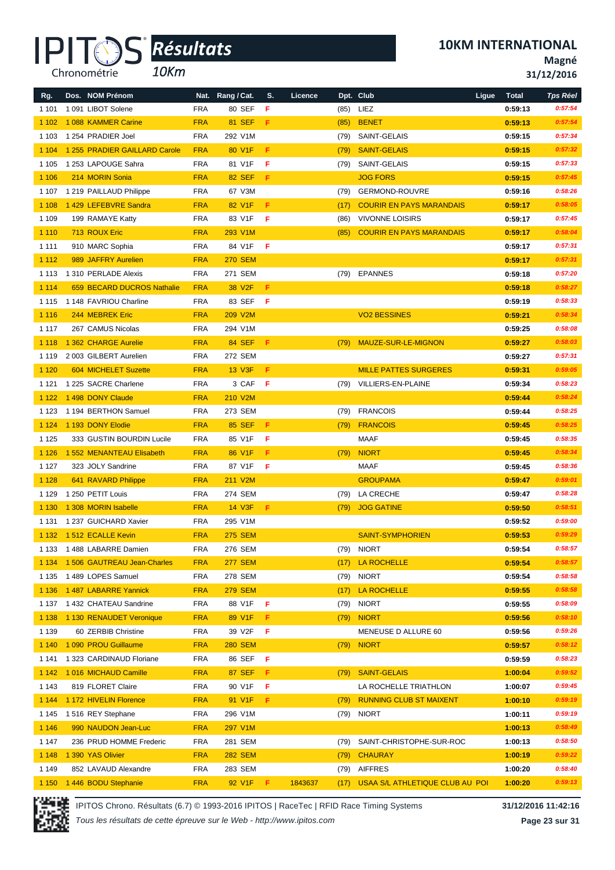

*10Km*

**10KM INTERNATIONAL**

**Magné**

|  |  | 31/12/2016 |
|--|--|------------|
|--|--|------------|

| Rg.     | Dos. NOM Prénom                   |                          | Nat. Rang / Cat.   | S.  | Licence |      | Dpt. Club                       | Ligue | <b>Total</b> | <b>Tps Réel</b> |
|---------|-----------------------------------|--------------------------|--------------------|-----|---------|------|---------------------------------|-------|--------------|-----------------|
| 1 1 0 1 | 1091 LIBOT Solene                 | <b>FRA</b>               | 80 SEF             | F   |         | (85) | LIEZ                            |       | 0:59:13      | 0:57:54         |
| 1 1 0 2 | 1088 KAMMER Carine                | <b>FRA</b>               | 81 SEF             | F   |         | (85) | <b>BENET</b>                    |       | 0:59:13      | 0:57:54         |
| 1 1 0 3 | 1 254 PRADIER Joel                | <b>FRA</b>               | 292 V1M            |     |         | (79) | SAINT-GELAIS                    |       | 0:59:15      | 0:57:34         |
| 1 1 0 4 | 1 255 PRADIER GAILLARD Carole     | <b>FRA</b>               | 80 V1F             | F.  |         | (79) | <b>SAINT-GELAIS</b>             |       | 0:59:15      | 0:57:32         |
| 1 1 0 5 | 1 253 LAPOUGE Sahra               | <b>FRA</b>               | 81 V1F             | F   |         | (79) | SAINT-GELAIS                    |       | 0:59:15      | 0:57:33         |
| 1 1 0 6 | 214 MORIN Sonia                   | <b>FRA</b>               | <b>82 SEF</b>      | F.  |         |      | <b>JOG FORS</b>                 |       | 0:59:15      | 0:57:45         |
| 1 107   | 1 219 PAILLAUD Philippe           | <b>FRA</b>               | 67 V3M             |     |         | (79) | <b>GERMOND-ROUVRE</b>           |       | 0:59:16      | 0:58:26         |
| 1 1 0 8 | 1429 LEFEBVRE Sandra              | <b>FRA</b>               | 82 V1F             | F.  |         | (17) | <b>COURIR EN PAYS MARANDAIS</b> |       | 0:59:17      | 0:58:05         |
| 1 1 0 9 | 199 RAMAYE Katty                  | <b>FRA</b>               | 83 V1F             | -F  |         | (86) | <b>VIVONNE LOISIRS</b>          |       | 0:59:17      | 0:57:45         |
| 1 1 1 0 | 713 ROUX Eric                     | <b>FRA</b>               | 293 V1M            |     |         | (85) | <b>COURIR EN PAYS MARANDAIS</b> |       | 0:59:17      | 0:58:04         |
| 1 1 1 1 | 910 MARC Sophia                   | <b>FRA</b>               | 84 V1F             | F   |         |      |                                 |       | 0:59:17      | 0:57:31         |
| 1 1 1 2 | 989 JAFFRY Aurelien               | <b>FRA</b>               | <b>270 SEM</b>     |     |         |      |                                 |       | 0:59:17      | 0:57:31         |
| 1 1 1 3 | 1 310 PERLADE Alexis              | <b>FRA</b>               | 271 SEM            |     |         |      | (79) EPANNES                    |       | 0:59:18      | 0:57:20         |
| 1 1 1 4 | 659 BECARD DUCROS Nathalie        | <b>FRA</b>               | 38 V <sub>2F</sub> | F.  |         |      |                                 |       | 0:59:18      | 0:58:27         |
| 1 1 1 5 | 1 148 FAVRIOU Charline            | <b>FRA</b>               | 83 SEF             | F   |         |      |                                 |       | 0:59:19      | 0:58:33         |
| 1 1 1 6 | 244 MEBREK Eric                   | <b>FRA</b>               | 209 V2M            |     |         |      | <b>VO2 BESSINES</b>             |       | 0:59:21      | 0:58:34         |
| 1 1 1 7 | 267 CAMUS Nicolas                 | <b>FRA</b>               | 294 V1M            |     |         |      |                                 |       | 0:59:25      | 0:58:08         |
| 1 1 1 8 | 1 362 CHARGE Aurelie              | <b>FRA</b>               | 84 SEF             | - F |         |      | (79) MAUZE-SUR-LE-MIGNON        |       | 0:59:27      | 0:58:03         |
| 1 1 1 9 | 2003 GILBERT Aurelien             | <b>FRA</b>               | 272 SEM            |     |         |      |                                 |       | 0:59:27      | 0:57:31         |
| 1 1 2 0 | 604 MICHELET Suzette              | <b>FRA</b>               | 13 V3F             | F.  |         |      | <b>MILLE PATTES SURGERES</b>    |       | 0:59:31      | 0:59:05         |
| 1 1 2 1 | 1 225 SACRE Charlene              | <b>FRA</b>               | 3 CAF              | - F |         |      | (79) VILLIERS-EN-PLAINE         |       | 0:59:34      | 0:58:23         |
| 1 1 2 2 | 1498 DONY Claude                  | <b>FRA</b>               | 210 V2M            |     |         |      |                                 |       | 0:59:44      | 0:58:24         |
| 1 1 2 3 | 1 194 BERTHON Samuel              | <b>FRA</b>               | 273 SEM            |     |         |      | (79) FRANCOIS                   |       | 0:59:44      | 0:58:25         |
| 1 1 2 4 | 1 193 DONY Elodie                 | <b>FRA</b>               | <b>85 SEF</b>      | F.  |         | (79) | <b>FRANCOIS</b>                 |       | 0:59:45      | 0:58:25         |
| 1 1 2 5 | 333 GUSTIN BOURDIN Lucile         | <b>FRA</b>               | 85 V1F             | F   |         |      | MAAF                            |       | 0:59:45      | 0:58:35         |
| 1 1 2 6 | 1 552 MENANTEAU Elisabeth         | <b>FRA</b>               | 86 V1F             | F.  |         | (79) | <b>NIORT</b>                    |       | 0:59:45      | 0:58:34         |
| 1 1 2 7 | 323 JOLY Sandrine                 | <b>FRA</b>               | 87 V1F             | -F  |         |      | MAAF                            |       | 0:59:45      | 0:58:36         |
| 1 1 2 8 | 641 RAVARD Philippe               | <b>FRA</b>               | 211 V2M            |     |         |      | <b>GROUPAMA</b>                 |       | 0:59:47      | 0:59:01         |
| 1 1 2 9 | 1 250 PETIT Louis                 | <b>FRA</b>               | 274 SEM            |     |         | (79) | LA CRECHE                       |       | 0:59:47      | 0:58:28         |
| 1 1 3 0 | 1 308 MORIN Isabelle              | <b>FRA</b>               | 14 V3F             | F   |         | (79) | <b>JOG GATINE</b>               |       | 0:59:50      | 0:58:51         |
| 1 1 3 1 | 1 237 GUICHARD Xavier             | FRA                      | 295 V1M            |     |         |      |                                 |       | 0:59:52      | 0:59:00         |
| 1 1 3 2 | 1512 ECALLE Kevin                 | <b>FRA</b>               | <b>275 SEM</b>     |     |         |      | <b>SAINT-SYMPHORIEN</b>         |       | 0:59:53      | 0:59:29         |
|         | 1 133 1 488 LABARRE Damien        | <b>FRA</b>               | 276 SEM            |     |         |      | (79) NIORT                      |       | 0:59:54      | 0:58:57         |
|         | 1 134 1 506 GAUTREAU Jean-Charles | <b>FRA</b>               | <b>277 SEM</b>     |     |         |      | (17) LA ROCHELLE                |       | 0:59:54      | 0:58:57         |
| 1 1 3 5 | 1489 LOPES Samuel                 | <b>FRA</b>               | 278 SEM            |     |         |      | (79) NIORT                      |       | 0:59:54      | 0:58:58         |
| 1 1 3 6 | 1487 LABARRE Yannick              | <b>FRA</b>               | <b>279 SEM</b>     |     |         |      | (17) LA ROCHELLE                |       | 0:59:55      | 0:58:58         |
|         | 1 137 1 432 CHATEAU Sandrine      | <b>FRA</b>               | 88 V1F             | F   |         |      | (79) NIORT                      |       | 0:59:55      | 0:58:09         |
| 1 1 3 8 | 1 130 RENAUDET Veronique          | <b>FRA</b>               | 89 V1F             | F.  |         |      | $(79)$ NIORT                    |       | 0:59:56      | 0:58:10         |
| 1 1 3 9 | 60 ZERBIB Christine               | <b>FRA</b>               | 39 V2F             | F   |         |      | MENEUSE D ALLURE 60             |       | 0:59:56      | 0:59:26         |
| 1 1 4 0 | 1 090 PROU Guillaume              | <b>FRA</b>               | <b>280 SEM</b>     |     |         | (79) | <b>NIORT</b>                    |       | 0:59:57      | 0:58:12         |
| 1 141   | 1 323 CARDINAUD Floriane          | <b>FRA</b>               | 86 SEF <b>F</b>    |     |         |      |                                 |       | 0:59:59      | 0:58:23         |
| 1 1 4 2 | 1016 MICHAUD Camille              | <b>FRA</b>               | <b>87 SEF</b>      | F.  |         |      | (79) SAINT-GELAIS               |       | 1:00:04      | 0:59:52         |
| 1 1 4 3 | 819 FLORET Claire                 | <b>FRA</b>               | 90 V1F             | F   |         |      | LA ROCHELLE TRIATHLON           |       | 1:00:07      | 0:59:45         |
| 1 1 4 4 | 1172 HIVELIN Florence             | <b>FRA</b>               | 91 V1F             | F.  |         | (79) | <b>RUNNING CLUB ST MAIXENT</b>  |       | 1:00:10      | 0:59:19         |
| 1 1 4 5 | 1516 REY Stephane                 | <b>FRA</b>               | 296 V1M            |     |         |      | $(79)$ NIORT                    |       | 1:00:11      | 0:59:19         |
| 1 1 4 6 | 990 NAUDON Jean-Luc               |                          | 297 V1M            |     |         |      |                                 |       | 1:00:13      | 0:58:49         |
| 1 1 4 7 |                                   | <b>FRA</b><br><b>FRA</b> | 281 SEM            |     |         |      | SAINT-CHRISTOPHE-SUR-ROC        |       |              | 0:58:50         |
|         | 236 PRUD HOMME Frederic           |                          |                    |     |         | (79) |                                 |       | 1:00:13      | 0:59:22         |
| 1 1 4 8 | 1 390 YAS Olivier                 | <b>FRA</b>               | <b>282 SEM</b>     |     |         | (79) | <b>CHAURAY</b><br>(79) AIFFRES  |       | 1:00:19      | 0:58:40         |
| 1 1 4 9 | 852 LAVAUD Alexandre              | <b>FRA</b>               | 283 SEM            |     |         |      |                                 |       | 1:00:20      |                 |
| 1 1 5 0 | 1446 BODU Stephanie               | <b>FRA</b>               | 92 V1F F           |     | 1843637 | (17) | USAA S/L ATHLETIQUE CLUB AU POI |       | 1:00:20      | 0:59:13         |

IPITOS Chrono. Résultats (6.7) © 1993-2016 IPITOS | RaceTec | RFID Race Timing Systems **31/12/2016 11:42:16**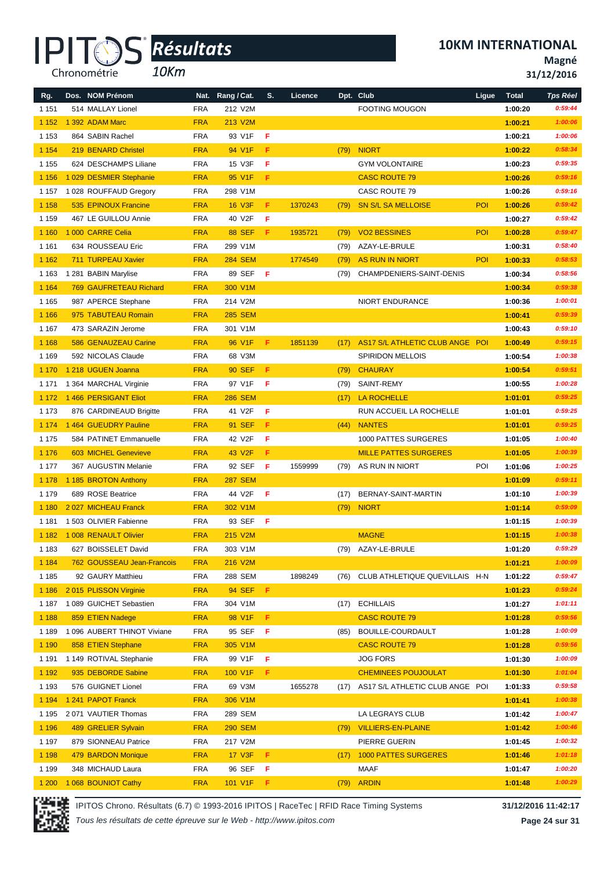*10Km*

**10KM INTERNATIONAL**

**Magné**

**31/12/2016**

| Rg.     | Dos. NOM Prénom               | Nat.       | Rang / Cat.        | S.   | Licence |      | Dpt. Club                       | Ligue | <b>Total</b> | <b>Tps Réel</b> |
|---------|-------------------------------|------------|--------------------|------|---------|------|---------------------------------|-------|--------------|-----------------|
| 1 1 5 1 | 514 MALLAY Lionel             | <b>FRA</b> | 212 V2M            |      |         |      | <b>FOOTING MOUGON</b>           |       | 1:00:20      | 0:59:44         |
| 1 1 5 2 | 1 392 ADAM Marc               | <b>FRA</b> | 213 V2M            |      |         |      |                                 |       | 1:00:21      | 1:00:06         |
| 1 1 5 3 | 864 SABIN Rachel              | <b>FRA</b> | 93 V1F             | F    |         |      |                                 |       | 1:00:21      | 1:00:06         |
| 1 1 5 4 | 219 BENARD Christel           | <b>FRA</b> | 94 V1F             | F.   |         | (79) | <b>NIORT</b>                    |       | 1:00:22      | 0:58:34         |
| 1 1 5 5 | 624 DESCHAMPS Liliane         | <b>FRA</b> | 15 V3F             | F    |         |      | <b>GYM VOLONTAIRE</b>           |       | 1:00:23      | 0:59:35         |
| 1 1 5 6 | 1 029 DESMIER Stephanie       | <b>FRA</b> | 95 V1F             | F    |         |      | <b>CASC ROUTE 79</b>            |       | 1:00:26      | 0:59:16         |
| 1 1 5 7 | 1 028 ROUFFAUD Gregory        | <b>FRA</b> | 298 V1M            |      |         |      | CASC ROUTE 79                   |       | 1:00:26      | 0:59:16         |
| 1 1 5 8 | 535 EPINOUX Francine          | <b>FRA</b> | <b>16 V3F</b>      | F.   | 1370243 | (79) | <b>SN S/L SA MELLOISE</b>       | POI   | 1:00:26      | 0:59:42         |
| 1 1 5 9 | 467 LE GUILLOU Annie          | <b>FRA</b> | 40 V2F             | F    |         |      |                                 |       | 1:00:27      | 0:59:42         |
| 1 1 6 0 | 1 000 CARRE Celia             | <b>FRA</b> | <b>88 SEF</b>      | F    | 1935721 | (79) | <b>VO2 BESSINES</b>             | POI   | 1:00:28      | 0:59:47         |
| 1 1 6 1 | 634 ROUSSEAU Eric             | <b>FRA</b> | 299 V1M            |      |         | (79) | AZAY-LE-BRULE                   |       | 1:00:31      | 0:58:40         |
| 1 1 6 2 | 711 TURPEAU Xavier            | <b>FRA</b> | <b>284 SEM</b>     |      | 1774549 | (79) | <b>AS RUN IN NIORT</b>          | POI   | 1:00:33      | 0:58:53         |
| 1 1 6 3 | 1 281 BABIN Marylise          | <b>FRA</b> | 89 SEF             | F    |         | (79) | CHAMPDENIERS-SAINT-DENIS        |       | 1:00:34      | 0:58:56         |
| 1 1 6 4 | <b>769 GAUFRETEAU Richard</b> | <b>FRA</b> | 300 V1M            |      |         |      |                                 |       | 1:00:34      | 0:59:38         |
| 1 1 6 5 | 987 APERCE Stephane           | <b>FRA</b> | 214 V2M            |      |         |      | NIORT ENDURANCE                 |       | 1:00:36      | 1:00:01         |
| 1 1 6 6 | 975 TABUTEAU Romain           | <b>FRA</b> | <b>285 SEM</b>     |      |         |      |                                 |       | 1:00:41      | 0:59:39         |
| 1 1 6 7 | 473 SARAZIN Jerome            | <b>FRA</b> | 301 V1M            |      |         |      |                                 |       | 1:00:43      | 0:59:10         |
| 1 1 6 8 | 586 GENAUZEAU Carine          | <b>FRA</b> | 96 V1F             | F.   | 1851139 | (17) | AS17 S/L ATHLETIC CLUB ANGE POI |       | 1:00:49      | 0:59:15         |
| 1 1 6 9 | 592 NICOLAS Claude            | <b>FRA</b> | 68 V3M             |      |         |      | <b>SPIRIDON MELLOIS</b>         |       | 1:00:54      | 1:00:38         |
| 1 1 7 0 | 1 218 UGUEN Joanna            | <b>FRA</b> | <b>90 SEF</b>      | F    |         | (79) | <b>CHAURAY</b>                  |       | 1:00:54      | 0:59:51         |
| 1 1 7 1 | 1 364 MARCHAL Virginie        | <b>FRA</b> | 97 V1F             | F    |         | (79) | SAINT-REMY                      |       | 1:00:55      | 1:00:28         |
| 1 1 7 2 | 1466 PERSIGANT Eliot          | <b>FRA</b> | <b>286 SEM</b>     |      |         | (17) | <b>LA ROCHELLE</b>              |       | 1:01:01      | 0:59:25         |
| 1 1 7 3 | 876 CARDINEAUD Brigitte       | <b>FRA</b> | 41 V2F             | F    |         |      | RUN ACCUEIL LA ROCHELLE         |       | 1:01:01      | 0:59:25         |
| 1 1 7 4 | 1 464 GUEUDRY Pauline         | <b>FRA</b> | 91 SEF             | F    |         |      | <b>NANTES</b>                   |       | 1:01:01      | 0:59:25         |
|         |                               |            |                    |      |         | (44) |                                 |       |              |                 |
| 1 1 7 5 | 584 PATINET Emmanuelle        | <b>FRA</b> | 42 V2F             | F    |         |      | 1000 PATTES SURGERES            |       | 1:01:05      | 1:00:40         |
| 1 1 7 6 | 603 MICHEL Genevieve          | <b>FRA</b> | 43 V <sub>2F</sub> | F    |         |      | <b>MILLE PATTES SURGERES</b>    |       | 1:01:05      | 1:00:39         |
| 1 1 7 7 | 367 AUGUSTIN Melanie          | <b>FRA</b> | 92 SEF             | F    | 1559999 |      | (79) AS RUN IN NIORT            | POI   | 1:01:06      | 1:00:25         |
| 1 1 7 8 | 1 185 BROTON Anthony          | <b>FRA</b> | <b>287 SEM</b>     |      |         |      |                                 |       | 1:01:09      | 0:59:11         |
| 1 1 7 9 | 689 ROSE Beatrice             | <b>FRA</b> | 44 V2F             | -F   |         | (17) | BERNAY-SAINT-MARTIN             |       | 1:01:10      | 1:00:39         |
| 1 1 8 0 | 2027 MICHEAU Franck           | <b>FRA</b> | 302 V1M            |      |         | (79) | <b>NIORT</b>                    |       | 1:01:14      | 0:59:09         |
| 1 1 8 1 | 1 503 OLIVIER Fabienne        | <b>FRA</b> | 93 SEF             | F.   |         |      |                                 |       | 1:01:15      | 1:00:39         |
| 1 1 8 2 | 1 008 RENAULT Olivier         | <b>FRA</b> | 215 V2M            |      |         |      | <b>MAGNE</b>                    |       | 1:01:15      | 1:00:38         |
| 1 1 8 3 | 627 BOISSELET David           | <b>FRA</b> | 303 V1M            |      |         |      | (79) AZAY-LE-BRULE              |       | 1:01:20      | 0:59:29         |
| 1 1 8 4 | 762 GOUSSEAU Jean-Francois    | <b>FRA</b> | 216 V2M            |      |         |      |                                 |       | 1:01:21      | 1:00:09         |
| 1 1 8 5 | 92 GAURY Matthieu             | FRA        | 288 SEM            |      | 1898249 | (76) | CLUB ATHLETIQUE QUEVILLAIS H-N  |       | 1:01:22      | 0:59:47         |
| 1 1 8 6 | 2015 PLISSON Virginie         | <b>FRA</b> | <b>94 SEF</b>      | - F. |         |      |                                 |       | 1:01:23      | 0:59:24         |
| 1 1 8 7 | 1 089 GUICHET Sebastien       | <b>FRA</b> | 304 V1M            |      |         |      | (17) ECHILLAIS                  |       | 1:01:27      | 1:01:11         |
| 1 1 8 8 | 859 ETIEN Nadege              | <b>FRA</b> | 98 V1F             | -F   |         |      | <b>CASC ROUTE 79</b>            |       | 1:01:28      | 0:59:56         |
| 1 1 8 9 | 1 096 AUBERT THINOT Viviane   | <b>FRA</b> | 95 SEF             | F    |         | (85) | BOUILLE-COURDAULT               |       | 1:01:28      | 1:00:09         |
| 1 1 9 0 | 858 ETIEN Stephane            | <b>FRA</b> | 305 V1M            |      |         |      | <b>CASC ROUTE 79</b>            |       | 1:01:28      | 0:59:56         |
| 1 1 9 1 | 1 149 ROTIVAL Stephanie       | <b>FRA</b> | 99 V1F             | F    |         |      | <b>JOG FORS</b>                 |       | 1:01:30      | 1:00:09         |
| 1 1 9 2 | 935 DEBORDE Sabine            | <b>FRA</b> | 100 V1F            | F    |         |      | <b>CHEMINEES POUJOULAT</b>      |       | 1:01:30      | 1:01:04         |
| 1 1 9 3 | 576 GUIGNET Lionel            | <b>FRA</b> | 69 V3M             |      | 1655278 | (17) | AS17 S/L ATHLETIC CLUB ANGE POI |       | 1:01:33      | 0:59:58         |
| 1 1 9 4 | 1 241 PAPOT Franck            | <b>FRA</b> | 306 V1M            |      |         |      |                                 |       | 1:01:41      | 1:00:38         |
| 1 1 9 5 | 2071 VAUTIER Thomas           | <b>FRA</b> | 289 SEM            |      |         |      | LA LEGRAYS CLUB                 |       | 1:01:42      | 1:00:47         |
| 1 1 9 6 | 489 GRELIER Sylvain           | <b>FRA</b> | <b>290 SEM</b>     |      |         | (79) | <b>VILLIERS-EN-PLAINE</b>       |       | 1:01:42      | 1:00:46         |
| 1 1 9 7 | 879 SIONNEAU Patrice          | <b>FRA</b> | 217 V2M            |      |         |      | PIERRE GUERIN                   |       | 1:01:45      | 1:00:32         |
| 1 1 9 8 | 479 BARDON Monique            | <b>FRA</b> | 17 V3F             | F.   |         | (17) | <b>1000 PATTES SURGERES</b>     |       | 1:01:46      | 1:01:18         |
| 1 1 9 9 | 348 MICHAUD Laura             | <b>FRA</b> | 96 SEF             | F    |         |      | MAAF                            |       | 1:01:47      | 1:00:20         |
| 1 200   | 1 068 BOUNIOT Cathy           | <b>FRA</b> | 101 V1F            | F.   |         | (79) | <b>ARDIN</b>                    |       | 1:01:48      | 1:00:29         |



IPITOS Chrono. Résultats (6.7) © 1993-2016 IPITOS | RaceTec | RFID Race Timing Systems **31/12/2016 11:42:17**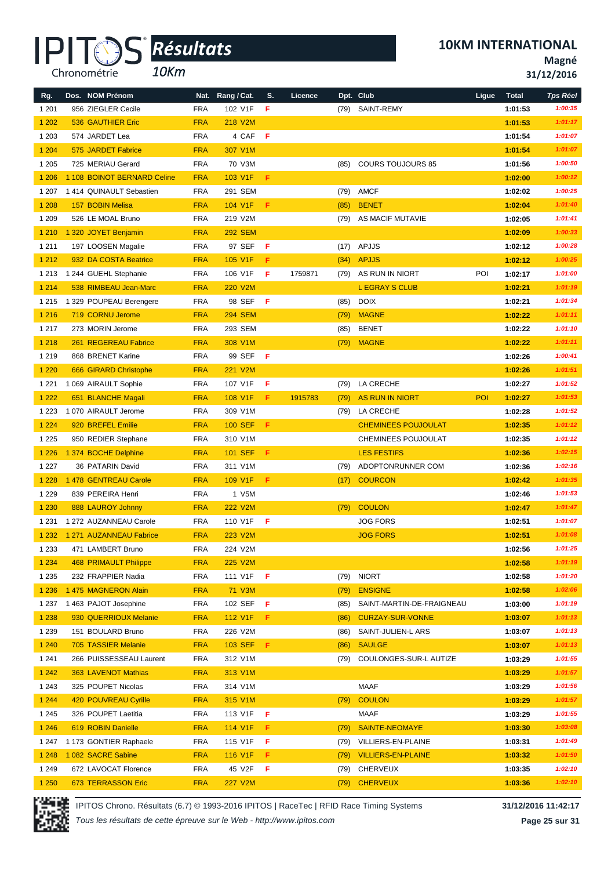*10Km*

**Magné**

| 31/12/2016 |  |  |  |
|------------|--|--|--|
|------------|--|--|--|

| Rg.     | Dos. NOM Prénom              |            | Nat. Rang / Cat. | S.  | Licence |      | Dpt. Club                  | Ligue | <b>Total</b> | <b>Tps Réel</b> |
|---------|------------------------------|------------|------------------|-----|---------|------|----------------------------|-------|--------------|-----------------|
| 1 2 0 1 | 956 ZIEGLER Cecile           | <b>FRA</b> | 102 V1F          | F   |         | (79) | SAINT-REMY                 |       | 1:01:53      | 1:00:35         |
| 1 2 0 2 | <b>536 GAUTHIER Eric</b>     | <b>FRA</b> | 218 V2M          |     |         |      |                            |       | 1:01:53      | 1:01:17         |
| 1 2 0 3 | 574 JARDET Lea               | <b>FRA</b> | 4 CAF            | - F |         |      |                            |       | 1:01:54      | 1:01:07         |
| 1 2 0 4 | 575 JARDET Fabrice           | <b>FRA</b> | 307 V1M          |     |         |      |                            |       | 1:01:54      | 1:01:07         |
| 1 2 0 5 | 725 MERIAU Gerard            | <b>FRA</b> | 70 V3M           |     |         | (85) | <b>COURS TOUJOURS 85</b>   |       | 1:01:56      | 1:00:50         |
| 1 2 0 6 | 1 108 BOINOT BERNARD Celine  | <b>FRA</b> | 103 V1F          | F.  |         |      |                            |       | 1:02:00      | 1:00:12         |
| 1 207   | 1414 QUINAULT Sebastien      | <b>FRA</b> | 291 SEM          |     |         |      | (79) AMCF                  |       | 1:02:02      | 1:00:25         |
| 1 2 0 8 | 157 BOBIN Melisa             | <b>FRA</b> | 104 V1F          | F   |         | (85) | <b>BENET</b>               |       | 1:02:04      | 1:01:40         |
| 1 2 0 9 | 526 LE MOAL Bruno            | <b>FRA</b> | 219 V2M          |     |         | (79) | AS MACIF MUTAVIE           |       | 1:02:05      | 1:01:41         |
| 1 2 1 0 | 1 320 JOYET Benjamin         | <b>FRA</b> | <b>292 SEM</b>   |     |         |      |                            |       | 1:02:09      | 1:00:33         |
| 1 2 1 1 | 197 LOOSEN Magalie           | <b>FRA</b> | 97 SEF           | F   |         | (17) | APJJS                      |       | 1:02:12      | 1:00:28         |
| 1 2 1 2 | 932 DA COSTA Beatrice        | <b>FRA</b> | 105 V1F          | F   |         | (34) | <b>APJJS</b>               |       | 1:02:12      | 1:00:25         |
| 1 2 1 3 | 1 244 GUEHL Stephanie        | <b>FRA</b> | 106 V1F          | F   | 1759871 | (79) | AS RUN IN NIORT            | POI   | 1:02:17      | 1:01:00         |
| 1 2 1 4 | 538 RIMBEAU Jean-Marc        | <b>FRA</b> | 220 V2M          |     |         |      | <b>L EGRAY S CLUB</b>      |       | 1:02:21      | 1:01:19         |
| 1 2 1 5 | 1 329 POUPEAU Berengere      | <b>FRA</b> | 98 SEF           | F   |         | (85) | <b>DOIX</b>                |       | 1:02:21      | 1:01:34         |
| 1 2 1 6 | 719 CORNU Jerome             | <b>FRA</b> | <b>294 SEM</b>   |     |         | (79) | <b>MAGNE</b>               |       | 1:02:22      | 1:01:11         |
| 1 2 1 7 | 273 MORIN Jerome             | <b>FRA</b> | 293 SEM          |     |         | (85) | <b>BENET</b>               |       | 1:02:22      | 1:01:10         |
| 1 2 1 8 | 261 REGEREAU Fabrice         | <b>FRA</b> | 308 V1M          |     |         | (79) | <b>MAGNE</b>               |       | 1:02:22      | 1:01:11         |
| 1 2 1 9 | 868 BRENET Karine            | <b>FRA</b> | 99 SEF           | F   |         |      |                            |       | 1:02:26      | 1:00:41         |
| 1 2 2 0 | 666 GIRARD Christophe        | <b>FRA</b> | 221 V2M          |     |         |      |                            |       | 1:02:26      | 1:01:51         |
| 1 2 2 1 | 1 069 AIRAULT Sophie         | <b>FRA</b> | 107 V1F          | F   |         | (79) | LA CRECHE                  |       | 1:02:27      | 1:01:52         |
| 1 2 2 2 | 651 BLANCHE Magali           | <b>FRA</b> | 108 V1F          | F.  | 1915783 | (79) | AS RUN IN NIORT            | POI   | 1:02:27      | 1:01:53         |
| 1 2 2 3 | 1 070 AIRAULT Jerome         | <b>FRA</b> | 309 V1M          |     |         |      | (79) LA CRECHE             |       | 1:02:28      | 1:01:52         |
| 1 2 2 4 | 920 BREFEL Emilie            | <b>FRA</b> | <b>100 SEF</b>   | F   |         |      | <b>CHEMINEES POUJOULAT</b> |       | 1:02:35      | 1:01:12         |
| 1 2 2 5 | 950 REDIER Stephane          | <b>FRA</b> | 310 V1M          |     |         |      | <b>CHEMINEES POUJOULAT</b> |       | 1:02:35      | 1:01:12         |
| 1 2 2 6 | 1 374 BOCHE Delphine         | <b>FRA</b> | <b>101 SEF</b>   | F   |         |      | <b>LES FESTIFS</b>         |       | 1:02:36      | 1:02:15         |
| 1 2 2 7 | 36 PATARIN David             | <b>FRA</b> | 311 V1M          |     |         | (79) | ADOPTONRUNNER COM          |       | 1:02:36      | 1:02:16         |
| 1 2 2 8 | 1478 GENTREAU Carole         | <b>FRA</b> | 109 V1F          | F   |         | (17) | <b>COURCON</b>             |       | 1:02:42      | 1:01:35         |
| 1 2 2 9 | 839 PEREIRA Henri            | <b>FRA</b> | 1 V5M            |     |         |      |                            |       | 1:02:46      | 1:01:53         |
| 1 2 3 0 | 888 LAUROY Johnny            | <b>FRA</b> | <b>222 V2M</b>   |     |         | (79) | <b>COULON</b>              |       | 1:02:47      | 1:01:47         |
| 1 2 3 1 | 1 272 AUZANNEAU Carole       | <b>FRA</b> | 110 V1F          | F   |         |      | <b>JOG FORS</b>            |       | 1:02:51      | 1:01:07         |
| 1 2 3 2 | 1 271 AUZANNEAU Fabrice      | <b>FRA</b> | 223 V2M          |     |         |      | <b>JOG FORS</b>            |       | 1:02:51      | 1:01:08         |
| 1 2 3 3 | 471 LAMBERT Bruno            | FRA        | 224 V2M          |     |         |      |                            |       | 1:02:56      | 1:01:25         |
| 1 2 3 4 | <b>468 PRIMAULT Philippe</b> | <b>FRA</b> | 225 V2M          |     |         |      |                            |       | 1:02:58      | 1:01:19         |
| 1 2 3 5 | 232 FRAPPIER Nadia           | <b>FRA</b> | 111 V1F          | -F  |         | (79) | <b>NIORT</b>               |       | 1:02:58      | 1:01:20         |
| 1 2 3 6 | 1 475 MAGNERON Alain         | <b>FRA</b> | 71 V3M           |     |         | (79) | <b>ENSIGNE</b>             |       | 1:02:58      | 1:02:06         |
| 1 2 3 7 | 1 463 PAJOT Josephine        | <b>FRA</b> | 102 SEF          | F   |         | (85) | SAINT-MARTIN-DE-FRAIGNEAU  |       | 1:03:00      | 1:01:19         |
| 1 2 3 8 | 930 QUERRIOUX Melanie        | <b>FRA</b> | 112 V1F          | F.  |         | (86) | <b>CURZAY-SUR-VONNE</b>    |       | 1:03:07      | 1:01:13         |
| 1 2 3 9 | 151 BOULARD Bruno            | <b>FRA</b> | 226 V2M          |     |         | (86) | SAINT-JULIEN-L ARS         |       | 1:03:07      | 1:01:13         |
| 1 2 4 0 | 705 TASSIER Melanie          | <b>FRA</b> | 103 SEF          | -F. |         | (86) | <b>SAULGE</b>              |       | 1:03:07      | 1:01:13         |
| 1 2 4 1 | 266 PUISSESSEAU Laurent      | <b>FRA</b> | 312 V1M          |     |         | (79) | COULONGES-SUR-L AUTIZE     |       | 1:03:29      | 1:01:55         |
| 1 2 4 2 | 363 LAVENOT Mathias          | <b>FRA</b> | 313 V1M          |     |         |      |                            |       | 1:03:29      | 1:01:57         |
| 1 2 4 3 | 325 POUPET Nicolas           | <b>FRA</b> | 314 V1M          |     |         |      | MAAF                       |       | 1:03:29      | 1:01:56         |
| 1 2 4 4 | 420 POUVREAU Cyrille         | <b>FRA</b> | 315 V1M          |     |         | (79) | <b>COULON</b>              |       | 1:03:29      | 1:01:57         |
| 1 2 4 5 | 326 POUPET Laetitia          | <b>FRA</b> | 113 V1F          | F   |         |      | MAAF                       |       | 1:03:29      | 1:01:55         |
| 1 2 4 6 | 619 ROBIN Danielle           | <b>FRA</b> | 114 V1F          | F.  |         | (79) | <b>SAINTE-NEOMAYE</b>      |       | 1:03:30      | 1:03:08         |
| 1 247   | 1 173 GONTIER Raphaele       | <b>FRA</b> | 115 V1F          | F   |         | (79) | VILLIERS-EN-PLAINE         |       | 1:03:31      | 1:01:49         |
| 1 2 4 8 | 1 082 SACRE Sabine           | <b>FRA</b> | 116 V1F          | F.  |         | (79) | <b>VILLIERS-EN-PLAINE</b>  |       | 1:03:32      | 1:01:50         |
| 1 2 4 9 | 672 LAVOCAT Florence         | <b>FRA</b> | 45 V2F           | F   |         | (79) | CHERVEUX                   |       | 1:03:35      | 1:02:10         |
| 1 2 5 0 | 673 TERRASSON Eric           | <b>FRA</b> | 227 V2M          |     |         |      | (79) CHERVEUX              |       | 1:03:36      | 1:02:10         |



IPITOS Chrono. Résultats (6.7) © 1993-2016 IPITOS | RaceTec | RFID Race Timing Systems **31/12/2016 11:42:17**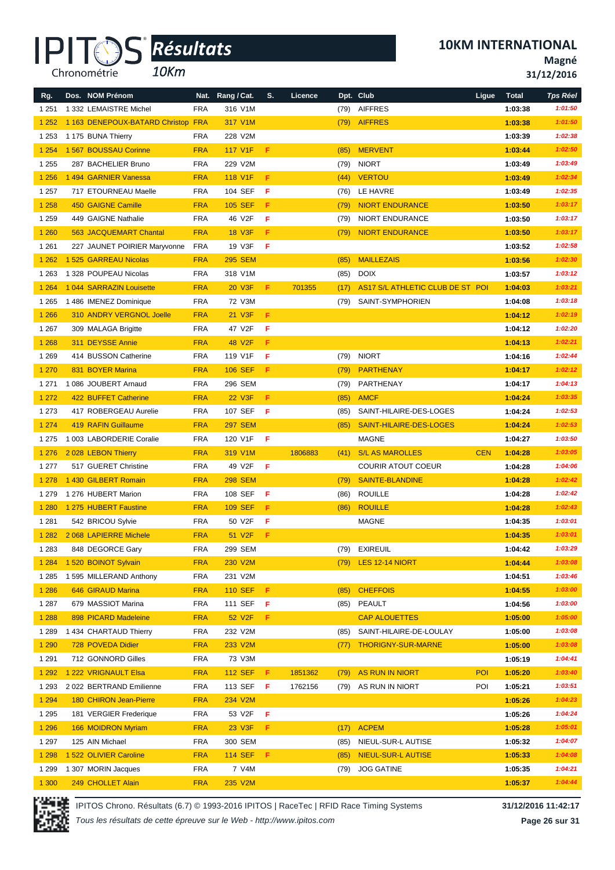*10Km*

**Magné**

**31/12/2016**

| Rg.     | Dos. NOM Prénom                    |            | Nat. Rang / Cat. | S. | Licence |      | Dpt. Club                        | Ligue      | <b>Total</b> | <b>Tps Réel</b> |
|---------|------------------------------------|------------|------------------|----|---------|------|----------------------------------|------------|--------------|-----------------|
| 1 2 5 1 | 1 332 LEMAISTRE Michel             | <b>FRA</b> | 316 V1M          |    |         | (79) | <b>AIFFRES</b>                   |            | 1:03:38      | 1:01:50         |
| 1 2 5 2 | 1 163 DENEPOUX-BATARD Christop FRA |            | 317 V1M          |    |         | (79) | <b>AIFFRES</b>                   |            | 1:03:38      | 1:01:50         |
| 1 2 5 3 | 1 175 BUNA Thierry                 | <b>FRA</b> | 228 V2M          |    |         |      |                                  |            | 1:03:39      | 1:02:38         |
| 1 2 5 4 | 1 567 BOUSSAU Corinne              | <b>FRA</b> | 117 V1F          | F  |         | (85) | <b>MERVENT</b>                   |            | 1:03:44      | 1:02:50         |
| 1 2 5 5 | 287 BACHELIER Bruno                | <b>FRA</b> | 229 V2M          |    |         | (79) | <b>NIORT</b>                     |            | 1:03:49      | 1:03:49         |
| 1 2 5 6 | 1 494 GARNIER Vanessa              | <b>FRA</b> | 118 V1F          | F  |         | (44) | <b>VERTOU</b>                    |            | 1:03:49      | 1:02:34         |
| 1 2 5 7 | 717 ETOURNEAU Maelle               | <b>FRA</b> | 104 SEF          | F  |         | (76) | LE HAVRE                         |            | 1:03:49      | 1:02:35         |
| 1 2 5 8 | <b>450 GAIGNE Camille</b>          | <b>FRA</b> | <b>105 SEF</b>   | F  |         | (79) | <b>NIORT ENDURANCE</b>           |            | 1:03:50      | 1:03:17         |
| 1 2 5 9 | 449 GAIGNE Nathalie                | <b>FRA</b> | 46 V2F           | F  |         | (79) | <b>NIORT ENDURANCE</b>           |            | 1:03:50      | 1:03:17         |
| 1 2 6 0 | 563 JACQUEMART Chantal             | <b>FRA</b> | <b>18 V3F</b>    | F. |         | (79) | <b>NIORT ENDURANCE</b>           |            | 1:03:50      | 1:03:17         |
| 1 2 6 1 | 227 JAUNET POIRIER Maryvonne       | <b>FRA</b> | 19 V3F           | F  |         |      |                                  |            | 1:03:52      | 1:02:58         |
| 1 2 6 2 | 1 525 GARREAU Nicolas              | <b>FRA</b> | <b>295 SEM</b>   |    |         | (85) | <b>MAILLEZAIS</b>                |            | 1:03:56      | 1:02:30         |
| 1 2 6 3 | 1 328 POUPEAU Nicolas              | <b>FRA</b> | 318 V1M          |    |         | (85) | <b>DOIX</b>                      |            | 1:03:57      | 1:03:12         |
| 1 2 6 4 | 1 044 SARRAZIN Louisette           | <b>FRA</b> | 20 V3F           | F. | 701355  | (17) | AS17 S/L ATHLETIC CLUB DE ST POI |            | 1:04:03      | 1:03:21         |
| 1 2 6 5 | 1 486 IMENEZ Dominique             | <b>FRA</b> | 72 V3M           |    |         | (79) | SAINT-SYMPHORIEN                 |            | 1:04:08      | 1:03:18         |
| 1 2 6 6 | <b>310 ANDRY VERGNOL Joelle</b>    | <b>FRA</b> | 21 V3F           | F  |         |      |                                  |            | 1:04:12      | 1:02:19         |
| 1 2 6 7 | 309 MALAGA Brigitte                | <b>FRA</b> | 47 V2F           | F  |         |      |                                  |            | 1:04:12      | 1:02:20         |
| 1 2 6 8 | 311 DEYSSE Annie                   | <b>FRA</b> | 48 V2F           | F. |         |      |                                  |            | 1:04:13      | 1:02:21         |
| 1 2 6 9 | 414 BUSSON Catherine               | <b>FRA</b> | 119 V1F          | F  |         | (79) | <b>NIORT</b>                     |            | 1:04:16      | 1:02:44         |
| 1 2 7 0 | 831 BOYER Marina                   | <b>FRA</b> | <b>106 SEF</b>   | F  |         | (79) | PARTHENAY                        |            | 1:04:17      | 1:02:12         |
| 1 2 7 1 | 1 086 JOUBERT Arnaud               | <b>FRA</b> | 296 SEM          |    |         | (79) | PARTHENAY                        |            | 1:04:17      | 1:04:13         |
| 1 2 7 2 | 422 BUFFET Catherine               | <b>FRA</b> | 22 V3F           | F. |         | (85) | <b>AMCF</b>                      |            | 1:04:24      | 1:03:35         |
| 1 2 7 3 | 417 ROBERGEAU Aurelie              | <b>FRA</b> | 107 SEF          | -F |         | (85) | SAINT-HILAIRE-DES-LOGES          |            | 1:04:24      | 1:02:53         |
| 1 2 7 4 | <b>419 RAFIN Guillaume</b>         | <b>FRA</b> | <b>297 SEM</b>   |    |         | (85) | SAINT-HILAIRE-DES-LOGES          |            | 1:04:24      | 1:02:53         |
| 1 2 7 5 | 1 003 LABORDERIE Coralie           | <b>FRA</b> | 120 V1F          | F  |         |      | MAGNE                            |            | 1:04:27      | 1:03:50         |
| 1 2 7 6 | 2028 LEBON Thierry                 | <b>FRA</b> | 319 V1M          |    | 1806883 | (41) | <b>S/L AS MAROLLES</b>           | <b>CEN</b> | 1:04:28      | 1:03:05         |
| 1 2 7 7 | 517 GUERET Christine               | <b>FRA</b> | 49 V2F           | F  |         |      | <b>COURIR ATOUT COEUR</b>        |            | 1:04:28      | 1:04:06         |
| 1 2 7 8 | 1 430 GILBERT Romain               | <b>FRA</b> | <b>298 SEM</b>   |    |         | (79) | <b>SAINTE-BLANDINE</b>           |            | 1:04:28      | 1:02:42         |
| 1 2 7 9 | 1 276 HUBERT Marion                | <b>FRA</b> | 108 SEF          | F  |         | (86) | <b>ROUILLE</b>                   |            | 1:04:28      | 1:02:42         |
| 1 2 8 0 | 1 275 HUBERT Faustine              | <b>FRA</b> | <b>109 SEF</b>   | F  |         | (86) | <b>ROUILLE</b>                   |            | 1:04:28      | 1:02:43         |
| 1 2 8 1 | 542 BRICOU Sylvie                  | <b>FRA</b> | 50 V2F           | F  |         |      | <b>MAGNE</b>                     |            | 1:04:35      | 1:03:01         |
| 1 2 8 2 | 2068 LAPIERRE Michele              | <b>FRA</b> | 51 V2F           | F. |         |      |                                  |            | 1:04:35      | 1:03:01         |
| 1 2 8 3 | 848 DEGORCE Gary                   | <b>FRA</b> | 299 SEM          |    |         |      | (79) EXIREUIL                    |            | 1:04:42      | 1:03:29         |
| 1 2 8 4 | 1520 BOINOT Sylvain                | <b>FRA</b> | 230 V2M          |    |         |      | (79) LES 12-14 NIORT             |            | 1:04:44      | 1:03:08         |
| 1 2 8 5 | 1 595 MILLERAND Anthony            | <b>FRA</b> | 231 V2M          |    |         |      |                                  |            | 1:04:51      | 1:03:46         |
| 1 2 8 6 | 646 GIRAUD Marina                  | <b>FRA</b> | <b>110 SEF</b>   | F. |         | (85) | <b>CHEFFOIS</b>                  |            | 1:04:55      | 1:03:00         |
| 1 2 8 7 | 679 MASSIOT Marina                 | <b>FRA</b> | 111 SEF <b>F</b> |    |         | (85) | PEAULT                           |            | 1:04:56      | 1:03:00         |
| 1 2 8 8 | 898 PICARD Madeleine               | <b>FRA</b> | 52 V2F           | F. |         |      | <b>CAP ALOUETTES</b>             |            | 1:05:00      | 1:05:00         |
| 1 2 8 9 | 1 434 CHARTAUD Thierry             | <b>FRA</b> | 232 V2M          |    |         | (85) | SAINT-HILAIRE-DE-LOULAY          |            | 1:05:00      | 1:03:08         |
| 1 2 9 0 | 728 POVEDA Didier                  | <b>FRA</b> | 233 V2M          |    |         | (77) | <b>THORIGNY-SUR-MARNE</b>        |            | 1:05:00      | 1:03:08         |
| 1 2 9 1 | 712 GONNORD Gilles                 | <b>FRA</b> | 73 V3M           |    |         |      |                                  |            | 1:05:19      | 1:04:41         |
| 1 2 9 2 | 1 222 VRIGNAULT Elsa               | <b>FRA</b> | <b>112 SEF</b>   | F. | 1851362 | (79) | <b>AS RUN IN NIORT</b>           | POI        | 1:05:20      | 1:03:40         |
| 1 2 9 3 | 2 022 BERTRAND Emilienne           | <b>FRA</b> | 113 SEF          | F  | 1762156 | (79) | AS RUN IN NIORT                  | POI        | 1:05:21      | 1:03:51         |
| 1 2 9 4 | 180 CHIRON Jean-Pierre             | <b>FRA</b> | 234 V2M          |    |         |      |                                  |            | 1:05:26      | 1:04:23         |
| 1 2 9 5 | 181 VERGIER Frederique             | <b>FRA</b> | 53 V2F           | F  |         |      |                                  |            | 1:05:26      | 1:04:24         |
| 1 2 9 6 | 166 MOIDRON Myriam                 | <b>FRA</b> | 23 V3F           | F. |         | (17) | <b>ACPEM</b>                     |            | 1:05:28      | 1:05:01         |
| 1 2 9 7 | 125 AIN Michael                    | <b>FRA</b> | 300 SEM          |    |         | (85) | NIEUL-SUR-L AUTISE               |            | 1:05:32      | 1:04:07         |
| 1 2 9 8 | 1 522 OLIVIER Caroline             | <b>FRA</b> | <b>114 SEF</b>   | F  |         | (85) | <b>NIEUL-SUR-L AUTISE</b>        |            | 1:05:33      | 1:04:08         |
| 1 2 9 9 | 1 307 MORIN Jacques                | <b>FRA</b> | 7 V4M            |    |         | (79) | <b>JOG GATINE</b>                |            | 1:05:35      | 1:04:21         |
| 1 300   | 249 CHOLLET Alain                  | <b>FRA</b> | 235 V2M          |    |         |      |                                  |            | 1:05:37      | 1:04:44         |



IPITOS Chrono. Résultats (6.7) © 1993-2016 IPITOS | RaceTec | RFID Race Timing Systems **31/12/2016 11:42:17**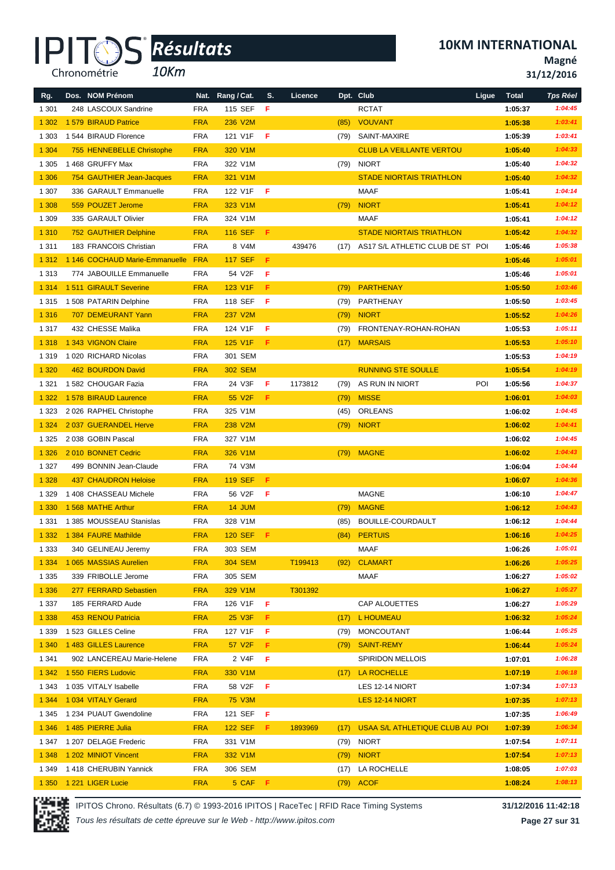*10Km*

**10KM INTERNATIONAL**

**Magné**

|  |  | 31/12/2016 |  |
|--|--|------------|--|
|--|--|------------|--|

| Rg.     | Dos. NOM Prénom                |            | Nat. Rang / Cat. | S. | Licence |      | Dpt. Club                            | Ligue | <b>Total</b> | <b>Tps Réel</b> |
|---------|--------------------------------|------------|------------------|----|---------|------|--------------------------------------|-------|--------------|-----------------|
| 1 3 0 1 | 248 LASCOUX Sandrine           | <b>FRA</b> | 115 SEF          | F  |         |      | <b>RCTAT</b>                         |       | 1:05:37      | 1:04:45         |
| 1 3 0 2 | 1 579 BIRAUD Patrice           | <b>FRA</b> | 236 V2M          |    |         | (85) | VOUVANT                              |       | 1:05:38      | 1:03:41         |
| 1 3 0 3 | 1544 BIRAUD Florence           | <b>FRA</b> | 121 V1F          | F  |         |      | (79) SAINT-MAXIRE                    |       | 1:05:39      | 1:03:41         |
| 1 3 0 4 | 755 HENNEBELLE Christophe      | <b>FRA</b> | 320 V1M          |    |         |      | <b>CLUB LA VEILLANTE VERTOU</b>      |       | 1:05:40      | 1:04:33         |
| 1 3 0 5 | 1 468 GRUFFY Max               | <b>FRA</b> | 322 V1M          |    |         |      | (79) NIORT                           |       | 1:05:40      | 1:04:32         |
| 1 3 0 6 | 754 GAUTHIER Jean-Jacques      | <b>FRA</b> | 321 V1M          |    |         |      | <b>STADE NIORTAIS TRIATHLON</b>      |       | 1:05:40      | 1:04:32         |
| 1 3 0 7 | 336 GARAULT Emmanuelle         | <b>FRA</b> | 122 V1F          | F  |         |      | MAAF                                 |       | 1:05:41      | 1:04:14         |
| 1 3 0 8 | 559 POUZET Jerome              | <b>FRA</b> | 323 V1M          |    |         | (79) | <b>NIORT</b>                         |       | 1:05:41      | 1:04:12         |
| 1 3 0 9 | 335 GARAULT Olivier            | <b>FRA</b> | 324 V1M          |    |         |      | MAAF                                 |       | 1:05:41      | 1:04:12         |
| 1 3 1 0 | <b>752 GAUTHIER Delphine</b>   | <b>FRA</b> | <b>116 SEF</b>   | F. |         |      | <b>STADE NIORTAIS TRIATHLON</b>      |       | 1:05:42      | 1:04:32         |
| 1 3 1 1 | 183 FRANCOIS Christian         | <b>FRA</b> | 8 V4M            |    | 439476  | (17) | AS17 S/L ATHLETIC CLUB DE ST POI     |       | 1:05:46      | 1:05:38         |
| 1 3 1 2 | 1 146 COCHAUD Marie-Emmanuelle | <b>FRA</b> | <b>117 SEF</b>   | F  |         |      |                                      |       | 1:05:46      | 1:05:01         |
| 1 3 1 3 | 774 JABOUILLE Emmanuelle       | <b>FRA</b> | 54 V2F           | F  |         |      |                                      |       | 1:05:46      | 1:05:01         |
| 1 3 1 4 | 1511 GIRAULT Severine          | <b>FRA</b> | 123 V1F          | F. |         | (79) | PARTHENAY                            |       | 1:05:50      | 1:03:46         |
| 1 3 1 5 | 1 508 PATARIN Delphine         | <b>FRA</b> | 118 SEF          | F  |         | (79) | PARTHENAY                            |       | 1:05:50      | 1:03:45         |
| 1 3 1 6 | 707 DEMEURANT Yann             | <b>FRA</b> | 237 V2M          |    |         | (79) | <b>NIORT</b>                         |       | 1:05:52      | 1:04:26         |
| 1 3 1 7 | 432 CHESSE Malika              | <b>FRA</b> | 124 V1F          | F  |         | (79) | FRONTENAY-ROHAN-ROHAN                |       | 1:05:53      | 1:05:11         |
| 1 3 1 8 | 1 343 VIGNON Claire            | <b>FRA</b> | 125 V1F          | F. |         | (17) | <b>MARSAIS</b>                       |       | 1:05:53      | 1:05:10         |
| 1 3 1 9 | 1 020 RICHARD Nicolas          | <b>FRA</b> | 301 SEM          |    |         |      |                                      |       | 1:05:53      | 1:04:19         |
| 1 3 2 0 | 462 BOURDON David              | <b>FRA</b> | <b>302 SEM</b>   |    |         |      | <b>RUNNING STE SOULLE</b>            |       | 1:05:54      | 1:04:19         |
| 1 3 2 1 | 1 582 CHOUGAR Fazia            | <b>FRA</b> | 24 V3F           | F  | 1173812 | (79) | AS RUN IN NIORT                      | POI   | 1:05:56      | 1:04:37         |
| 1 3 2 2 | 1578 BIRAUD Laurence           | <b>FRA</b> | 55 V2F           | F. |         | (79) | <b>MISSE</b>                         |       | 1:06:01      | 1:04:03         |
| 1 3 2 3 | 2026 RAPHEL Christophe         | <b>FRA</b> | 325 V1M          |    |         | (45) | ORLEANS                              |       | 1:06:02      | 1:04:45         |
| 1 3 2 4 | 2 037 GUERANDEL Herve          | <b>FRA</b> | 238 V2M          |    |         | (79) | <b>NIORT</b>                         |       | 1:06:02      | 1:04:41         |
| 1 3 2 5 | 2 038 GOBIN Pascal             | <b>FRA</b> | 327 V1M          |    |         |      |                                      |       | 1:06:02      | 1:04:45         |
| 1 3 2 6 | 2010 BONNET Cedric             | <b>FRA</b> | 326 V1M          |    |         | (79) | <b>MAGNE</b>                         |       | 1:06:02      | 1:04:43         |
| 1 3 2 7 | 499 BONNIN Jean-Claude         | <b>FRA</b> | 74 V3M           |    |         |      |                                      |       | 1:06:04      | 1:04:44         |
| 1 3 2 8 | <b>437 CHAUDRON Heloise</b>    | <b>FRA</b> | <b>119 SEF</b>   | F. |         |      |                                      |       | 1:06:07      | 1:04:36         |
| 1 3 2 9 | 1 408 CHASSEAU Michele         | <b>FRA</b> | 56 V2F           | F  |         |      | <b>MAGNE</b>                         |       | 1:06:10      | 1:04:47         |
| 1 3 3 0 | 1568 MATHE Arthur              | <b>FRA</b> | 14 JUM           |    |         | (79) | <b>MAGNE</b>                         |       | 1:06:12      | 1:04:43         |
| 1 3 3 1 | 1385 MOUSSEAU Stanislas        | <b>FRA</b> | 328 V1M          |    |         | (85) | BOUILLE-COURDAULT                    |       | 1:06:12      | 1:04:44         |
| 1 3 3 2 | 1 384 FAURE Mathilde           | <b>FRA</b> | <b>120 SEF</b>   | Æ. |         | (84) | <b>PERTUIS</b>                       |       | 1:06:16      | 1:04:25         |
| 1 3 3 3 | 340 GELINEAU Jeremy            | <b>FRA</b> | 303 SEM          |    |         |      | MAAF                                 |       | 1:06:26      | 1:05:01         |
| 1 3 3 4 | 1 065 MASSIAS Aurelien         | <b>FRA</b> | <b>304 SEM</b>   |    | T199413 |      | (92) CLAMART                         |       | 1:06:26      | 1:05:25         |
| 1 3 3 5 | 339 FRIBOLLE Jerome            | FRA        | 305 SEM          |    |         |      | MAAF                                 |       | 1:06:27      | 1:05:02         |
| 1 3 3 6 | 277 FERRARD Sebastien          | <b>FRA</b> | 329 V1M          |    | T301392 |      |                                      |       | 1:06:27      | 1:05:27         |
| 1 3 3 7 | 185 FERRARD Aude               | <b>FRA</b> | 126 V1F          | F. |         |      | CAP ALOUETTES                        |       | 1:06:27      | 1:05:29         |
| 1 3 3 8 | 453 RENOU Patricia             | <b>FRA</b> | 25 V3F           | F. |         | (17) | L HOUMEAU                            |       | 1:06:32      | 1:05:24         |
| 1 3 3 9 | 1 523 GILLES Celine            | <b>FRA</b> | 127 V1F          | F  |         | (79) | MONCOUTANT                           |       | 1:06:44      | 1:05:25         |
| 1 3 4 0 | 1483 GILLES Laurence           | <b>FRA</b> | 57 V2F           | F. |         | (79) | <b>SAINT-REMY</b>                    |       | 1:06:44      | 1:05:24         |
| 1 3 4 1 | 902 LANCEREAU Marie-Helene     | <b>FRA</b> | 2 V4F            | F. |         |      | <b>SPIRIDON MELLOIS</b>              |       | 1:07:01      | 1:06:28         |
| 1 3 4 2 | 1550 FIERS Ludovic             | <b>FRA</b> | 330 V1M          |    |         |      | (17) LA ROCHELLE                     |       | 1:07:19      | 1:06:18         |
| 1 343   | 1 035 VITALY Isabelle          | <b>FRA</b> | 58 V2F           | F  |         |      | LES 12-14 NIORT                      |       | 1:07:34      | 1:07:13         |
| 1 3 4 4 | 1034 VITALY Gerard             | <b>FRA</b> | 75 V3M           |    |         |      | LES 12-14 NIORT                      |       | 1:07:35      | 1:07:13         |
| 1 3 4 5 | 1 234 PUAUT Gwendoline         | <b>FRA</b> | 121 SEF          | -F |         |      |                                      |       | 1:07:35      | 1:06:49         |
| 1 3 4 6 | 1 485 PIERRE Julia             | <b>FRA</b> | <b>122 SEF</b>   | F. | 1893969 |      | (17) USAA S/L ATHLETIQUE CLUB AU POI |       | 1:07:39      | 1:06:34         |
| 1 347   | 1 207 DELAGE Frederic          | <b>FRA</b> | 331 V1M          |    |         |      | (79) NIORT                           |       | 1:07:54      | 1:07:11         |
| 1 3 4 8 | 1 202 MINIOT Vincent           | <b>FRA</b> | 332 V1M          |    |         |      | $(79)$ NIORT                         |       | 1:07:54      | 1:07:13         |
| 1 3 4 9 | 1418 CHERUBIN Yannick          | <b>FRA</b> | 306 SEM          |    |         |      | (17) LA ROCHELLE                     |       | 1:08:05      | 1:07:03         |
|         | 1 350 1 221 LIGER Lucie        | <b>FRA</b> | 5 CAF F          |    |         |      | (79) ACOF                            |       | 1:08:24      | 1:08:13         |

IPITOS Chrono. Résultats (6.7) © 1993-2016 IPITOS | RaceTec | RFID Race Timing Systems **31/12/2016 11:42:18**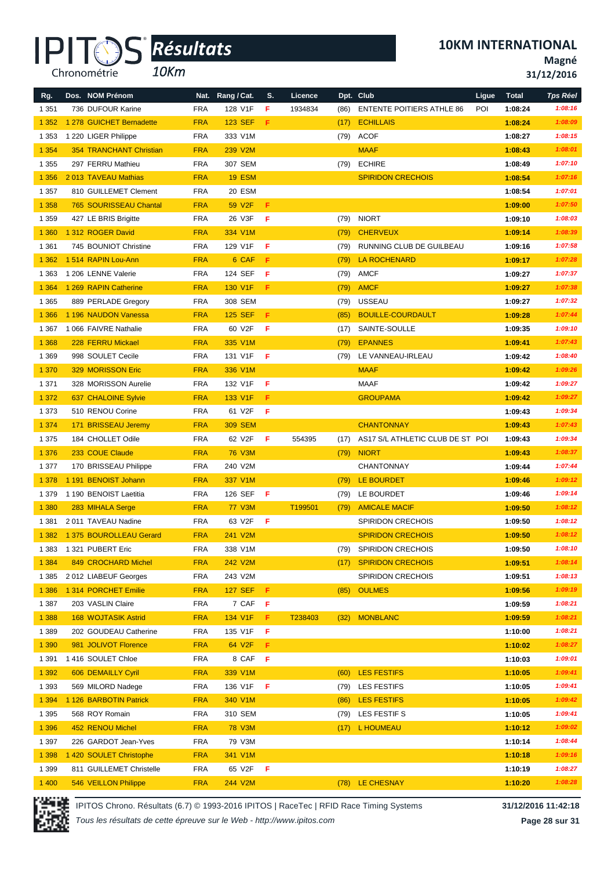*10Km*

**10KM INTERNATIONAL**

**Magné**

**31/12/2016**

| Rg.     | Dos. NOM Prénom                | Nat.       | Rang / Cat.    | S.  | Licence |      | Dpt. Club                        | Ligue | <b>Total</b> | <b>Tps Réel</b> |
|---------|--------------------------------|------------|----------------|-----|---------|------|----------------------------------|-------|--------------|-----------------|
| 1 3 5 1 | 736 DUFOUR Karine              | <b>FRA</b> | 128 V1F        | F   | 1934834 | (86) | <b>ENTENTE POITIERS ATHLE 86</b> | POI   | 1:08:24      | 1:08:16         |
| 1 3 5 2 | 1 278 GUICHET Bernadette       | <b>FRA</b> | <b>123 SEF</b> | F.  |         | (17) | <b>ECHILLAIS</b>                 |       | 1:08:24      | 1:08:09         |
| 1 3 5 3 | 1 220 LIGER Philippe           | <b>FRA</b> | 333 V1M        |     |         | (79) | <b>ACOF</b>                      |       | 1:08:27      | 1:08:15         |
| 1 3 5 4 | <b>354 TRANCHANT Christian</b> | <b>FRA</b> | 239 V2M        |     |         |      | <b>MAAF</b>                      |       | 1:08:43      | 1:08:01         |
| 1 3 5 5 | 297 FERRU Mathieu              | <b>FRA</b> | 307 SEM        |     |         | (79) | <b>ECHIRE</b>                    |       | 1:08:49      | 1:07:10         |
| 1 3 5 6 | 2013 TAVEAU Mathias            | <b>FRA</b> | <b>19 ESM</b>  |     |         |      | <b>SPIRIDON CRECHOIS</b>         |       | 1:08:54      | 1:07:16         |
| 1 3 5 7 | 810 GUILLEMET Clement          | <b>FRA</b> | 20 ESM         |     |         |      |                                  |       | 1:08:54      | 1:07:01         |
| 1 3 5 8 | 765 SOURISSEAU Chantal         | <b>FRA</b> | 59 V2F         | F   |         |      |                                  |       | 1:09:00      | 1:07:50         |
| 1 3 5 9 | 427 LE BRIS Brigitte           | <b>FRA</b> | 26 V3F         | F   |         | (79) | <b>NIORT</b>                     |       | 1:09:10      | 1:08:03         |
| 1 3 6 0 | 1 312 ROGER David              | <b>FRA</b> | 334 V1M        |     |         | (79) | <b>CHERVEUX</b>                  |       | 1:09:14      | 1:08:39         |
| 1 3 6 1 | 745 BOUNIOT Christine          | <b>FRA</b> | 129 V1F        | F   |         | (79) | RUNNING CLUB DE GUILBEAU         |       | 1:09:16      | 1:07:58         |
| 1 3 6 2 | 1514 RAPIN Lou-Ann             | <b>FRA</b> | 6 CAF          | F   |         | (79) | LA ROCHENARD                     |       | 1:09:17      | 1:07:28         |
| 1 3 6 3 | 1 206 LENNE Valerie            | <b>FRA</b> | 124 SEF        | F   |         | (79) | AMCF                             |       | 1:09:27      | 1:07:37         |
| 1 3 6 4 | 1 269 RAPIN Catherine          | <b>FRA</b> | 130 V1F        | F   |         | (79) | <b>AMCF</b>                      |       | 1:09:27      | 1:07:38         |
| 1 3 6 5 | 889 PERLADE Gregory            | <b>FRA</b> | 308 SEM        |     |         | (79) | <b>USSEAU</b>                    |       | 1:09:27      | 1:07:32         |
| 1 3 6 6 | 1 196 NAUDON Vanessa           | <b>FRA</b> | <b>125 SEF</b> | F.  |         | (85) | <b>BOUILLE-COURDAULT</b>         |       | 1:09:28      | 1:07:44         |
| 1 3 6 7 | 1 066 FAIVRE Nathalie          | <b>FRA</b> | 60 V2F         | F   |         | (17) | SAINTE-SOULLE                    |       | 1:09:35      | 1:09:10         |
| 1 3 6 8 | 228 FERRU Mickael              | <b>FRA</b> | 335 V1M        |     |         | (79) | <b>EPANNES</b>                   |       | 1:09:41      | 1:07:43         |
| 1 3 6 9 | 998 SOULET Cecile              | <b>FRA</b> | 131 V1F        | F   |         | (79) | LE VANNEAU-IRLEAU                |       | 1:09:42      | 1:08:40         |
| 1 370   | 329 MORISSON Eric              | <b>FRA</b> | 336 V1M        |     |         |      | <b>MAAF</b>                      |       | 1:09:42      | 1:09:26         |
| 1 3 7 1 | 328 MORISSON Aurelie           | <b>FRA</b> | 132 V1F        | F   |         |      | <b>MAAF</b>                      |       | 1:09:42      | 1:09:27         |
| 1 3 7 2 | 637 CHALOINE Sylvie            | <b>FRA</b> | 133 V1F        | F   |         |      | <b>GROUPAMA</b>                  |       | 1:09:42      | 1:09:27         |
| 1 3 7 3 | 510 RENOU Corine               | <b>FRA</b> | 61 V2F         | F   |         |      |                                  |       | 1:09:43      | 1:09:34         |
| 1 3 7 4 | 171 BRISSEAU Jeremy            | <b>FRA</b> | <b>309 SEM</b> |     |         |      | <b>CHANTONNAY</b>                |       | 1:09:43      | 1:07:43         |
| 1 3 7 5 | 184 CHOLLET Odile              | <b>FRA</b> | 62 V2F         | F   | 554395  | (17) | AS17 S/L ATHLETIC CLUB DE ST POI |       | 1:09:43      | 1:09:34         |
| 1 3 7 6 | 233 COUE Claude                | <b>FRA</b> | <b>76 V3M</b>  |     |         | (79) | <b>NIORT</b>                     |       | 1:09:43      | 1:08:37         |
| 1 3 7 7 | 170 BRISSEAU Philippe          | <b>FRA</b> | 240 V2M        |     |         |      | <b>CHANTONNAY</b>                |       | 1:09:44      | 1:07:44         |
| 1 3 7 8 | 1 191 BENOIST Johann           | <b>FRA</b> | 337 V1M        |     |         | (79) | LE BOURDET                       |       | 1:09:46      | 1:09:12         |
| 1 3 7 9 | 1 190 BENOIST Laetitia         | <b>FRA</b> | 126 SEF        | F   |         | (79) | LE BOURDET                       |       | 1:09:46      | 1:09:14         |
| 1 3 8 0 | 283 MIHALA Serge               | <b>FRA</b> | <b>77 V3M</b>  |     | T199501 | (79) | <b>AMICALE MACIF</b>             |       | 1:09:50      | 1:08:12         |
| 1 3 8 1 | 2011 TAVEAU Nadine             | <b>FRA</b> | 63 V2F         | F   |         |      | <b>SPIRIDON CRECHOIS</b>         |       | 1:09:50      | 1:08:12         |
| 1 3 8 2 | 1 375 BOUROLLEAU Gerard        | <b>FRA</b> | 241 V2M        |     |         |      | <b>SPIRIDON CRECHOIS</b>         |       | 1:09:50      | 1:08:12         |
| 1 3 8 3 | 1 321 PUBERT Eric              | FRA        | 338 V1M        |     |         | (79) | <b>SPIRIDON CRECHOIS</b>         |       | 1:09:50      | 1:08:10         |
| 1 3 8 4 | 849 CROCHARD Michel            | <b>FRA</b> | 242 V2M        |     |         | (17) | <b>SPIRIDON CRECHOIS</b>         |       | 1:09:51      | 1:08:14         |
| 1 3 8 5 | 2012 LIABEUF Georges           | <b>FRA</b> | 243 V2M        |     |         |      | <b>SPIRIDON CRECHOIS</b>         |       | 1:09:51      | 1:08:13         |
| 1 3 8 6 | 1 314 PORCHET Emilie           | <b>FRA</b> | <b>127 SEF</b> | F.  |         | (85) | <b>OULMES</b>                    |       | 1:09:56      | 1:09:19         |
| 1 3 8 7 | 203 VASLIN Claire              | <b>FRA</b> | 7 CAF          | - F |         |      |                                  |       | 1:09:59      | 1:08:21         |
| 1 3 8 8 | <b>168 WOJTASIK Astrid</b>     | <b>FRA</b> | 134 V1F        | F.  | T238403 | (32) | <b>MONBLANC</b>                  |       | 1:09:59      | 1:08:21         |
| 1 3 8 9 | 202 GOUDEAU Catherine          | <b>FRA</b> | 135 V1F        | F   |         |      |                                  |       | 1:10:00      | 1:08:21         |
| 1 3 9 0 | 981 JOLIVOT Florence           | <b>FRA</b> | 64 V2F         | F   |         |      |                                  |       | 1:10:02      | 1:08:27         |
| 1 3 9 1 | 1416 SOULET Chloe              | <b>FRA</b> | 8 CAF          | F   |         |      |                                  |       | 1:10:03      | 1:09:01         |
| 1 3 9 2 | 606 DEMAILLY Cyril             | <b>FRA</b> | 339 V1M        |     |         | (60) | LES FESTIFS                      |       | 1:10:05      | 1:09:41         |
| 1 3 9 3 | 569 MILORD Nadege              | <b>FRA</b> | 136 V1F        | F   |         | (79) | LES FESTIFS                      |       | 1:10:05      | 1:09:41         |
| 1 3 9 4 | 1 126 BARBOTIN Patrick         | <b>FRA</b> | 340 V1M        |     |         | (86) | <b>LES FESTIFS</b>               |       | 1:10:05      | 1:09:42         |
| 1 3 9 5 | 568 ROY Romain                 | <b>FRA</b> | 310 SEM        |     |         | (79) | LES FESTIF S                     |       | 1:10:05      | 1:09:41         |
| 1 3 9 6 | 452 RENOU Michel               | <b>FRA</b> | <b>78 V3M</b>  |     |         | (17) | L HOUMEAU                        |       | 1:10:12      | 1:09:02         |
| 1 3 9 7 | 226 GARDOT Jean-Yves           | FRA        | 79 V3M         |     |         |      |                                  |       | 1:10:14      | 1:08:44         |
| 1 3 9 8 | 1 420 SOULET Christophe        | <b>FRA</b> | 341 V1M        |     |         |      |                                  |       | 1:10:18      | 1:09:16         |
| 1 3 9 9 | 811 GUILLEMET Christelle       | <b>FRA</b> | 65 V2F         | F   |         |      |                                  |       | 1:10:19      | 1:08:27         |
| 1 400   | 546 VEILLON Philippe           | <b>FRA</b> | 244 V2M        |     |         |      | (78) LE CHESNAY                  |       | 1:10:20      | 1:08:28         |



IPITOS Chrono. Résultats (6.7) © 1993-2016 IPITOS | RaceTec | RFID Race Timing Systems **31/12/2016 11:42:18**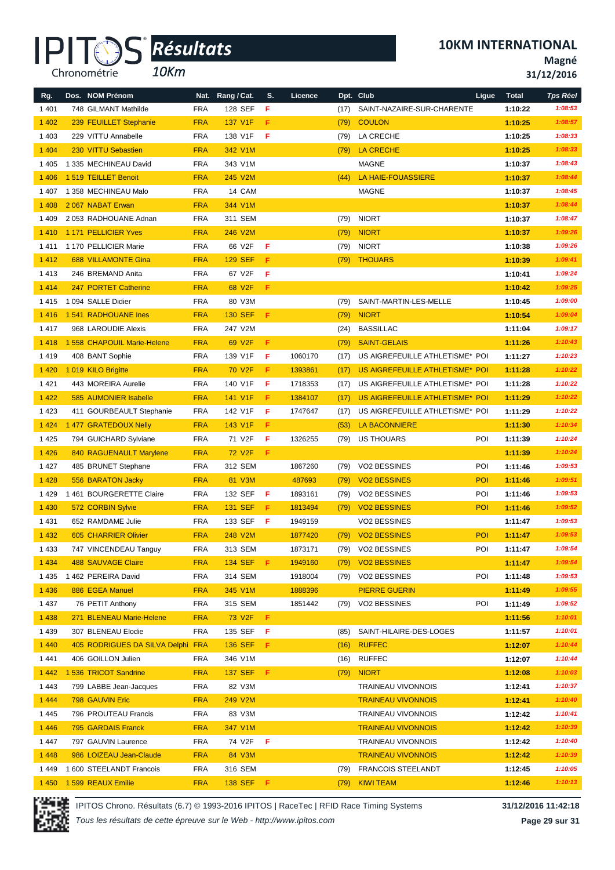*10Km*

**10KM INTERNATIONAL**

**Magné**

**31/12/2016**

| Rg.     | Dos. NOM Prénom                   |            | Nat. Rang / Cat.    | S.  | Licence |      | Dpt. Club                       | Ligue | <b>Total</b> | <b>Tps Réel</b> |
|---------|-----------------------------------|------------|---------------------|-----|---------|------|---------------------------------|-------|--------------|-----------------|
| 1 4 0 1 | 748 GILMANT Mathilde              | <b>FRA</b> | 128 SEF             | F   |         | (17) | SAINT-NAZAIRE-SUR-CHARENTE      |       | 1:10:22      | 1:08:53         |
| 1 4 0 2 | 239 FEUILLET Stephanie            | <b>FRA</b> | 137 V1F             | F   |         | (79) | <b>COULON</b>                   |       | 1:10:25      | 1:08:57         |
| 1 4 0 3 | 229 VITTU Annabelle               | <b>FRA</b> | 138 V1F             | F   |         | (79) | LA CRECHE                       |       | 1:10:25      | 1:08:33         |
| 1 4 0 4 | 230 VITTU Sebastien               | <b>FRA</b> | 342 V1M             |     |         | (79) | <b>LA CRECHE</b>                |       | 1:10:25      | 1:08:33         |
| 1405    | 1 335 MECHINEAU David             | <b>FRA</b> | 343 V1M             |     |         |      | <b>MAGNE</b>                    |       | 1:10:37      | 1:08:43         |
| 1 4 0 6 | 1519 TEILLET Benoit               | <b>FRA</b> | 245 V2M             |     |         | (44) | <b>LA HAIE-FOUASSIERE</b>       |       | 1:10:37      | 1:08:44         |
| 1407    | 1 358 MECHINEAU Malo              | <b>FRA</b> | 14 CAM              |     |         |      | MAGNE                           |       | 1:10:37      | 1:08:45         |
| 1 4 0 8 | 2067 NABAT Erwan                  | <b>FRA</b> | 344 V1M             |     |         |      |                                 |       | 1:10:37      | 1:08:44         |
| 1 4 0 9 | 2 053 RADHOUANE Adnan             | <b>FRA</b> | 311 SEM             |     |         | (79) | <b>NIORT</b>                    |       | 1:10:37      | 1:08:47         |
| 1410    | 1171 PELLICIER Yves               | <b>FRA</b> | 246 V2M             |     |         | (79) | <b>NIORT</b>                    |       | 1:10:37      | 1:09:26         |
| 1411    | 1 170 PELLICIER Marie             | <b>FRA</b> | 66 V2F              | F   |         | (79) | NIORT                           |       | 1:10:38      | 1:09:26         |
| 1 4 1 2 | <b>688 VILLAMONTE Gina</b>        | <b>FRA</b> | <b>129 SEF</b>      | F.  |         | (79) | <b>THOUARS</b>                  |       | 1:10:39      | 1:09:41         |
| 1413    | 246 BREMAND Anita                 | <b>FRA</b> | 67 V2F              | F   |         |      |                                 |       | 1:10:41      | 1:09:24         |
| 1 4 1 4 | 247 PORTET Catherine              | <b>FRA</b> | 68 V2F              | F   |         |      |                                 |       | 1:10:42      | 1:09:25         |
| 1415    | 1 094 SALLE Didier                | <b>FRA</b> | 80 V3M              |     |         | (79) | SAINT-MARTIN-LES-MELLE          |       | 1:10:45      | 1:09:00         |
| 1416    | 1541 RADHOUANE Ines               | <b>FRA</b> | <b>130 SEF</b>      | F   |         | (79) | <b>NIORT</b>                    |       | 1:10:54      | 1:09:04         |
| 1417    | 968 LAROUDIE Alexis               | <b>FRA</b> | 247 V2M             |     |         | (24) | <b>BASSILLAC</b>                |       | 1:11:04      | 1:09:17         |
| 1418    | 1 558 CHAPOUIL Marie-Helene       | <b>FRA</b> | 69 V <sub>2F</sub>  | F   |         | (79) | <b>SAINT-GELAIS</b>             |       | 1:11:26      | 1:10:43         |
| 1419    | 408 BANT Sophie                   | <b>FRA</b> | 139 V1F             | F   | 1060170 | (17) | US AIGREFEUILLE ATHLETISME* POI |       | 1:11:27      | 1:10:23         |
| 1 4 2 0 | 1019 KILO Brigitte                | <b>FRA</b> | 70 V <sub>2</sub> F | F   | 1393861 | (17) | US AIGREFEUILLE ATHLETISME* POI |       | 1:11:28      | 1:10:22         |
| 1421    | 443 MOREIRA Aurelie               | <b>FRA</b> | 140 V1F             | F   | 1718353 | (17) | US AIGREFEUILLE ATHLETISME* POI |       | 1:11:28      | 1:10:22         |
| 1 4 2 2 | 585 AUMONIER Isabelle             | <b>FRA</b> | 141 V1F             | F   | 1384107 | (17) | US AIGREFEUILLE ATHLETISME* POI |       | 1:11:29      | 1:10:22         |
| 1 4 2 3 | 411 GOURBEAULT Stephanie          | <b>FRA</b> | 142 V1F             | F   | 1747647 | (17) | US AIGREFEUILLE ATHLETISME* POI |       | 1:11:29      | 1:10:22         |
| 1 4 2 4 | 1 477 GRATEDOUX Nelly             | <b>FRA</b> | 143 V1F             | F   |         | (53) | <b>LA BACONNIERE</b>            |       | 1:11:30      | 1:10:34         |
| 1 4 2 5 | 794 GUICHARD Sylviane             | <b>FRA</b> | 71 V2F              | F   | 1326255 | (79) | US THOUARS                      | POI   | 1:11:39      | 1:10:24         |
| 1 4 2 6 | 840 RAGUENAULT Marylene           | <b>FRA</b> | 72 V <sub>2</sub> F | F.  |         |      |                                 |       | 1:11:39      | 1:10:24         |
| 1427    | 485 BRUNET Stephane               | <b>FRA</b> | 312 SEM             |     | 1867260 | (79) | VO2 BESSINES                    | POI   | 1:11:46      | 1:09:53         |
| 1 4 2 8 | 556 BARATON Jacky                 | <b>FRA</b> | 81 V3M              |     | 487693  | (79) | <b>VO2 BESSINES</b>             | POI   | 1:11:46      | 1:09:51         |
| 1429    | 1 461 BOURGERETTE Claire          | <b>FRA</b> | 132 SEF             | F   | 1893161 | (79) | <b>VO2 BESSINES</b>             | POI   | 1:11:46      | 1:09:53         |
| 1 4 3 0 | 572 CORBIN Sylvie                 | <b>FRA</b> | 131 SEF             | F.  | 1813494 | (79) | <b>VO2 BESSINES</b>             | POI   | 1:11:46      | 1:09:52         |
| 1431    | 652 RAMDAME Julie                 | <b>FRA</b> | 133 SEF             | - F | 1949159 |      | VO2 BESSINES                    |       | 1:11:47      | 1:09:53         |
| 1 4 3 2 | 605 CHARRIER Olivier              | <b>FRA</b> | 248 V2M             |     | 1877420 | (79) | <b>VO2 BESSINES</b>             | POI   | 1:11:47      | 1:09:53         |
| 1 4 3 3 | 747 VINCENDEAU Tanguy             | <b>FRA</b> | 313 SEM             |     | 1873171 |      | (79) VO2 BESSINES               | POI   | 1:11:47      | 1:09:54         |
| 1 4 3 4 | <b>488 SAUVAGE Claire</b>         | <b>FRA</b> | 134 SEF <b>F</b>    |     | 1949160 | (79) | <b>VO2 BESSINES</b>             |       | 1:11:47      | 1:09:54         |
| 1435    | 1 462 PEREIRA David               | <b>FRA</b> | 314 SEM             |     | 1918004 |      | (79) VO2 BESSINES               | POI   | 1:11:48      | 1:09:53         |
| 1 4 3 6 | 886 EGEA Manuel                   | <b>FRA</b> | 345 V1M             |     | 1888396 |      | <b>PIERRE GUERIN</b>            |       | 1:11:49      | 1:09:55         |
| 1437    | 76 PETIT Anthony                  | <b>FRA</b> | 315 SEM             |     | 1851442 | (79) | <b>VO2 BESSINES</b>             | POI   | 1:11:49      | 1:09:52         |
| 1 4 3 8 | 271 BLENEAU Marie-Helene          | <b>FRA</b> | 73 V2F              | F.  |         |      |                                 |       | 1:11:56      | 1:10:01         |
| 1439    | 307 BLENEAU Elodie                | <b>FRA</b> | 135 SEF             | -F. |         | (85) | SAINT-HILAIRE-DES-LOGES         |       | 1:11:57      | 1:10:01         |
| 1 4 4 0 | 405 RODRIGUES DA SILVA Delphi FRA |            | 136 SEF F           |     |         | (16) | <b>RUFFEC</b>                   |       | 1:12:07      | 1:10:44         |
| 1441    | 406 GOILLON Julien                | <b>FRA</b> | 346 V1M             |     |         |      | $(16)$ RUFFEC                   |       | 1:12:07      | 1:10:44         |
| 1 4 4 2 | 1 536 TRICOT Sandrine             | <b>FRA</b> | 137 SEF F           |     |         |      | $(79)$ NIORT                    |       | 1:12:08      | 1:10:03         |
| 1443    | 799 LABBE Jean-Jacques            | <b>FRA</b> | 82 V3M              |     |         |      | <b>TRAINEAU VIVONNOIS</b>       |       | 1:12:41      | 1:10:37         |
| 1 4 4 4 | 798 GAUVIN Eric                   | <b>FRA</b> | 249 V2M             |     |         |      | <b>TRAINEAU VIVONNOIS</b>       |       | 1:12:41      | 1:10:40         |
| 1445    | 796 PROUTEAU Francis              | <b>FRA</b> | 83 V3M              |     |         |      | <b>TRAINEAU VIVONNOIS</b>       |       | 1:12:42      | 1:10:41         |
| 1 4 4 6 | 795 GARDAIS Franck                | <b>FRA</b> | 347 V1M             |     |         |      | <b>TRAINEAU VIVONNOIS</b>       |       | 1:12:42      | 1:10:39         |
| 1447    | 797 GAUVIN Laurence               | <b>FRA</b> | 74 V2F F            |     |         |      | <b>TRAINEAU VIVONNOIS</b>       |       | 1:12:42      | 1:10:40         |
| 1 4 4 8 | 986 LOIZEAU Jean-Claude           | <b>FRA</b> | 84 V3M              |     |         |      | <b>TRAINEAU VIVONNOIS</b>       |       | 1:12:42      | 1:10:39         |
| 1449    | 1 600 STEELANDT Francois          | <b>FRA</b> | 316 SEM             |     |         |      | (79) FRANCOIS STEELANDT         |       | 1:12:45      | 1:10:05         |
| 1 4 5 0 | 1 599 REAUX Emilie                | <b>FRA</b> | 138 SEF F           |     |         |      | (79) KIWI TEAM                  |       | 1:12:46      | 1:10:13         |



IPITOS Chrono. Résultats (6.7) © 1993-2016 IPITOS | RaceTec | RFID Race Timing Systems **31/12/2016 11:42:18**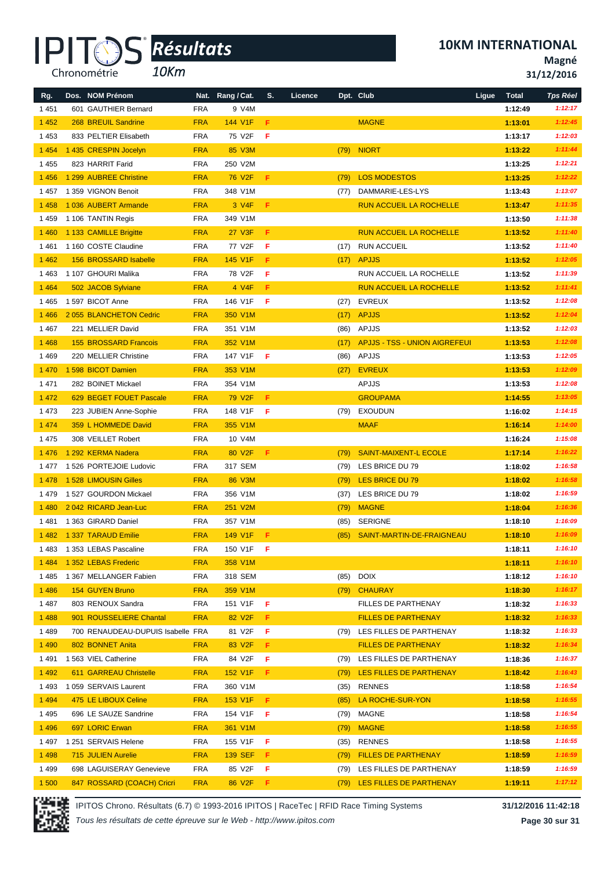*10Km*

**®**

**10KM INTERNATIONAL**

**Magné**

|         | 10Km<br>Chronométrie              |            |                     |    |         |      |                                      |                       | 31/12/2016      |
|---------|-----------------------------------|------------|---------------------|----|---------|------|--------------------------------------|-----------------------|-----------------|
| Rg.     | Dos. NOM Prénom                   | Nat.       | Rang / Cat.         | S. | Licence |      | Dpt. Club                            | Ligue<br><b>Total</b> | <b>Tps Réel</b> |
| 1451    | 601 GAUTHIER Bernard              | <b>FRA</b> | 9 V4M               |    |         |      |                                      | 1:12:49               | 1:12:17         |
| 1 4 5 2 | 268 BREUIL Sandrine               | <b>FRA</b> | 144 V1F             | F  |         |      | <b>MAGNE</b>                         | 1:13:01               | 1:12:45         |
| 1 4 5 3 | 833 PELTIER Elisabeth             | <b>FRA</b> | 75 V2F              | F  |         |      |                                      | 1:13:17               | 1:12:03         |
| 1 4 5 4 | 1 435 CRESPIN Jocelyn             | <b>FRA</b> | 85 V3M              |    |         |      | (79) NIORT                           | 1:13:22               | 1:11:44         |
| 1 4 5 5 | 823 HARRIT Farid                  | <b>FRA</b> | 250 V2M             |    |         |      |                                      | 1:13:25               | 1:12:21         |
| 1 4 5 6 | 1 299 AUBREE Christine            | <b>FRA</b> | 76 V <sub>2F</sub>  | F  |         | (79) | <b>LOS MODESTOS</b>                  | 1:13:25               | 1:12:22         |
| 1457    | 1 359 VIGNON Benoit               | <b>FRA</b> | 348 V1M             |    |         | (77) | DAMMARIE-LES-LYS                     | 1:13:43               | 1:13:07         |
| 1 4 5 8 | 1036 AUBERT Armande               | <b>FRA</b> | 3 V4F               | F  |         |      | <b>RUN ACCUEIL LA ROCHELLE</b>       | 1:13:47               | 1:11:35         |
| 1 4 5 9 | 1 106 TANTIN Regis                | <b>FRA</b> | 349 V1M             |    |         |      |                                      | 1:13:50               | 1:11:38         |
| 1460    | 1 133 CAMILLE Brigitte            | <b>FRA</b> | 27 V3F              | F  |         |      | <b>RUN ACCUEIL LA ROCHELLE</b>       | 1:13:52               | 1:11:40         |
| 1461    | 1 160 COSTE Claudine              | <b>FRA</b> | 77 V2F              | F  |         | (17) | <b>RUN ACCUEIL</b>                   | 1:13:52               | 1:11:40         |
| 1 4 6 2 | 156 BROSSARD Isabelle             | <b>FRA</b> | 145 V1F             | F. |         |      | $(17)$ APJJS                         | 1:13:52               | 1:12:05         |
| 1463    | 1 107 GHOURI Malika               | <b>FRA</b> | 78 V2F              | F  |         |      | RUN ACCUEIL LA ROCHELLE              | 1:13:52               | 1:11:39         |
| 1 4 6 4 | 502 JACOB Sylviane                | <b>FRA</b> | 4 V4F               | F  |         |      | <b>RUN ACCUEIL LA ROCHELLE</b>       | 1:13:52               | 1:11:41         |
| 1465    | 1 597 BICOT Anne                  | <b>FRA</b> | 146 V1F             | F  |         | (27) | EVREUX                               | 1:13:52               | 1:12:08         |
| 1466    | 2 055 BLANCHETON Cedric           | <b>FRA</b> | 350 V1M             |    |         | (17) | <b>APJJS</b>                         | 1:13:52               | 1:12:04         |
| 1467    | 221 MELLIER David                 | <b>FRA</b> | 351 V1M             |    |         | (86) | APJJS                                | 1:13:52               | 1:12:03         |
| 1 4 6 8 | <b>155 BROSSARD Francois</b>      | <b>FRA</b> | 352 V1M             |    |         | (17) | <b>APJJS - TSS - UNION AIGREFEUI</b> | 1:13:53               | 1:12:08         |
| 1469    | 220 MELLIER Christine             | <b>FRA</b> | 147 V1F             | F  |         |      | $(86)$ APJJS                         | 1:13:53               | 1:12:05         |
| 1 4 7 0 | 1 598 BICOT Damien                | <b>FRA</b> | 353 V1M             |    |         | (27) | <b>EVREUX</b>                        | 1:13:53               | 1:12:09         |
| 1 4 7 1 | 282 BOINET Mickael                | <b>FRA</b> | 354 V1M             |    |         |      | APJJS                                | 1:13:53               | 1:12:08         |
| 1 4 7 2 | 629 BEGET FOUET Pascale           | <b>FRA</b> | 79 V <sub>2</sub> F | Æ. |         |      | <b>GROUPAMA</b>                      | 1:14:55               | 1:13:05         |
| 1 4 7 3 | 223 JUBIEN Anne-Sophie            | <b>FRA</b> | 148 V1F             | F  |         |      | (79) EXOUDUN                         | 1:16:02               | 1:14:15         |
| 1 4 7 4 | 359 L HOMMEDE David               | <b>FRA</b> | 355 V1M             |    |         |      | <b>MAAF</b>                          | 1:16:14               | 1:14:00         |
| 1 4 7 5 | 308 VEILLET Robert                | <b>FRA</b> | 10 V4M              |    |         |      |                                      | 1:16:24               | 1:15:08         |
| 1476    | 1 292 KERMA Nadera                | <b>FRA</b> | 80 V <sub>2F</sub>  | F. |         | (79) | <b>SAINT-MAIXENT-L ECOLE</b>         | 1:17:14               | 1:16:22         |
| 1477    | 1 526 PORTEJOIE Ludovic           | <b>FRA</b> | 317 SEM             |    |         | (79) | LES BRICE DU 79                      | 1:18:02               | 1:16:58         |
| 1478    | 1528 LIMOUSIN Gilles              | <b>FRA</b> | 86 V3M              |    |         | (79) | LES BRICE DU 79                      | 1:18:02               | 1:16:58         |
| 1479    | 1527 GOURDON Mickael              | <b>FRA</b> | 356 V1M             |    |         | (37) | LES BRICE DU 79                      | 1:18:02               | 1:16:59         |
| 1 4 8 0 | 2042 RICARD Jean-Luc              | <b>FRA</b> | 251 V2M             |    |         | (79) | <b>MAGNE</b>                         | 1:18:04               | 1:16:36         |
|         | 1481 1363 GIRARD Daniel           | <b>FRA</b> | 357 V1M             |    |         |      | (85) SERIGNE                         | 1:18:10               | 1:16:09         |
| 1482    | 1 337 TARAUD Emilie               | <b>FRA</b> | 149 V1F             | F. |         |      | (85) SAINT-MARTIN-DE-FRAIGNEAU       | 1:18:10               | 1:16:09         |
| 1 483   | 1 353 LEBAS Pascaline             | FRA        | 150 V1F             | F  |         |      |                                      | 1:18:11               | 1:16:10         |
| 1484    | 1 352 LEBAS Frederic              | <b>FRA</b> | 358 V1M             |    |         |      |                                      | 1:18:11               | 1:16:10         |
| 1 4 8 5 | 1 367 MELLANGER Fabien            | <b>FRA</b> | 318 SEM             |    |         |      | (85) DOIX                            | 1:18:12               | 1:16:10         |
| 1 4 8 6 | <b>154 GUYEN Bruno</b>            | <b>FRA</b> | 359 V1M             |    |         | (79) | <b>CHAURAY</b>                       | 1:18:30               | 1:16:17         |
| 1487    | 803 RENOUX Sandra                 | <b>FRA</b> | 151 V1F             | F  |         |      | FILLES DE PARTHENAY                  | 1:18:32               | 1:16:33         |
| 1488    | 901 ROUSSELIERE Chantal           | <b>FRA</b> | 82 V <sub>2</sub> F | F. |         |      | <b>FILLES DE PARTHENAY</b>           | 1:18:32               | 1:16:33         |
| 1489    | 700 RENAUDEAU-DUPUIS Isabelle FRA |            | 81 V2F              | F  |         |      | (79) LES FILLES DE PARTHENAY         | 1:18:32               | 1:16:33         |
| 1 4 9 0 | 802 BONNET Anita                  | <b>FRA</b> | 83 V <sub>2F</sub>  | F  |         |      | <b>FILLES DE PARTHENAY</b>           | 1:18:32               | 1:16:34         |
| 1491    | 1563 VIEL Catherine               | <b>FRA</b> | 84 V2F              | F  |         | (79) | LES FILLES DE PARTHENAY              | 1:18:36               | 1:16:37         |
| 1 4 9 2 | 611 GARREAU Christelle            | <b>FRA</b> | 152 V1F             | F. |         |      | (79) LES FILLES DE PARTHENAY         | 1:18:42               | 1:16:43         |
| 1493    | 1 059 SERVAIS Laurent             | FRA        | 360 V1M             |    |         | (35) | RENNES                               | 1:18:58               | 1:16:54         |
| 1 4 9 4 | 475 LE LIBOUX Celine              | <b>FRA</b> | 153 V1F             | F. |         | (85) | LA ROCHE-SUR-YON                     | 1:18:58               | 1:16:55         |
| 1495    | 696 LE SAUZE Sandrine             | <b>FRA</b> | 154 V1F             | -F |         |      | (79) MAGNE                           | 1:18:58               | 1:16:54         |
| 1496    | 697 LORIC Erwan                   | <b>FRA</b> | 361 V1M             |    |         |      | (79) MAGNE                           | 1:18:58               | 1:16:55         |
| 1 497   | 1 251 SERVAIS Helene              | <b>FRA</b> | 155 V1F             | F  |         |      | (35) RENNES                          | 1:18:58               | 1:16:55         |
| 1 4 9 8 | 715 JULIEN Aurelie                | <b>FRA</b> | 139 SEF             | F. |         |      | (79) FILLES DE PARTHENAY             | 1:18:59               | 1:16:59         |
| 1499    | 698 LAGUISERAY Genevieve          | FRA        | 85 V2F F            |    |         |      | (79) LES FILLES DE PARTHENAY         | 1:18:59               | 1:16:59         |



IPITOS Chrono. Résultats (6.7) © 1993-2016 IPITOS | RaceTec | RFID Race Timing Systems **31/12/2016 11:42:18**

1 500 847 ROSSARD (COACH) Cricri FRA 86 V2F **F** (79) LES FILLES DE PARTHENAY **1:19:11** *1:17:12*